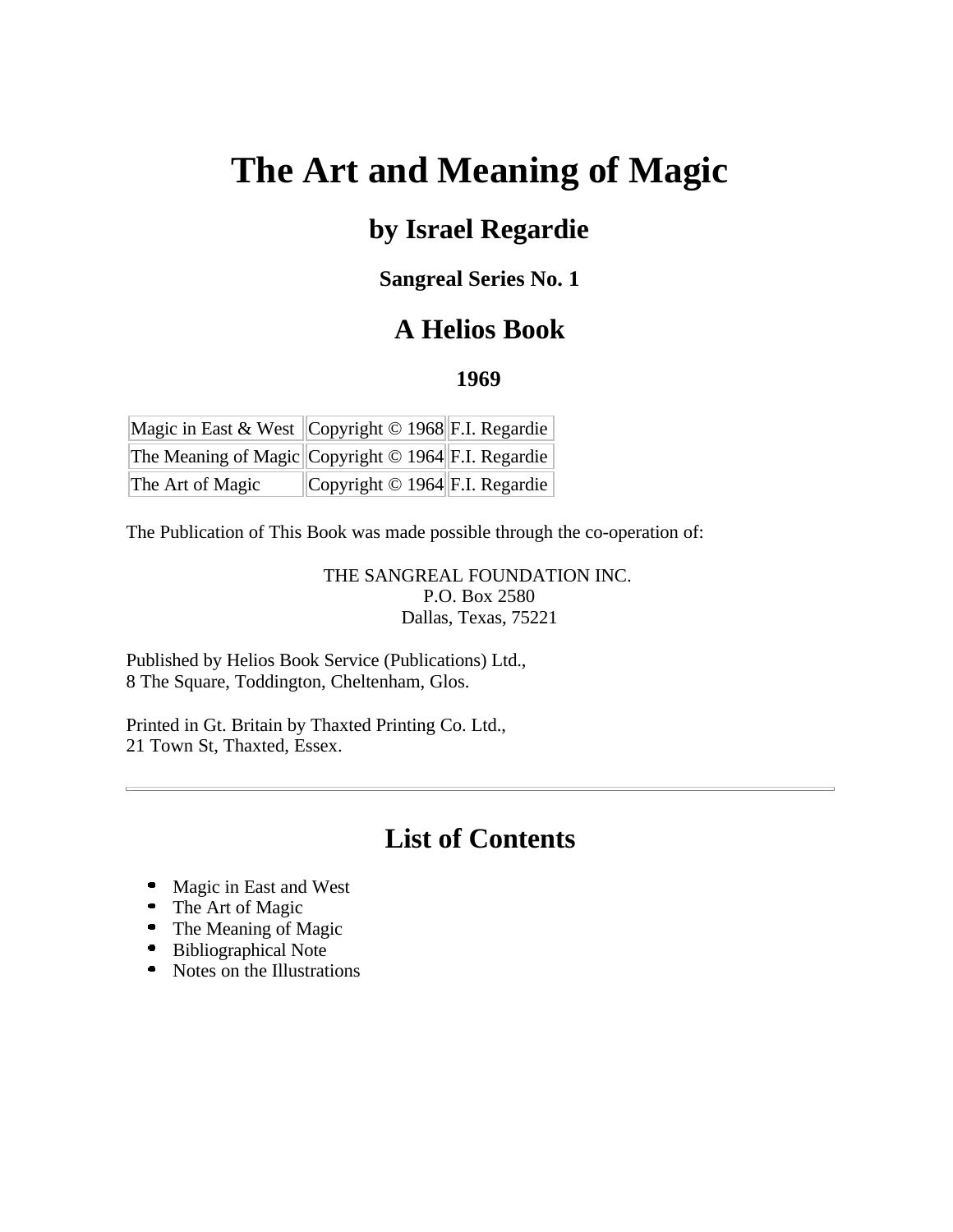### **The Art and Meaning of Magic**

#### **by Israel Regardie**

#### **Sangreal Series No. 1**

### **A Helios Book**

**1969**

| Magic in East & West Copyright © 1968 F.I. Regardie |                                |  |
|-----------------------------------------------------|--------------------------------|--|
| The Meaning of Magic Copyright © 1964 F.I. Regardie |                                |  |
| The Art of Magic                                    | Copyright © 1964 F.I. Regardie |  |

The Publication of This Book was made possible through the co-operation of:

THE SANGREAL FOUNDATION INC. P.O. Box 2580 Dallas, Texas, 75221

Published by Helios Book Service (Publications) Ltd., 8 The Square, Toddington, Cheltenham, Glos.

Printed in Gt. Britain by Thaxted Printing Co. Ltd., 21 Town St, Thaxted, Essex.

### **List of Contents**

- Magic in East and West
- The Art of Magic
- The Meaning of Magic
- **Bibliographical Note**
- Notes on the Illustrations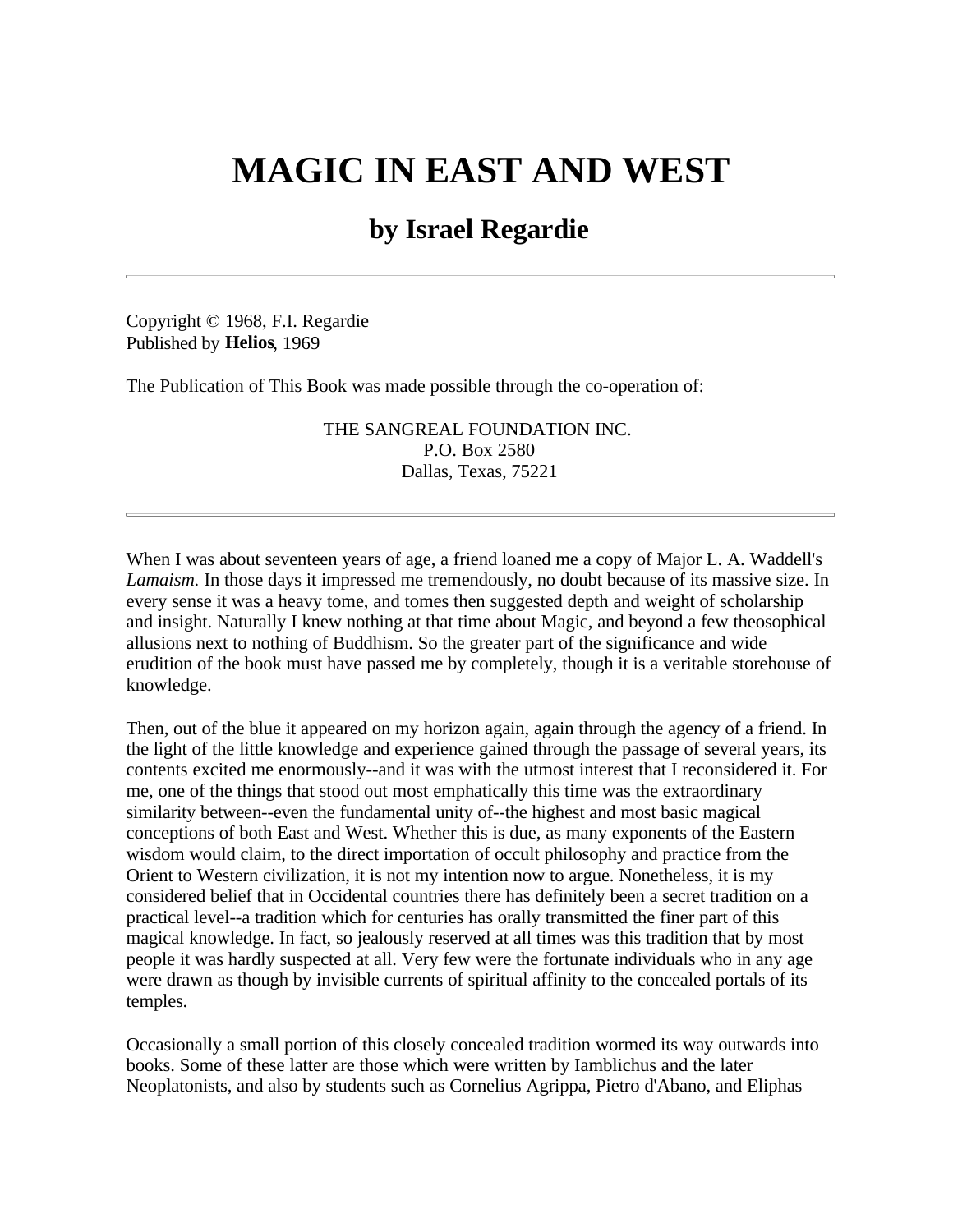### **MAGIC IN EAST AND WEST**

### **by Israel Regardie**

Copyright © 1968, F.I. Regardie Published by **Helios**, 1969

The Publication of This Book was made possible through the co-operation of:

THE SANGREAL FOUNDATION INC. P.O. Box 2580 Dallas, Texas, 75221

When I was about seventeen years of age, a friend loaned me a copy of Major L. A. Waddell's *Lamaism.* In those days it impressed me tremendously, no doubt because of its massive size. In every sense it was a heavy tome, and tomes then suggested depth and weight of scholarship and insight. Naturally I knew nothing at that time about Magic, and beyond a few theosophical allusions next to nothing of Buddhism. So the greater part of the significance and wide erudition of the book must have passed me by completely, though it is a veritable storehouse of knowledge.

Then, out of the blue it appeared on my horizon again, again through the agency of a friend. In the light of the little knowledge and experience gained through the passage of several years, its contents excited me enormously--and it was with the utmost interest that I reconsidered it. For me, one of the things that stood out most emphatically this time was the extraordinary similarity between--even the fundamental unity of--the highest and most basic magical conceptions of both East and West. Whether this is due, as many exponents of the Eastern wisdom would claim, to the direct importation of occult philosophy and practice from the Orient to Western civilization, it is not my intention now to argue. Nonetheless, it is my considered belief that in Occidental countries there has definitely been a secret tradition on a practical level--a tradition which for centuries has orally transmitted the finer part of this magical knowledge. In fact, so jealously reserved at all times was this tradition that by most people it was hardly suspected at all. Very few were the fortunate individuals who in any age were drawn as though by invisible currents of spiritual affinity to the concealed portals of its temples.

Occasionally a small portion of this closely concealed tradition wormed its way outwards into books. Some of these latter are those which were written by Iamblichus and the later Neoplatonists, and also by students such as Cornelius Agrippa, Pietro d'Abano, and Eliphas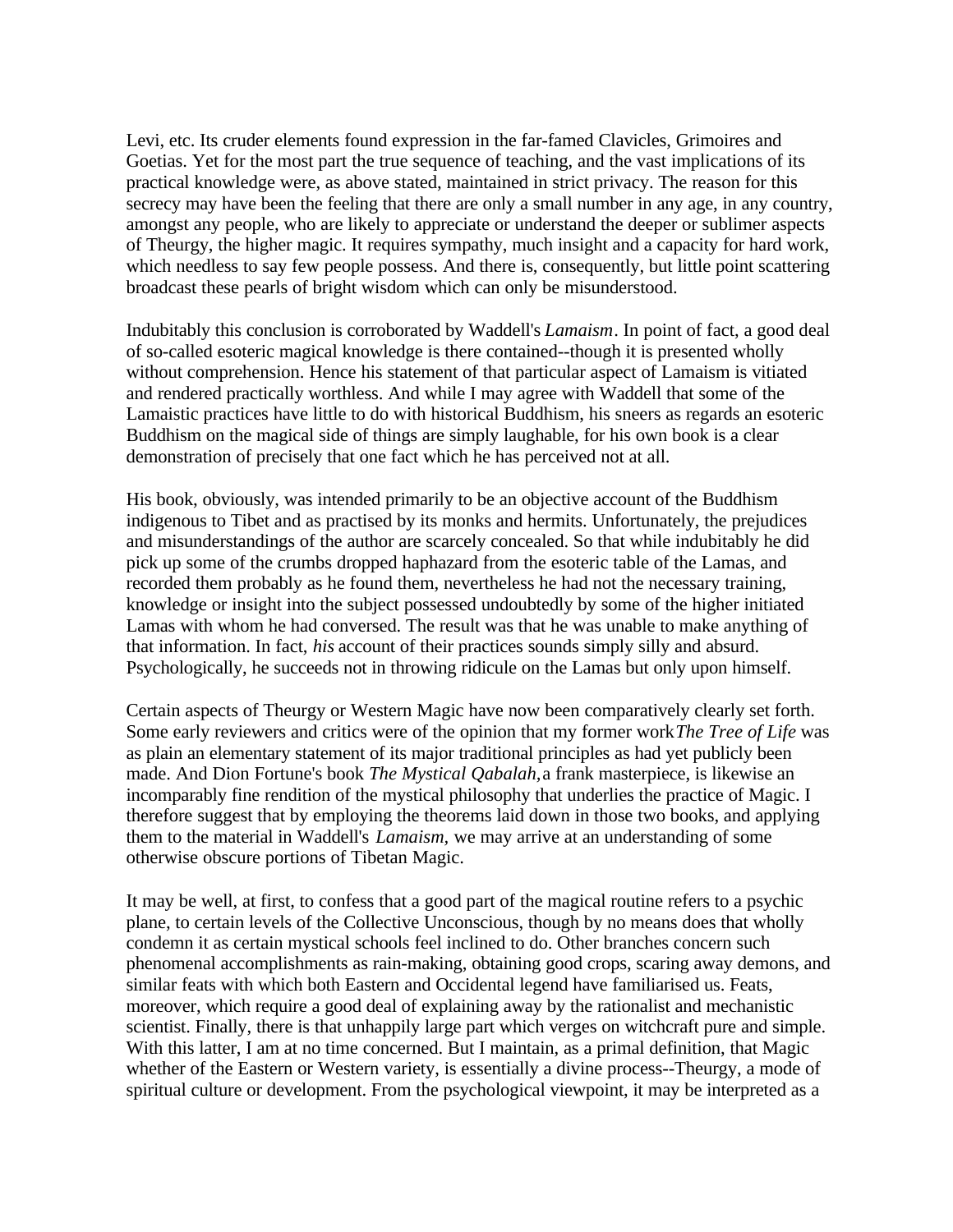Levi, etc. Its cruder elements found expression in the far-famed Clavicles, Grimoires and Goetias. Yet for the most part the true sequence of teaching, and the vast implications of its practical knowledge were, as above stated, maintained in strict privacy. The reason for this secrecy may have been the feeling that there are only a small number in any age, in any country, amongst any people, who are likely to appreciate or understand the deeper or sublimer aspects of Theurgy, the higher magic. It requires sympathy, much insight and a capacity for hard work, which needless to say few people possess. And there is, consequently, but little point scattering broadcast these pearls of bright wisdom which can only be misunderstood.

Indubitably this conclusion is corroborated by Waddell's *Lamaism*. In point of fact, a good deal of so-called esoteric magical knowledge is there contained--though it is presented wholly without comprehension. Hence his statement of that particular aspect of Lamaism is vitiated and rendered practically worthless. And while I may agree with Waddell that some of the Lamaistic practices have little to do with historical Buddhism, his sneers as regards an esoteric Buddhism on the magical side of things are simply laughable, for his own book is a clear demonstration of precisely that one fact which he has perceived not at all.

His book, obviously, was intended primarily to be an objective account of the Buddhism indigenous to Tibet and as practised by its monks and hermits. Unfortunately, the prejudices and misunderstandings of the author are scarcely concealed. So that while indubitably he did pick up some of the crumbs dropped haphazard from the esoteric table of the Lamas, and recorded them probably as he found them, nevertheless he had not the necessary training, knowledge or insight into the subject possessed undoubtedly by some of the higher initiated Lamas with whom he had conversed. The result was that he was unable to make anything of that information. In fact, *his* account of their practices sounds simply silly and absurd. Psychologically, he succeeds not in throwing ridicule on the Lamas but only upon himself.

Certain aspects of Theurgy or Western Magic have now been comparatively clearly set forth. Some early reviewers and critics were of the opinion that my former work *The Tree of Life* was as plain an elementary statement of its major traditional principles as had yet publicly been made. And Dion Fortune's book *The Mystical Qabalah,* a frank masterpiece, is likewise an incomparably fine rendition of the mystical philosophy that underlies the practice of Magic. I therefore suggest that by employing the theorems laid down in those two books, and applying them to the material in Waddell's *Lamaism,* we may arrive at an understanding of some otherwise obscure portions of Tibetan Magic.

It may be well, at first, to confess that a good part of the magical routine refers to a psychic plane, to certain levels of the Collective Unconscious, though by no means does that wholly condemn it as certain mystical schools feel inclined to do. Other branches concern such phenomenal accomplishments as rain-making, obtaining good crops, scaring away demons, and similar feats with which both Eastern and Occidental legend have familiarised us. Feats, moreover, which require a good deal of explaining away by the rationalist and mechanistic scientist. Finally, there is that unhappily large part which verges on witchcraft pure and simple. With this latter, I am at no time concerned. But I maintain, as a primal definition, that Magic whether of the Eastern or Western variety, is essentially a divine process--Theurgy, a mode of spiritual culture or development. From the psychological viewpoint, it may be interpreted as a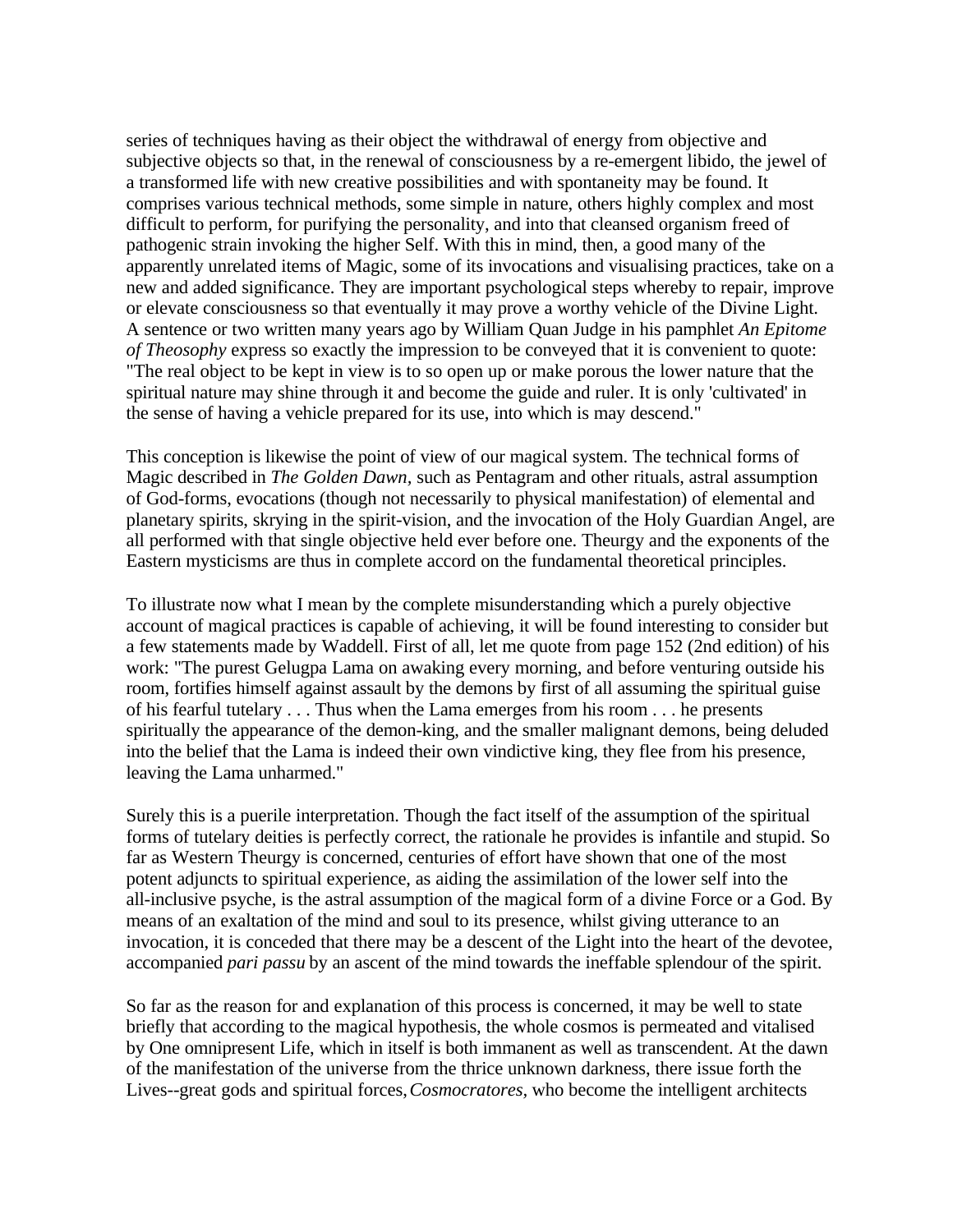series of techniques having as their object the withdrawal of energy from objective and subjective objects so that, in the renewal of consciousness by a re-emergent libido, the jewel of a transformed life with new creative possibilities and with spontaneity may be found. It comprises various technical methods, some simple in nature, others highly complex and most difficult to perform, for purifying the personality, and into that cleansed organism freed of pathogenic strain invoking the higher Self. With this in mind, then, a good many of the apparently unrelated items of Magic, some of its invocations and visualising practices, take on a new and added significance. They are important psychological steps whereby to repair, improve or elevate consciousness so that eventually it may prove a worthy vehicle of the Divine Light. A sentence or two written many years ago by William Quan Judge in his pamphlet *An Epitome of Theosophy* express so exactly the impression to be conveyed that it is convenient to quote: "The real object to be kept in view is to so open up or make porous the lower nature that the spiritual nature may shine through it and become the guide and ruler. It is only 'cultivated' in the sense of having a vehicle prepared for its use, into which is may descend."

This conception is likewise the point of view of our magical system. The technical forms of Magic described in *The Golden Dawn,* such as Pentagram and other rituals, astral assumption of God-forms, evocations (though not necessarily to physical manifestation) of elemental and planetary spirits, skrying in the spirit-vision, and the invocation of the Holy Guardian Angel, are all performed with that single objective held ever before one. Theurgy and the exponents of the Eastern mysticisms are thus in complete accord on the fundamental theoretical principles.

To illustrate now what I mean by the complete misunderstanding which a purely objective account of magical practices is capable of achieving, it will be found interesting to consider but a few statements made by Waddell. First of all, let me quote from page 152 (2nd edition) of his work: "The purest Gelugpa Lama on awaking every morning, and before venturing outside his room, fortifies himself against assault by the demons by first of all assuming the spiritual guise of his fearful tutelary . . . Thus when the Lama emerges from his room . . . he presents spiritually the appearance of the demon-king, and the smaller malignant demons, being deluded into the belief that the Lama is indeed their own vindictive king, they flee from his presence, leaving the Lama unharmed."

Surely this is a puerile interpretation. Though the fact itself of the assumption of the spiritual forms of tutelary deities is perfectly correct, the rationale he provides is infantile and stupid. So far as Western Theurgy is concerned, centuries of effort have shown that one of the most potent adjuncts to spiritual experience, as aiding the assimilation of the lower self into the all-inclusive psyche, is the astral assumption of the magical form of a divine Force or a God. By means of an exaltation of the mind and soul to its presence, whilst giving utterance to an invocation, it is conceded that there may be a descent of the Light into the heart of the devotee, accompanied *pari passu* by an ascent of the mind towards the ineffable splendour of the spirit.

So far as the reason for and explanation of this process is concerned, it may be well to state briefly that according to the magical hypothesis, the whole cosmos is permeated and vitalised by One omnipresent Life, which in itself is both immanent as well as transcendent. At the dawn of the manifestation of the universe from the thrice unknown darkness, there issue forth the Lives--great gods and spiritual forces, *Cosmocratores,* who become the intelligent architects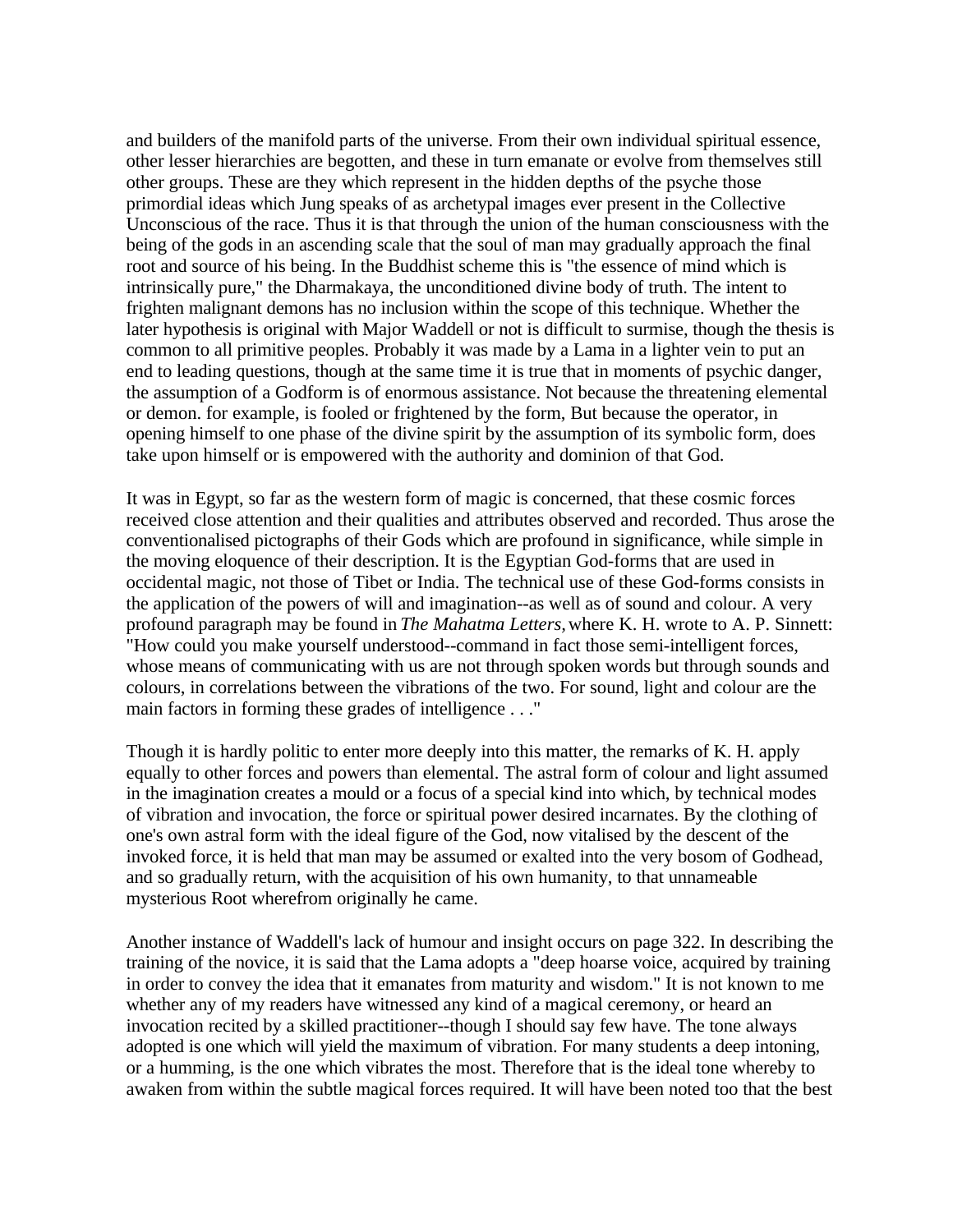and builders of the manifold parts of the universe. From their own individual spiritual essence, other lesser hierarchies are begotten, and these in turn emanate or evolve from themselves still other groups. These are they which represent in the hidden depths of the psyche those primordial ideas which Jung speaks of as archetypal images ever present in the Collective Unconscious of the race. Thus it is that through the union of the human consciousness with the being of the gods in an ascending scale that the soul of man may gradually approach the final root and source of his being. In the Buddhist scheme this is "the essence of mind which is intrinsically pure," the Dharmakaya, the unconditioned divine body of truth. The intent to frighten malignant demons has no inclusion within the scope of this technique. Whether the later hypothesis is original with Major Waddell or not is difficult to surmise, though the thesis is common to all primitive peoples. Probably it was made by a Lama in a lighter vein to put an end to leading questions, though at the same time it is true that in moments of psychic danger, the assumption of a Godform is of enormous assistance. Not because the threatening elemental or demon. for example, is fooled or frightened by the form, But because the operator, in opening himself to one phase of the divine spirit by the assumption of its symbolic form, does take upon himself or is empowered with the authority and dominion of that God.

It was in Egypt, so far as the western form of magic is concerned, that these cosmic forces received close attention and their qualities and attributes observed and recorded. Thus arose the conventionalised pictographs of their Gods which are profound in significance, while simple in the moving eloquence of their description. It is the Egyptian God-forms that are used in occidental magic, not those of Tibet or India. The technical use of these God-forms consists in the application of the powers of will and imagination--as well as of sound and colour. A very profound paragraph may be found in *The Mahatma Letters,* where K. H. wrote to A. P. Sinnett: "How could you make yourself understood--command in fact those semi-intelligent forces, whose means of communicating with us are not through spoken words but through sounds and colours, in correlations between the vibrations of the two. For sound, light and colour are the main factors in forming these grades of intelligence . . ."

Though it is hardly politic to enter more deeply into this matter, the remarks of K. H. apply equally to other forces and powers than elemental. The astral form of colour and light assumed in the imagination creates a mould or a focus of a special kind into which, by technical modes of vibration and invocation, the force or spiritual power desired incarnates. By the clothing of one's own astral form with the ideal figure of the God, now vitalised by the descent of the invoked force, it is held that man may be assumed or exalted into the very bosom of Godhead, and so gradually return, with the acquisition of his own humanity, to that unnameable mysterious Root wherefrom originally he came.

Another instance of Waddell's lack of humour and insight occurs on page 322. In describing the training of the novice, it is said that the Lama adopts a "deep hoarse voice, acquired by training in order to convey the idea that it emanates from maturity and wisdom." It is not known to me whether any of my readers have witnessed any kind of a magical ceremony, or heard an invocation recited by a skilled practitioner--though I should say few have. The tone always adopted is one which will yield the maximum of vibration. For many students a deep intoning, or a humming, is the one which vibrates the most. Therefore that is the ideal tone whereby to awaken from within the subtle magical forces required. It will have been noted too that the best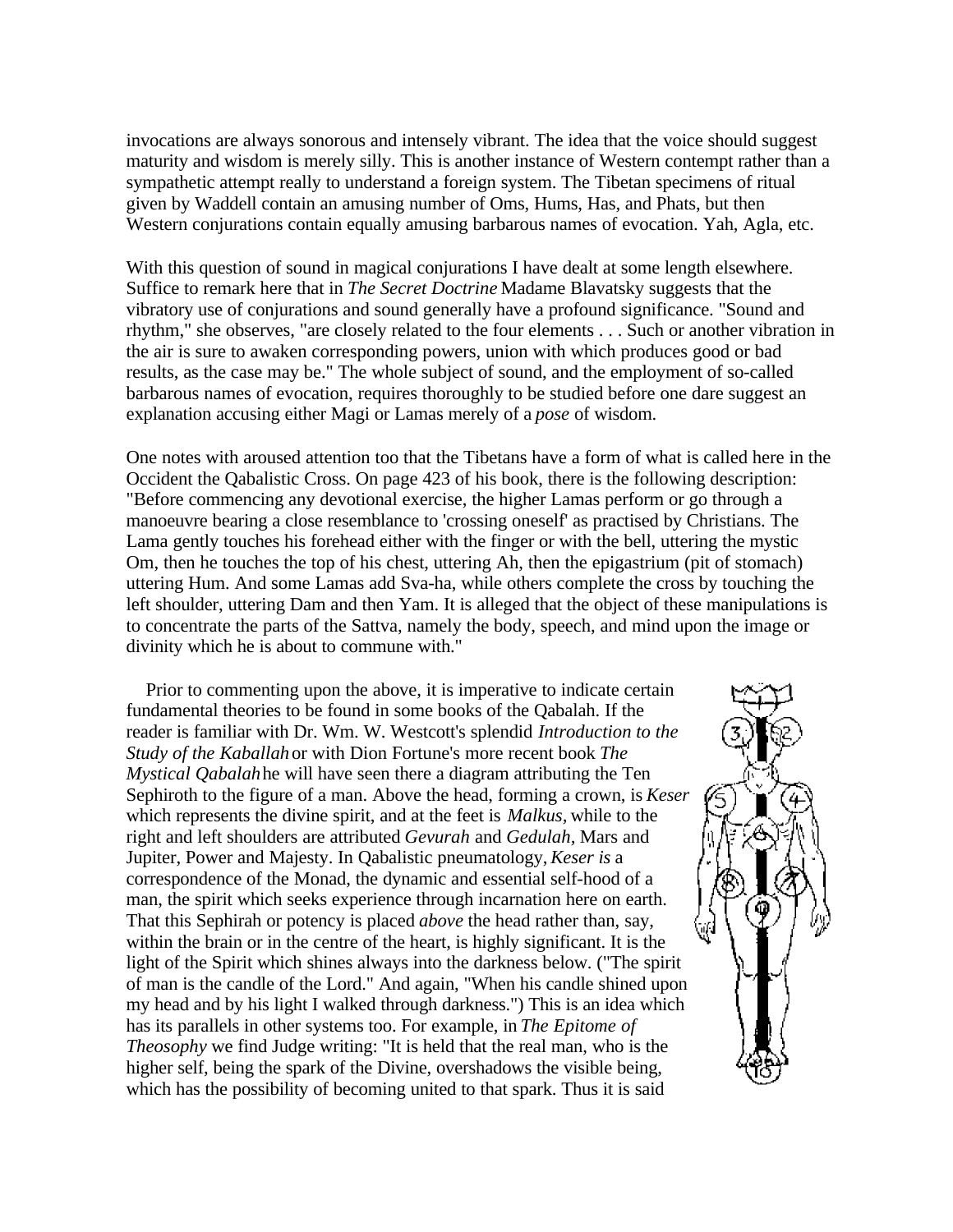invocations are always sonorous and intensely vibrant. The idea that the voice should suggest maturity and wisdom is merely silly. This is another instance of Western contempt rather than a sympathetic attempt really to understand a foreign system. The Tibetan specimens of ritual given by Waddell contain an amusing number of Oms, Hums, Has, and Phats, but then Western conjurations contain equally amusing barbarous names of evocation. Yah, Agla, etc.

With this question of sound in magical conjurations I have dealt at some length elsewhere. Suffice to remark here that in *The Secret Doctrine* Madame Blavatsky suggests that the vibratory use of conjurations and sound generally have a profound significance. "Sound and rhythm," she observes, "are closely related to the four elements . . . Such or another vibration in the air is sure to awaken corresponding powers, union with which produces good or bad results, as the case may be." The whole subject of sound, and the employment of so-called barbarous names of evocation, requires thoroughly to be studied before one dare suggest an explanation accusing either Magi or Lamas merely of a *pose* of wisdom.

One notes with aroused attention too that the Tibetans have a form of what is called here in the Occident the Qabalistic Cross. On page 423 of his book, there is the following description: "Before commencing any devotional exercise, the higher Lamas perform or go through a manoeuvre bearing a close resemblance to 'crossing oneself' as practised by Christians. The Lama gently touches his forehead either with the finger or with the bell, uttering the mystic Om, then he touches the top of his chest, uttering Ah, then the epigastrium (pit of stomach) uttering Hum. And some Lamas add Sva-ha, while others complete the cross by touching the left shoulder, uttering Dam and then Yam. It is alleged that the object of these manipulations is to concentrate the parts of the Sattva, namely the body, speech, and mind upon the image or divinity which he is about to commune with."

 Prior to commenting upon the above, it is imperative to indicate certain fundamental theories to be found in some books of the Qabalah. If the reader is familiar with Dr. Wm. W. Westcott's splendid *Introduction to the Study of the Kaballah* or with Dion Fortune's more recent book *The Mystical Qabalah* he will have seen there a diagram attributing the Ten Sephiroth to the figure of a man. Above the head, forming a crown, is *Keser*  which represents the divine spirit, and at the feet is *Malkus,* while to the right and left shoulders are attributed *Gevurah* and *Gedulah,* Mars and Jupiter, Power and Majesty. In Qabalistic pneumatology, *Keser is* a correspondence of the Monad, the dynamic and essential self-hood of a man, the spirit which seeks experience through incarnation here on earth. That this Sephirah or potency is placed *above* the head rather than, say, within the brain or in the centre of the heart, is highly significant. It is the light of the Spirit which shines always into the darkness below. ("The spirit of man is the candle of the Lord." And again, "When his candle shined upon my head and by his light I walked through darkness.") This is an idea which has its parallels in other systems too. For example, in *The Epitome of Theosophy* we find Judge writing: "It is held that the real man, who is the higher self, being the spark of the Divine, overshadows the visible being, which has the possibility of becoming united to that spark. Thus it is said

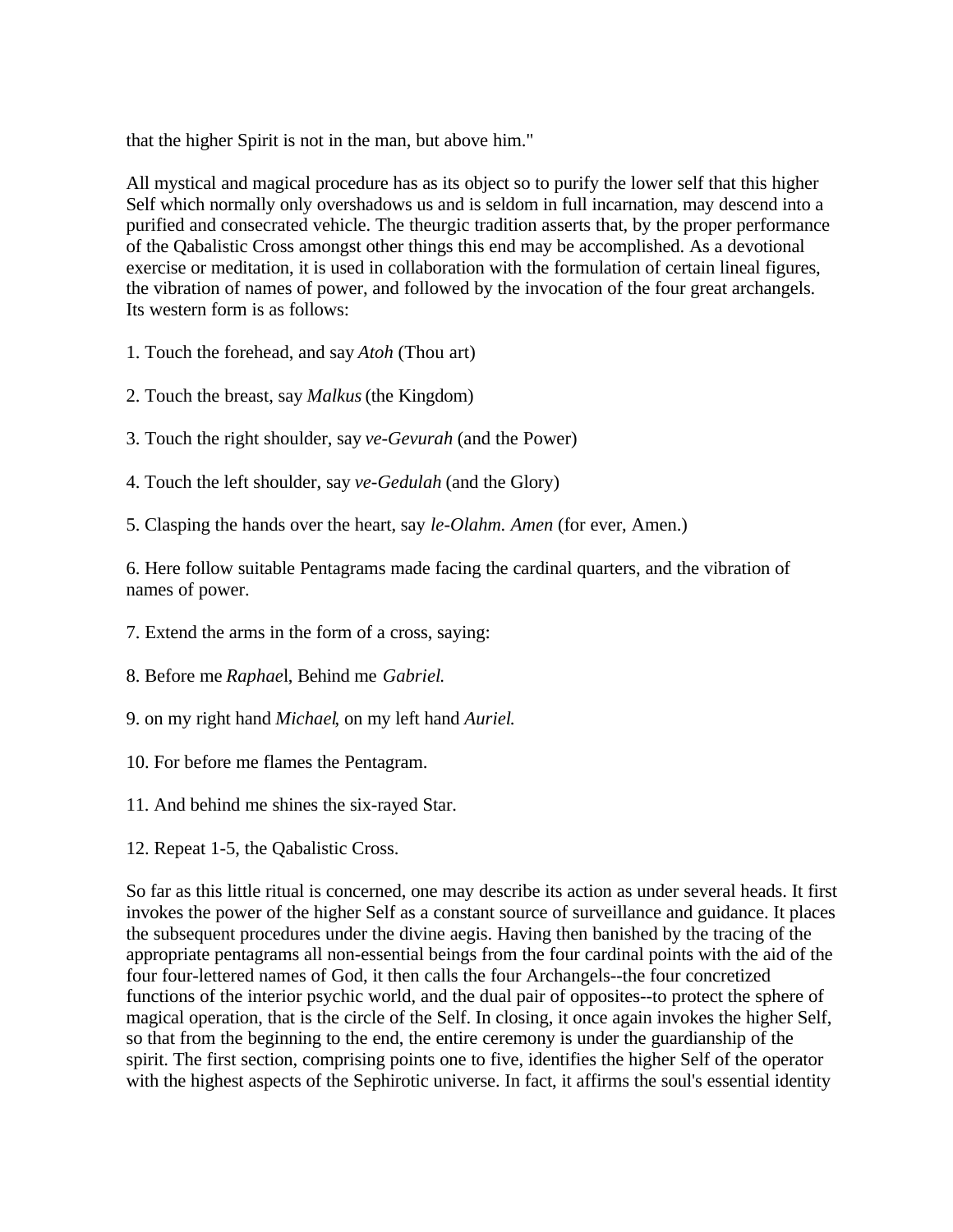that the higher Spirit is not in the man, but above him."

All mystical and magical procedure has as its object so to purify the lower self that this higher Self which normally only overshadows us and is seldom in full incarnation, may descend into a purified and consecrated vehicle. The theurgic tradition asserts that, by the proper performance of the Qabalistic Cross amongst other things this end may be accomplished. As a devotional exercise or meditation, it is used in collaboration with the formulation of certain lineal figures, the vibration of names of power, and followed by the invocation of the four great archangels. Its western form is as follows:

- 1. Touch the forehead, and say *Atoh* (Thou art)
- 2. Touch the breast, say *Malkus* (the Kingdom)
- 3. Touch the right shoulder, say *ve-Gevurah* (and the Power)
- 4. Touch the left shoulder, say *ve-Gedulah* (and the Glory)
- 5. Clasping the hands over the heart, say *le-Olahm. Amen* (for ever, Amen.)

6. Here follow suitable Pentagrams made facing the cardinal quarters, and the vibration of names of power.

- 7. Extend the arms in the form of a cross, saying:
- 8. Before me *Raphae*l, Behind me *Gabriel*.
- 9. on my right hand *Michael*, on my left hand *Auriel*.
- 10. For before me flames the Pentagram.
- 11. And behind me shines the six-rayed Star.
- 12. Repeat 1-5, the Qabalistic Cross.

So far as this little ritual is concerned, one may describe its action as under several heads. It first invokes the power of the higher Self as a constant source of surveillance and guidance. It places the subsequent procedures under the divine aegis. Having then banished by the tracing of the appropriate pentagrams all non-essential beings from the four cardinal points with the aid of the four four-lettered names of God, it then calls the four Archangels--the four concretized functions of the interior psychic world, and the dual pair of opposites--to protect the sphere of magical operation, that is the circle of the Self. In closing, it once again invokes the higher Self, so that from the beginning to the end, the entire ceremony is under the guardianship of the spirit. The first section, comprising points one to five, identifies the higher Self of the operator with the highest aspects of the Sephirotic universe. In fact, it affirms the soul's essential identity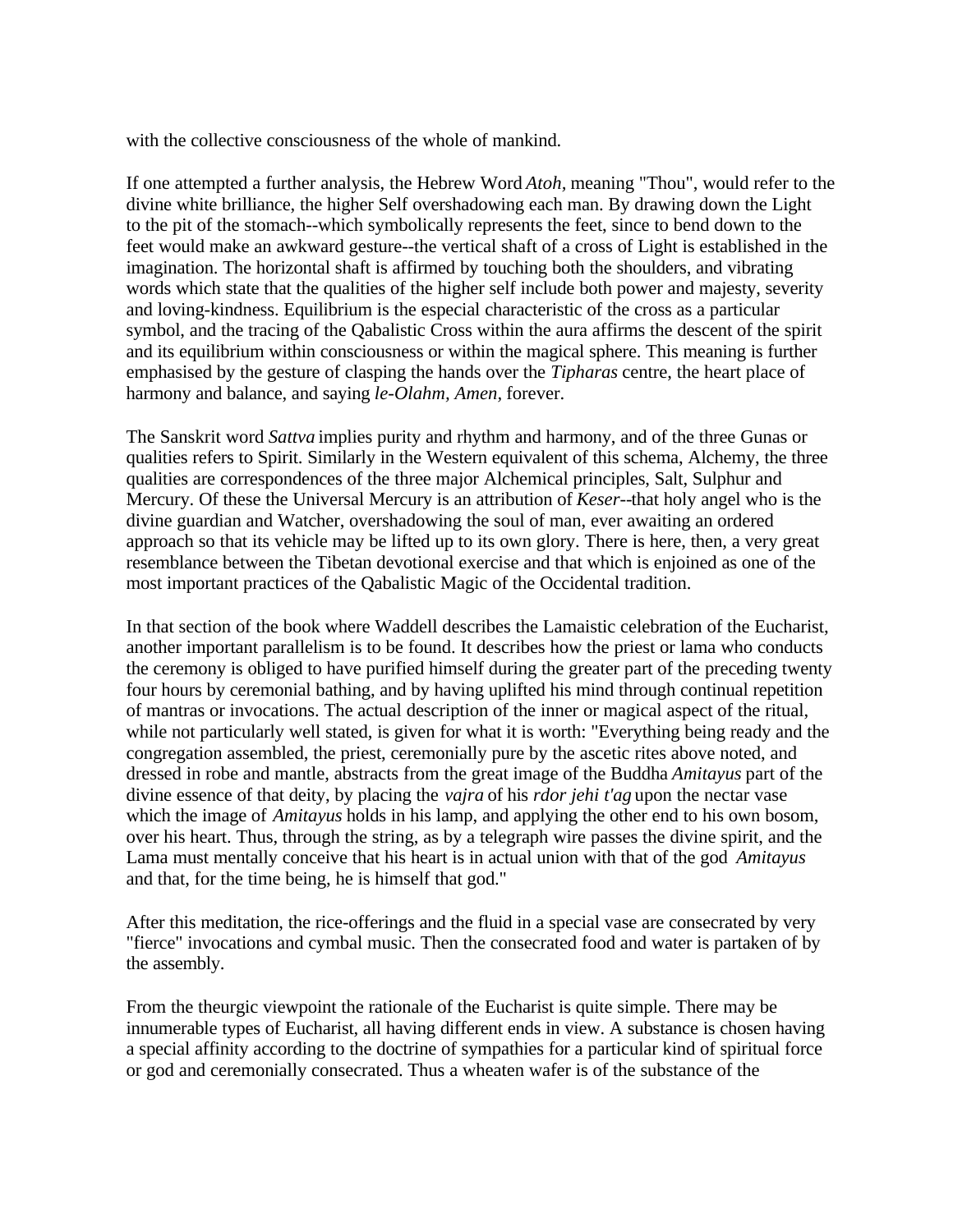with the collective consciousness of the whole of mankind.

If one attempted a further analysis, the Hebrew Word *Atoh,* meaning "Thou", would refer to the divine white brilliance, the higher Self overshadowing each man. By drawing down the Light to the pit of the stomach--which symbolically represents the feet, since to bend down to the feet would make an awkward gesture--the vertical shaft of a cross of Light is established in the imagination. The horizontal shaft is affirmed by touching both the shoulders, and vibrating words which state that the qualities of the higher self include both power and majesty, severity and loving-kindness. Equilibrium is the especial characteristic of the cross as a particular symbol, and the tracing of the Qabalistic Cross within the aura affirms the descent of the spirit and its equilibrium within consciousness or within the magical sphere. This meaning is further emphasised by the gesture of clasping the hands over the *Tipharas* centre, the heart place of harmony and balance, and saying *le-Olahm, Amen,* forever.

The Sanskrit word *Sattva* implies purity and rhythm and harmony, and of the three Gunas or qualities refers to Spirit. Similarly in the Western equivalent of this schema, Alchemy, the three qualities are correspondences of the three major Alchemical principles, Salt, Sulphur and Mercury. Of these the Universal Mercury is an attribution of *Keser--*that holy angel who is the divine guardian and Watcher, overshadowing the soul of man, ever awaiting an ordered approach so that its vehicle may be lifted up to its own glory. There is here, then, a very great resemblance between the Tibetan devotional exercise and that which is enjoined as one of the most important practices of the Qabalistic Magic of the Occidental tradition.

In that section of the book where Waddell describes the Lamaistic celebration of the Eucharist, another important parallelism is to be found. It describes how the priest or lama who conducts the ceremony is obliged to have purified himself during the greater part of the preceding twenty four hours by ceremonial bathing, and by having uplifted his mind through continual repetition of mantras or invocations. The actual description of the inner or magical aspect of the ritual, while not particularly well stated, is given for what it is worth: "Everything being ready and the congregation assembled, the priest, ceremonially pure by the ascetic rites above noted, and dressed in robe and mantle, abstracts from the great image of the Buddha *Amitayus* part of the divine essence of that deity, by placing the *vajra* of his *rdor jehi t'ag* upon the nectar vase which the image of *Amitayus* holds in his lamp, and applying the other end to his own bosom, over his heart. Thus, through the string, as by a telegraph wire passes the divine spirit, and the Lama must mentally conceive that his heart is in actual union with that of the god *Amitayus*  and that, for the time being, he is himself that god."

After this meditation, the rice-offerings and the fluid in a special vase are consecrated by very "fierce" invocations and cymbal music. Then the consecrated food and water is partaken of by the assembly.

From the theurgic viewpoint the rationale of the Eucharist is quite simple. There may be innumerable types of Eucharist, all having different ends in view. A substance is chosen having a special affinity according to the doctrine of sympathies for a particular kind of spiritual force or god and ceremonially consecrated. Thus a wheaten wafer is of the substance of the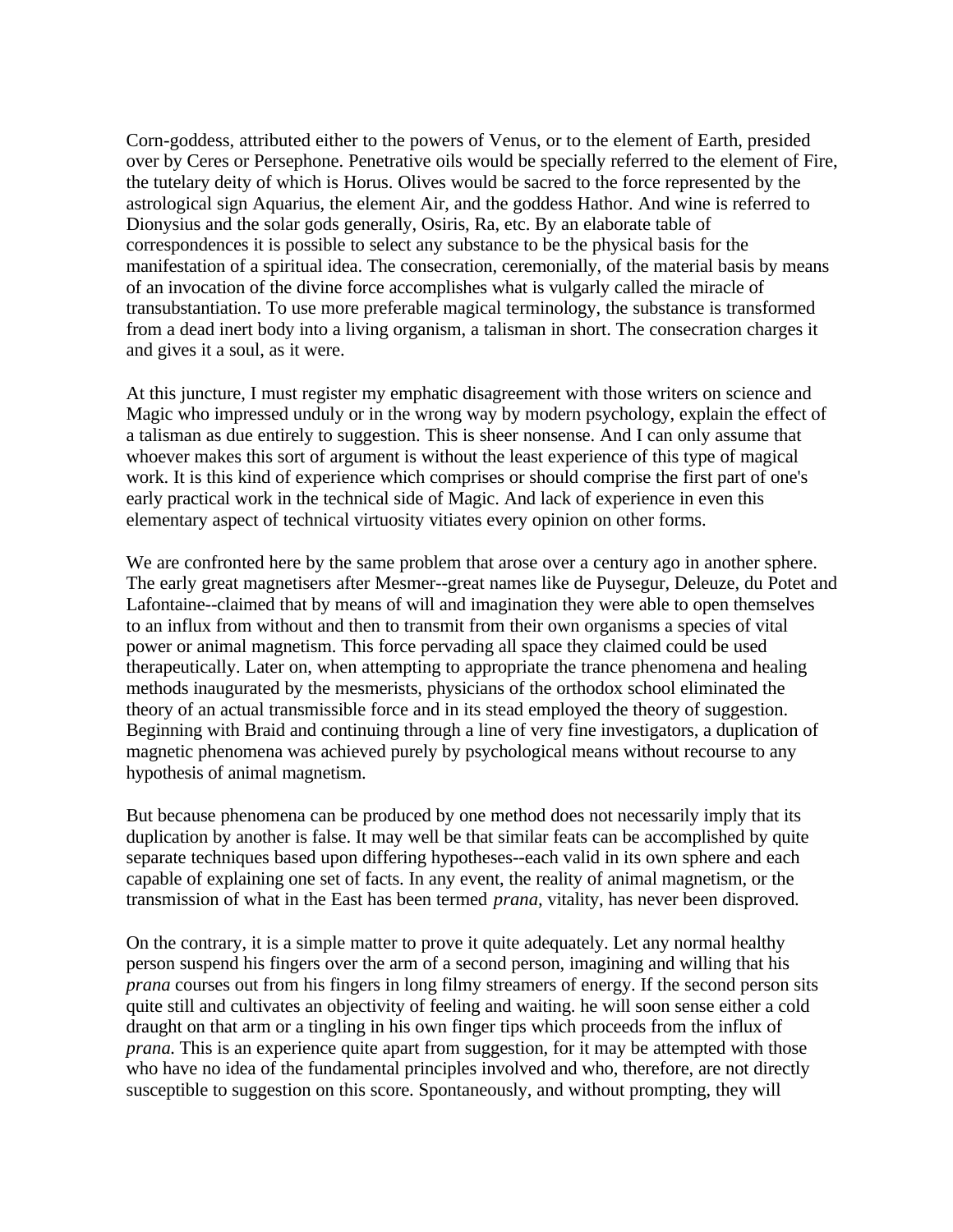Corn-goddess, attributed either to the powers of Venus, or to the element of Earth, presided over by Ceres or Persephone. Penetrative oils would be specially referred to the element of Fire, the tutelary deity of which is Horus. Olives would be sacred to the force represented by the astrological sign Aquarius, the element Air, and the goddess Hathor. And wine is referred to Dionysius and the solar gods generally, Osiris, Ra, etc. By an elaborate table of correspondences it is possible to select any substance to be the physical basis for the manifestation of a spiritual idea. The consecration, ceremonially, of the material basis by means of an invocation of the divine force accomplishes what is vulgarly called the miracle of transubstantiation. To use more preferable magical terminology, the substance is transformed from a dead inert body into a living organism, a talisman in short. The consecration charges it and gives it a soul, as it were.

At this juncture, I must register my emphatic disagreement with those writers on science and Magic who impressed unduly or in the wrong way by modern psychology, explain the effect of a talisman as due entirely to suggestion. This is sheer nonsense. And I can only assume that whoever makes this sort of argument is without the least experience of this type of magical work. It is this kind of experience which comprises or should comprise the first part of one's early practical work in the technical side of Magic. And lack of experience in even this elementary aspect of technical virtuosity vitiates every opinion on other forms.

We are confronted here by the same problem that arose over a century ago in another sphere. The early great magnetisers after Mesmer--great names like de Puysegur, Deleuze, du Potet and Lafontaine--claimed that by means of will and imagination they were able to open themselves to an influx from without and then to transmit from their own organisms a species of vital power or animal magnetism. This force pervading all space they claimed could be used therapeutically. Later on, when attempting to appropriate the trance phenomena and healing methods inaugurated by the mesmerists, physicians of the orthodox school eliminated the theory of an actual transmissible force and in its stead employed the theory of suggestion. Beginning with Braid and continuing through a line of very fine investigators, a duplication of magnetic phenomena was achieved purely by psychological means without recourse to any hypothesis of animal magnetism.

But because phenomena can be produced by one method does not necessarily imply that its duplication by another is false. It may well be that similar feats can be accomplished by quite separate techniques based upon differing hypotheses--each valid in its own sphere and each capable of explaining one set of facts. In any event, the reality of animal magnetism, or the transmission of what in the East has been termed *prana,* vitality, has never been disproved.

On the contrary, it is a simple matter to prove it quite adequately. Let any normal healthy person suspend his fingers over the arm of a second person, imagining and willing that his *prana* courses out from his fingers in long filmy streamers of energy. If the second person sits quite still and cultivates an objectivity of feeling and waiting. he will soon sense either a cold draught on that arm or a tingling in his own finger tips which proceeds from the influx of *prana.* This is an experience quite apart from suggestion, for it may be attempted with those who have no idea of the fundamental principles involved and who, therefore, are not directly susceptible to suggestion on this score. Spontaneously, and without prompting, they will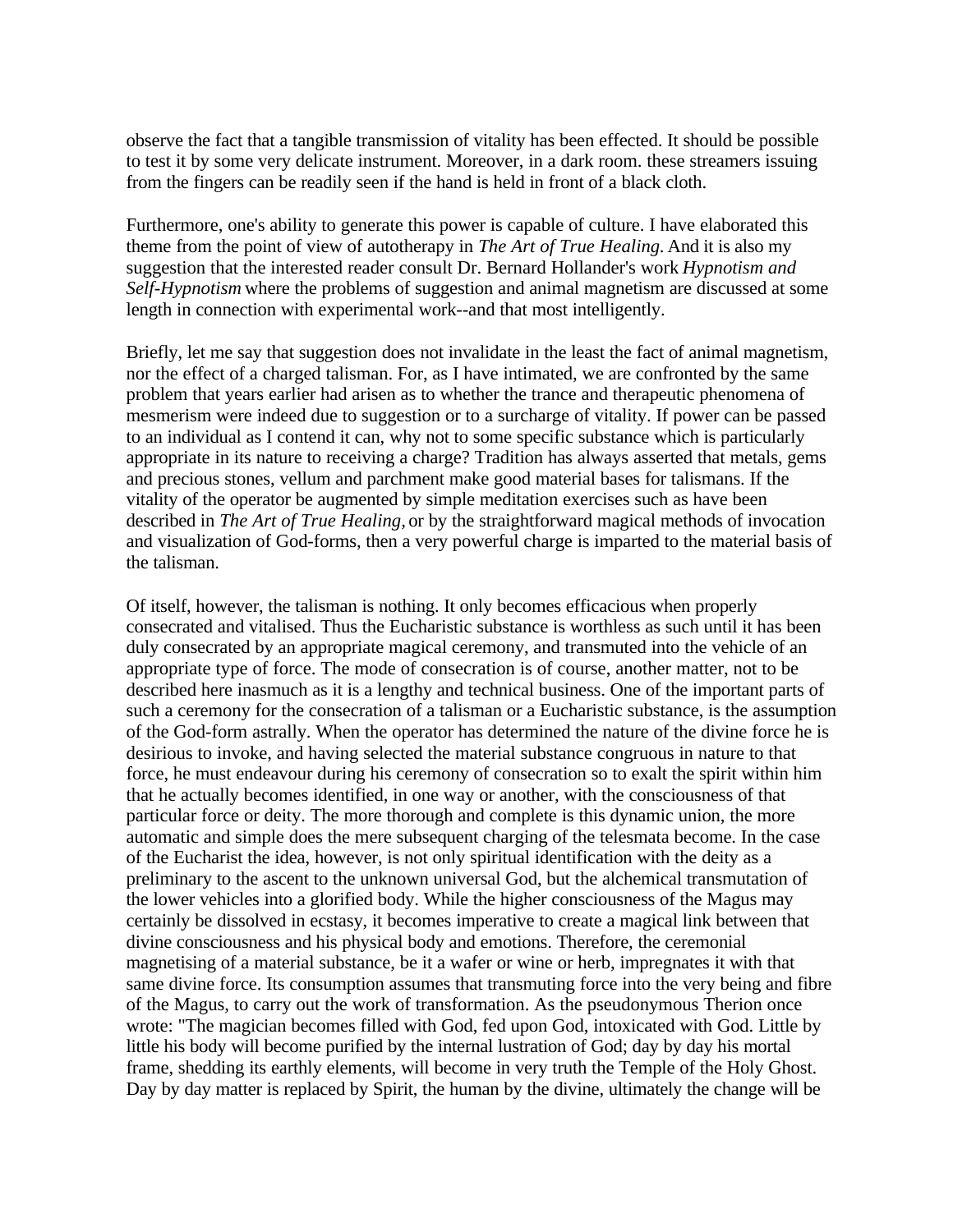observe the fact that a tangible transmission of vitality has been effected. It should be possible to test it by some very delicate instrument. Moreover, in a dark room. these streamers issuing from the fingers can be readily seen if the hand is held in front of a black cloth.

Furthermore, one's ability to generate this power is capable of culture. I have elaborated this theme from the point of view of autotherapy in *The Art of True Healing.* And it is also my suggestion that the interested reader consult Dr. Bernard Hollander's work *Hypnotism and Self-Hypnotism* where the problems of suggestion and animal magnetism are discussed at some length in connection with experimental work--and that most intelligently.

Briefly, let me say that suggestion does not invalidate in the least the fact of animal magnetism, nor the effect of a charged talisman. For, as I have intimated, we are confronted by the same problem that years earlier had arisen as to whether the trance and therapeutic phenomena of mesmerism were indeed due to suggestion or to a surcharge of vitality. If power can be passed to an individual as I contend it can, why not to some specific substance which is particularly appropriate in its nature to receiving a charge? Tradition has always asserted that metals, gems and precious stones, vellum and parchment make good material bases for talismans. If the vitality of the operator be augmented by simple meditation exercises such as have been described in *The Art of True Healing,* or by the straightforward magical methods of invocation and visualization of God-forms, then a very powerful charge is imparted to the material basis of the talisman.

Of itself, however, the talisman is nothing. It only becomes efficacious when properly consecrated and vitalised. Thus the Eucharistic substance is worthless as such until it has been duly consecrated by an appropriate magical ceremony, and transmuted into the vehicle of an appropriate type of force. The mode of consecration is of course, another matter, not to be described here inasmuch as it is a lengthy and technical business. One of the important parts of such a ceremony for the consecration of a talisman or a Eucharistic substance, is the assumption of the God-form astrally. When the operator has determined the nature of the divine force he is desirious to invoke, and having selected the material substance congruous in nature to that force, he must endeavour during his ceremony of consecration so to exalt the spirit within him that he actually becomes identified, in one way or another, with the consciousness of that particular force or deity. The more thorough and complete is this dynamic union, the more automatic and simple does the mere subsequent charging of the telesmata become. In the case of the Eucharist the idea, however, is not only spiritual identification with the deity as a preliminary to the ascent to the unknown universal God, but the alchemical transmutation of the lower vehicles into a glorified body. While the higher consciousness of the Magus may certainly be dissolved in ecstasy, it becomes imperative to create a magical link between that divine consciousness and his physical body and emotions. Therefore, the ceremonial magnetising of a material substance, be it a wafer or wine or herb, impregnates it with that same divine force. Its consumption assumes that transmuting force into the very being and fibre of the Magus, to carry out the work of transformation. As the pseudonymous Therion once wrote: "The magician becomes filled with God, fed upon God, intoxicated with God. Little by little his body will become purified by the internal lustration of God; day by day his mortal frame, shedding its earthly elements, will become in very truth the Temple of the Holy Ghost. Day by day matter is replaced by Spirit, the human by the divine, ultimately the change will be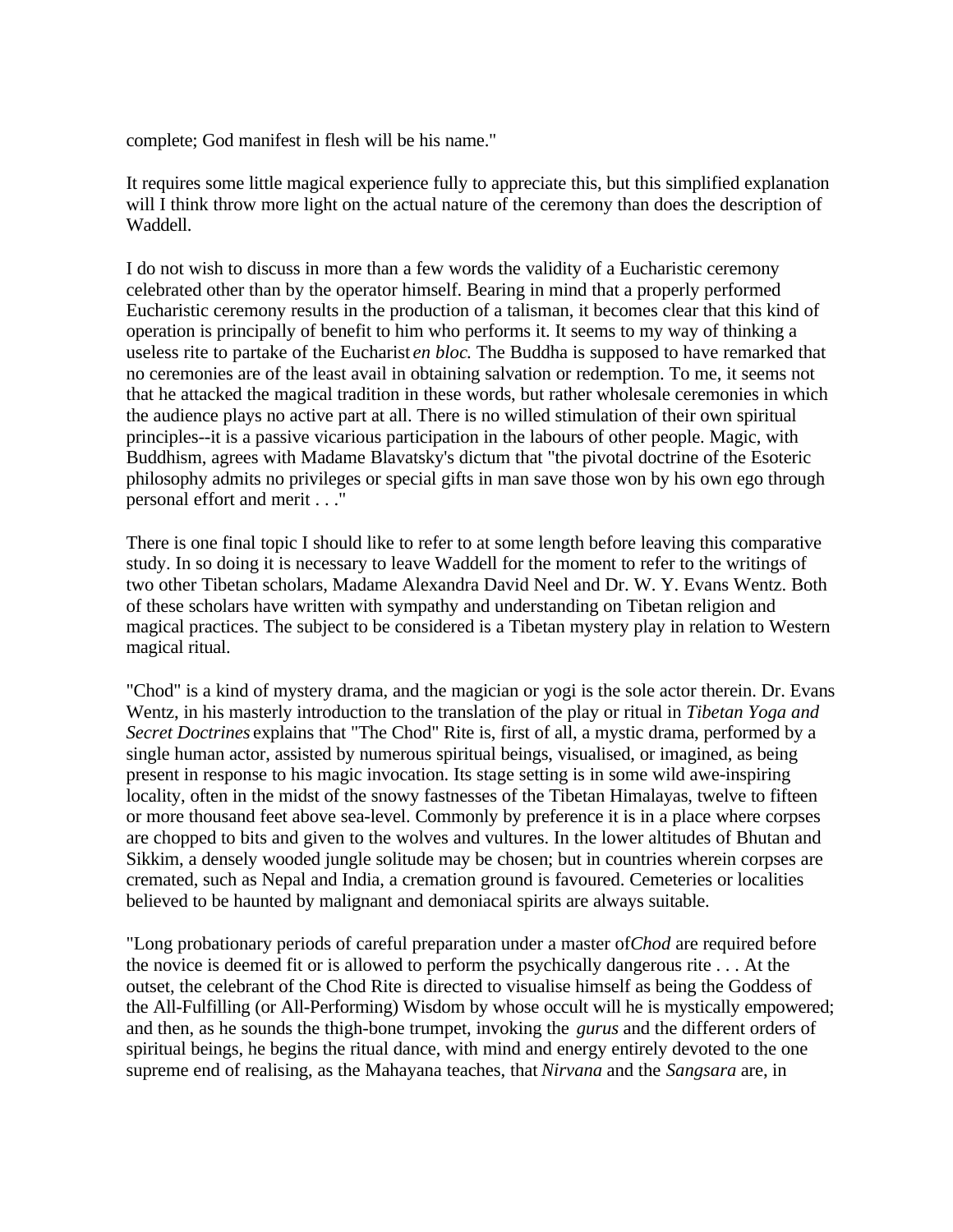complete; God manifest in flesh will be his name."

It requires some little magical experience fully to appreciate this, but this simplified explanation will I think throw more light on the actual nature of the ceremony than does the description of Waddell.

I do not wish to discuss in more than a few words the validity of a Eucharistic ceremony celebrated other than by the operator himself. Bearing in mind that a properly performed Eucharistic ceremony results in the production of a talisman, it becomes clear that this kind of operation is principally of benefit to him who performs it. It seems to my way of thinking a useless rite to partake of the Eucharist *en bloc*. The Buddha is supposed to have remarked that no ceremonies are of the least avail in obtaining salvation or redemption. To me, it seems not that he attacked the magical tradition in these words, but rather wholesale ceremonies in which the audience plays no active part at all. There is no willed stimulation of their own spiritual principles--it is a passive vicarious participation in the labours of other people. Magic, with Buddhism, agrees with Madame Blavatsky's dictum that "the pivotal doctrine of the Esoteric philosophy admits no privileges or special gifts in man save those won by his own ego through personal effort and merit . . ."

There is one final topic I should like to refer to at some length before leaving this comparative study. In so doing it is necessary to leave Waddell for the moment to refer to the writings of two other Tibetan scholars, Madame Alexandra David Neel and Dr. W. Y. Evans Wentz. Both of these scholars have written with sympathy and understanding on Tibetan religion and magical practices. The subject to be considered is a Tibetan mystery play in relation to Western magical ritual.

"Chod" is a kind of mystery drama, and the magician or yogi is the sole actor therein. Dr. Evans Wentz, in his masterly introduction to the translation of the play or ritual in *Tibetan Yoga and Secret Doctrines* explains that "The Chod" Rite is, first of all, a mystic drama, performed by a single human actor, assisted by numerous spiritual beings, visualised, or imagined, as being present in response to his magic invocation. Its stage setting is in some wild awe-inspiring locality, often in the midst of the snowy fastnesses of the Tibetan Himalayas, twelve to fifteen or more thousand feet above sea-level. Commonly by preference it is in a place where corpses are chopped to bits and given to the wolves and vultures. In the lower altitudes of Bhutan and Sikkim, a densely wooded jungle solitude may be chosen; but in countries wherein corpses are cremated, such as Nepal and India, a cremation ground is favoured. Cemeteries or localities believed to be haunted by malignant and demoniacal spirits are always suitable.

"Long probationary periods of careful preparation under a master of *Chod* are required before the novice is deemed fit or is allowed to perform the psychically dangerous rite . . . At the outset, the celebrant of the Chod Rite is directed to visualise himself as being the Goddess of the All-Fulfilling (or All-Performing) Wisdom by whose occult will he is mystically empowered; and then, as he sounds the thigh-bone trumpet, invoking the *gurus* and the different orders of spiritual beings, he begins the ritual dance, with mind and energy entirely devoted to the one supreme end of realising, as the Mahayana teaches, that *Nirvana* and the *Sangsara* are, in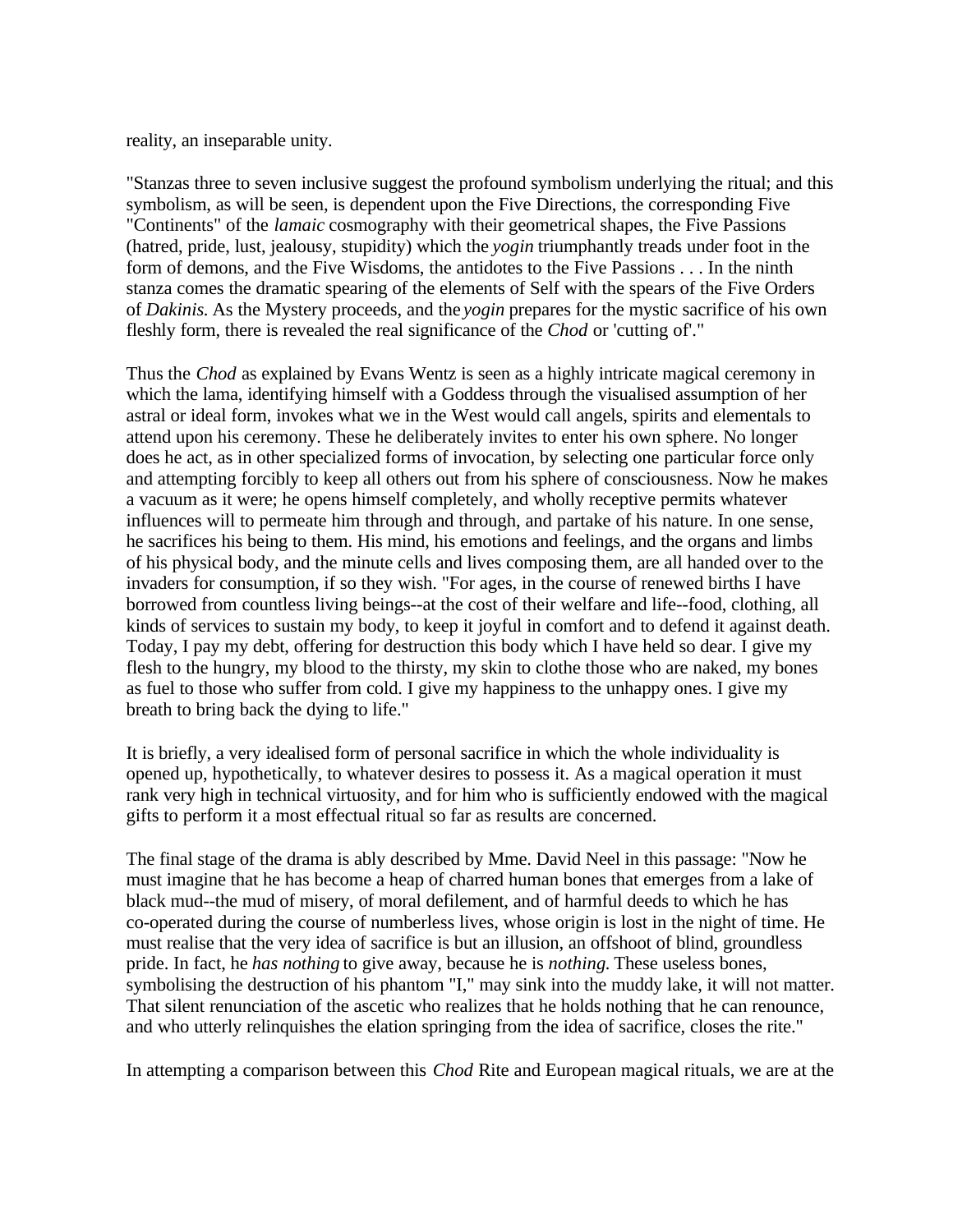reality, an inseparable unity.

"Stanzas three to seven inclusive suggest the profound symbolism underlying the ritual; and this symbolism, as will be seen, is dependent upon the Five Directions, the corresponding Five "Continents" of the *lamaic* cosmography with their geometrical shapes, the Five Passions (hatred, pride, lust, jealousy, stupidity) which the *yogin* triumphantly treads under foot in the form of demons, and the Five Wisdoms, the antidotes to the Five Passions . . . In the ninth stanza comes the dramatic spearing of the elements of Self with the spears of the Five Orders of *Dakinis.* As the Mystery proceeds, and the *yogin* prepares for the mystic sacrifice of his own fleshly form, there is revealed the real significance of the *Chod* or 'cutting of'."

Thus the *Chod* as explained by Evans Wentz is seen as a highly intricate magical ceremony in which the lama, identifying himself with a Goddess through the visualised assumption of her astral or ideal form, invokes what we in the West would call angels, spirits and elementals to attend upon his ceremony. These he deliberately invites to enter his own sphere. No longer does he act, as in other specialized forms of invocation, by selecting one particular force only and attempting forcibly to keep all others out from his sphere of consciousness. Now he makes a vacuum as it were; he opens himself completely, and wholly receptive permits whatever influences will to permeate him through and through, and partake of his nature. In one sense, he sacrifices his being to them. His mind, his emotions and feelings, and the organs and limbs of his physical body, and the minute cells and lives composing them, are all handed over to the invaders for consumption, if so they wish. "For ages, in the course of renewed births I have borrowed from countless living beings--at the cost of their welfare and life--food, clothing, all kinds of services to sustain my body, to keep it joyful in comfort and to defend it against death. Today, I pay my debt, offering for destruction this body which I have held so dear. I give my flesh to the hungry, my blood to the thirsty, my skin to clothe those who are naked, my bones as fuel to those who suffer from cold. I give my happiness to the unhappy ones. I give my breath to bring back the dying to life."

It is briefly, a very idealised form of personal sacrifice in which the whole individuality is opened up, hypothetically, to whatever desires to possess it. As a magical operation it must rank very high in technical virtuosity, and for him who is sufficiently endowed with the magical gifts to perform it a most effectual ritual so far as results are concerned.

The final stage of the drama is ably described by Mme. David Neel in this passage: "Now he must imagine that he has become a heap of charred human bones that emerges from a lake of black mud--the mud of misery, of moral defilement, and of harmful deeds to which he has co-operated during the course of numberless lives, whose origin is lost in the night of time. He must realise that the very idea of sacrifice is but an illusion, an offshoot of blind, groundless pride. In fact, he *has nothing* to give away, because he is *nothing.* These useless bones, symbolising the destruction of his phantom "I," may sink into the muddy lake, it will not matter. That silent renunciation of the ascetic who realizes that he holds nothing that he can renounce, and who utterly relinquishes the elation springing from the idea of sacrifice, closes the rite."

In attempting a comparison between this *Chod* Rite and European magical rituals, we are at the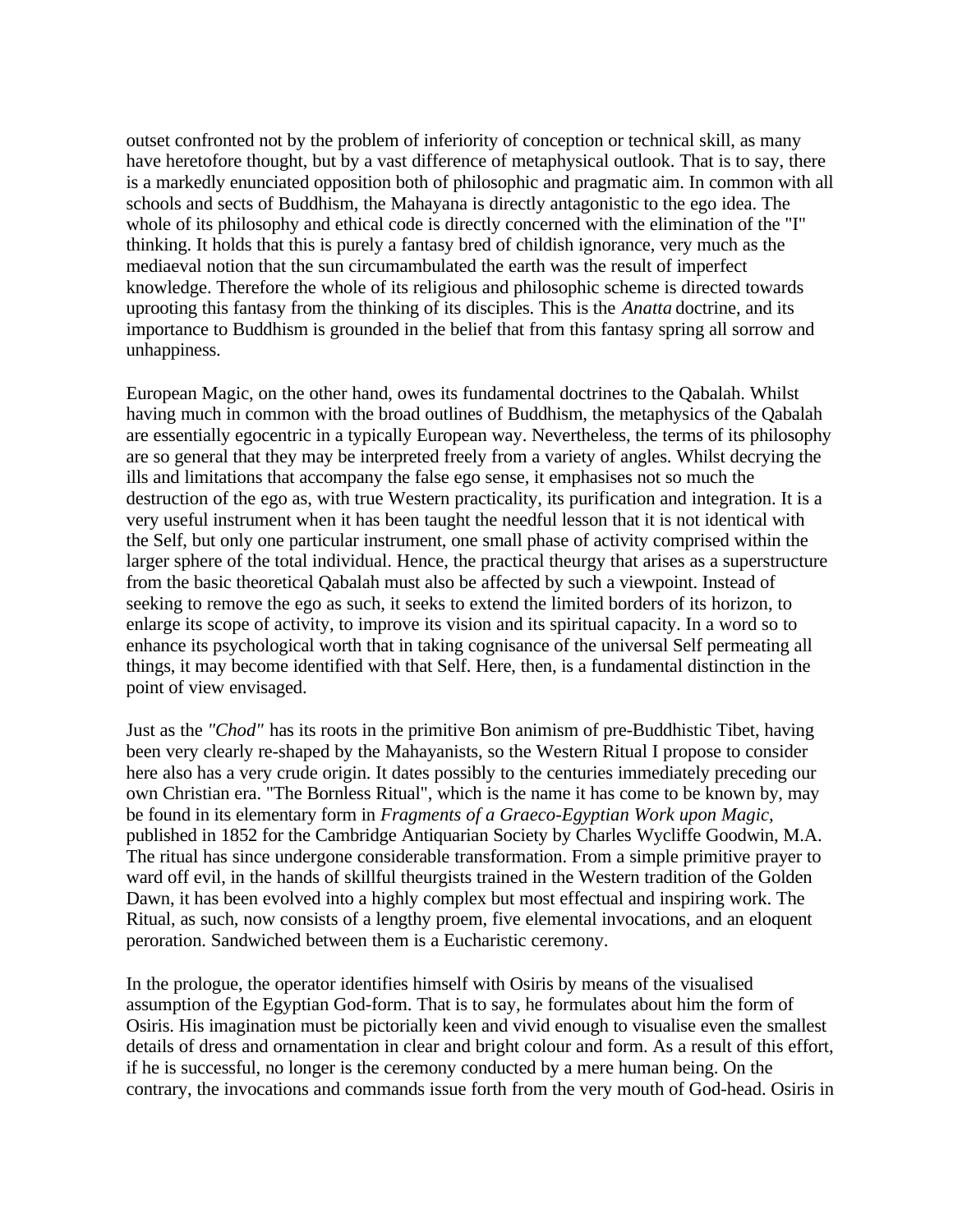outset confronted not by the problem of inferiority of conception or technical skill, as many have heretofore thought, but by a vast difference of metaphysical outlook. That is to say, there is a markedly enunciated opposition both of philosophic and pragmatic aim. In common with all schools and sects of Buddhism, the Mahayana is directly antagonistic to the ego idea. The whole of its philosophy and ethical code is directly concerned with the elimination of the "I" thinking. It holds that this is purely a fantasy bred of childish ignorance, very much as the mediaeval notion that the sun circumambulated the earth was the result of imperfect knowledge. Therefore the whole of its religious and philosophic scheme is directed towards uprooting this fantasy from the thinking of its disciples. This is the *Anatta* doctrine, and its importance to Buddhism is grounded in the belief that from this fantasy spring all sorrow and unhappiness.

European Magic, on the other hand, owes its fundamental doctrines to the Qabalah. Whilst having much in common with the broad outlines of Buddhism, the metaphysics of the Qabalah are essentially egocentric in a typically European way. Nevertheless, the terms of its philosophy are so general that they may be interpreted freely from a variety of angles. Whilst decrying the ills and limitations that accompany the false ego sense, it emphasises not so much the destruction of the ego as, with true Western practicality, its purification and integration. It is a very useful instrument when it has been taught the needful lesson that it is not identical with the Self, but only one particular instrument, one small phase of activity comprised within the larger sphere of the total individual. Hence, the practical theurgy that arises as a superstructure from the basic theoretical Qabalah must also be affected by such a viewpoint. Instead of seeking to remove the ego as such, it seeks to extend the limited borders of its horizon, to enlarge its scope of activity, to improve its vision and its spiritual capacity. In a word so to enhance its psychological worth that in taking cognisance of the universal Self permeating all things, it may become identified with that Self. Here, then, is a fundamental distinction in the point of view envisaged.

Just as the *"Chod"* has its roots in the primitive Bon animism of pre-Buddhistic Tibet, having been very clearly re-shaped by the Mahayanists, so the Western Ritual I propose to consider here also has a very crude origin. It dates possibly to the centuries immediately preceding our own Christian era. "The Bornless Ritual", which is the name it has come to be known by, may be found in its elementary form in *Fragments of a Graeco-Egyptian Work upon Magic,*  published in 1852 for the Cambridge Antiquarian Society by Charles Wycliffe Goodwin, M.A. The ritual has since undergone considerable transformation. From a simple primitive prayer to ward off evil, in the hands of skillful theurgists trained in the Western tradition of the Golden Dawn, it has been evolved into a highly complex but most effectual and inspiring work. The Ritual, as such, now consists of a lengthy proem, five elemental invocations, and an eloquent peroration. Sandwiched between them is a Eucharistic ceremony.

In the prologue, the operator identifies himself with Osiris by means of the visualised assumption of the Egyptian God-form. That is to say, he formulates about him the form of Osiris. His imagination must be pictorially keen and vivid enough to visualise even the smallest details of dress and ornamentation in clear and bright colour and form. As a result of this effort, if he is successful, no longer is the ceremony conducted by a mere human being. On the contrary, the invocations and commands issue forth from the very mouth of God-head. Osiris in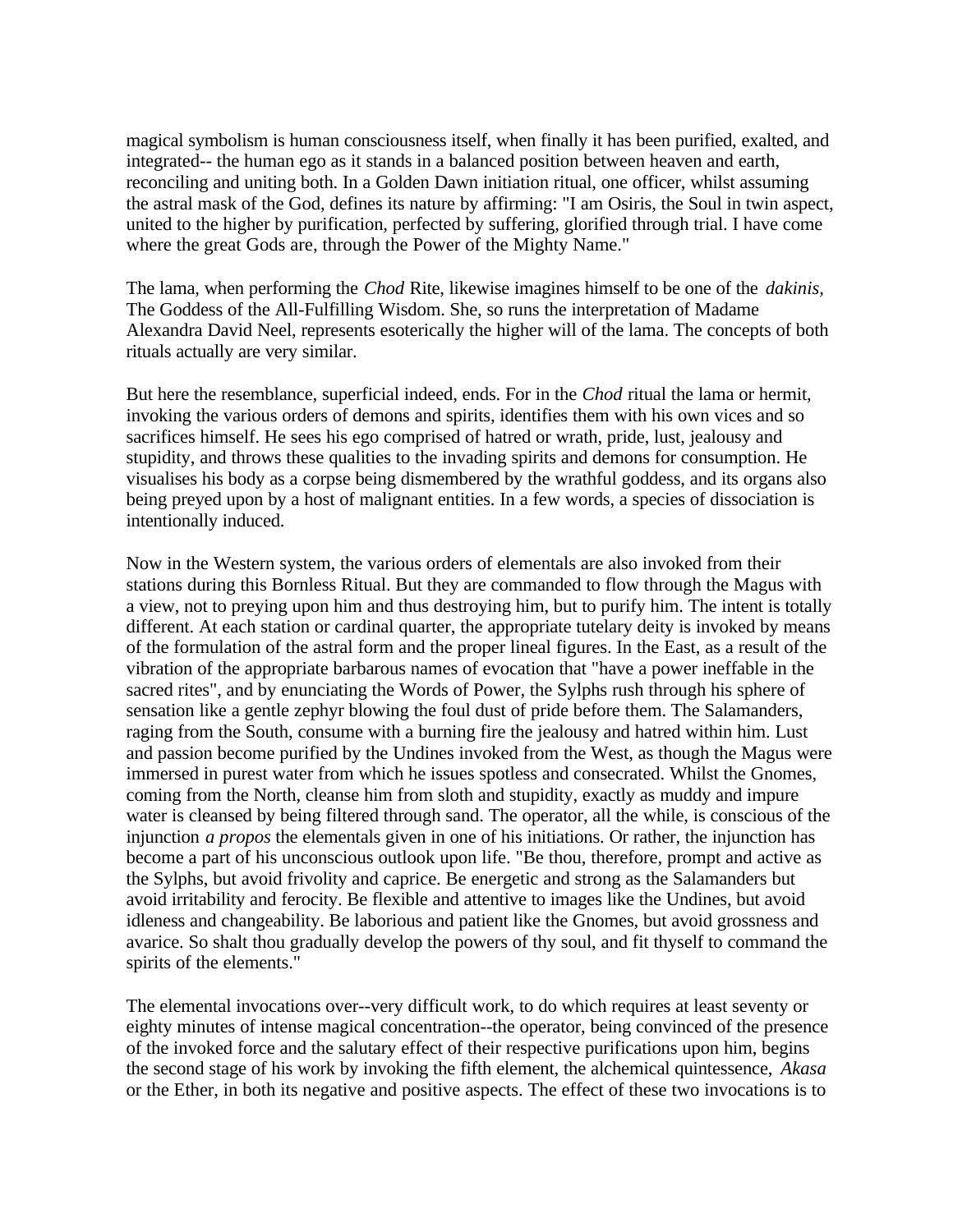magical symbolism is human consciousness itself, when finally it has been purified, exalted, and integrated-- the human ego as it stands in a balanced position between heaven and earth, reconciling and uniting both. In a Golden Dawn initiation ritual, one officer, whilst assuming the astral mask of the God, defines its nature by affirming: "I am Osiris, the Soul in twin aspect, united to the higher by purification, perfected by suffering, glorified through trial. I have come where the great Gods are, through the Power of the Mighty Name."

The lama, when performing the *Chod* Rite, likewise imagines himself to be one of the *dakinis,*  The Goddess of the All-Fulfilling Wisdom. She, so runs the interpretation of Madame Alexandra David Neel, represents esoterically the higher will of the lama. The concepts of both rituals actually are very similar.

But here the resemblance, superficial indeed, ends. For in the *Chod* ritual the lama or hermit, invoking the various orders of demons and spirits, identifies them with his own vices and so sacrifices himself. He sees his ego comprised of hatred or wrath, pride, lust, jealousy and stupidity, and throws these qualities to the invading spirits and demons for consumption. He visualises his body as a corpse being dismembered by the wrathful goddess, and its organs also being preyed upon by a host of malignant entities. In a few words, a species of dissociation is intentionally induced.

Now in the Western system, the various orders of elementals are also invoked from their stations during this Bornless Ritual. But they are commanded to flow through the Magus with a view, not to preying upon him and thus destroying him, but to purify him. The intent is totally different. At each station or cardinal quarter, the appropriate tutelary deity is invoked by means of the formulation of the astral form and the proper lineal figures. In the East, as a result of the vibration of the appropriate barbarous names of evocation that "have a power ineffable in the sacred rites", and by enunciating the Words of Power, the Sylphs rush through his sphere of sensation like a gentle zephyr blowing the foul dust of pride before them. The Salamanders, raging from the South, consume with a burning fire the jealousy and hatred within him. Lust and passion become purified by the Undines invoked from the West, as though the Magus were immersed in purest water from which he issues spotless and consecrated. Whilst the Gnomes, coming from the North, cleanse him from sloth and stupidity, exactly as muddy and impure water is cleansed by being filtered through sand. The operator, all the while, is conscious of the injunction *a propos* the elementals given in one of his initiations. Or rather, the injunction has become a part of his unconscious outlook upon life. "Be thou, therefore, prompt and active as the Sylphs, but avoid frivolity and caprice. Be energetic and strong as the Salamanders but avoid irritability and ferocity. Be flexible and attentive to images like the Undines, but avoid idleness and changeability. Be laborious and patient like the Gnomes, but avoid grossness and avarice. So shalt thou gradually develop the powers of thy soul, and fit thyself to command the spirits of the elements."

The elemental invocations over--very difficult work, to do which requires at least seventy or eighty minutes of intense magical concentration--the operator, being convinced of the presence of the invoked force and the salutary effect of their respective purifications upon him, begins the second stage of his work by invoking the fifth element, the alchemical quintessence, *Akasa*  or the Ether, in both its negative and positive aspects. The effect of these two invocations is to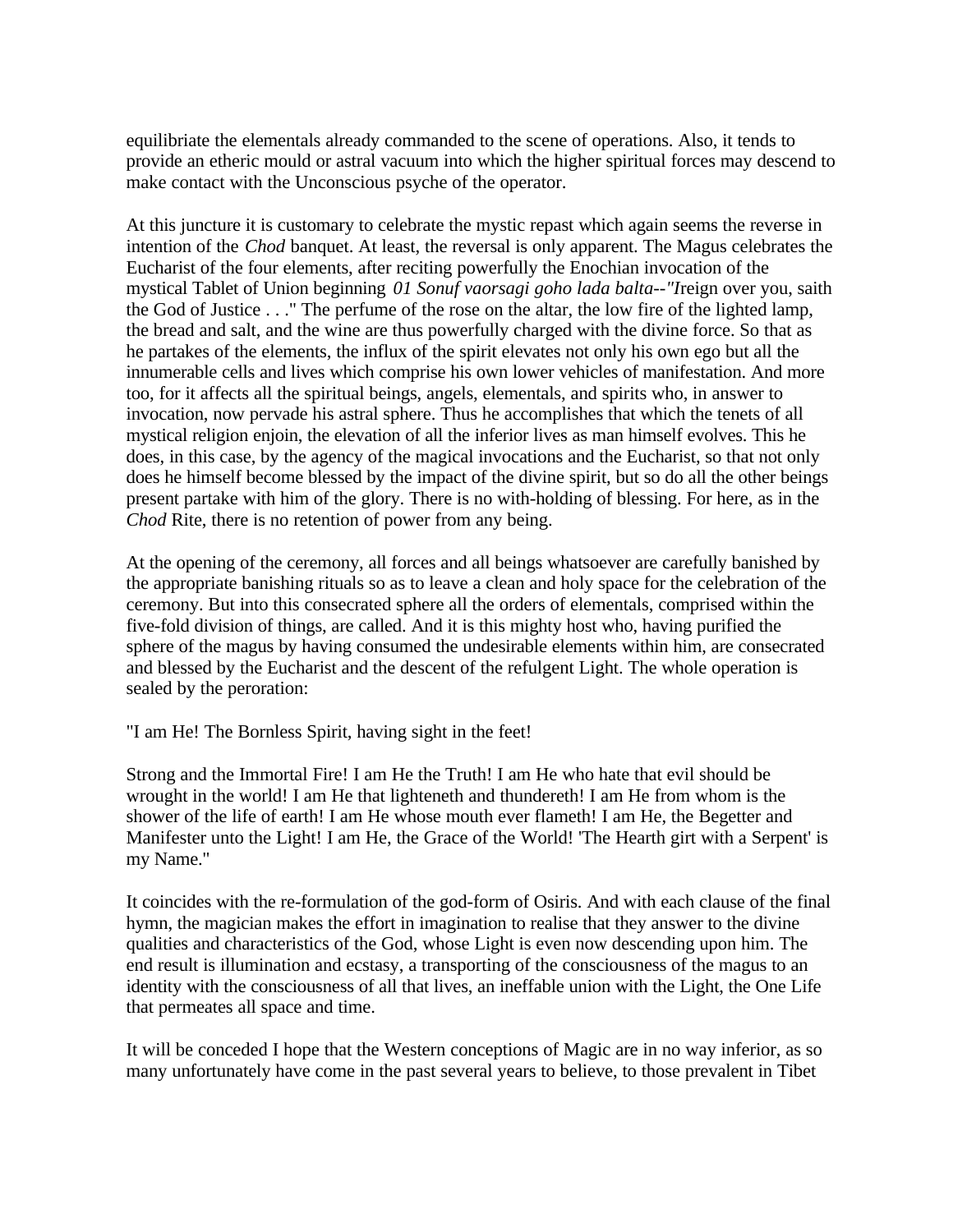equilibriate the elementals already commanded to the scene of operations. Also, it tends to provide an etheric mould or astral vacuum into which the higher spiritual forces may descend to make contact with the Unconscious psyche of the operator.

At this juncture it is customary to celebrate the mystic repast which again seems the reverse in intention of the *Chod* banquet. At least, the reversal is only apparent. The Magus celebrates the Eucharist of the four elements, after reciting powerfully the Enochian invocation of the mystical Tablet of Union beginning *01 Sonuf vaorsagi goho lada balta--"I* reign over you, saith the God of Justice . . ." The perfume of the rose on the altar, the low fire of the lighted lamp, the bread and salt, and the wine are thus powerfully charged with the divine force. So that as he partakes of the elements, the influx of the spirit elevates not only his own ego but all the innumerable cells and lives which comprise his own lower vehicles of manifestation. And more too, for it affects all the spiritual beings, angels, elementals, and spirits who, in answer to invocation, now pervade his astral sphere. Thus he accomplishes that which the tenets of all mystical religion enjoin, the elevation of all the inferior lives as man himself evolves. This he does, in this case, by the agency of the magical invocations and the Eucharist, so that not only does he himself become blessed by the impact of the divine spirit, but so do all the other beings present partake with him of the glory. There is no with-holding of blessing. For here, as in the *Chod* Rite, there is no retention of power from any being.

At the opening of the ceremony, all forces and all beings whatsoever are carefully banished by the appropriate banishing rituals so as to leave a clean and holy space for the celebration of the ceremony. But into this consecrated sphere all the orders of elementals, comprised within the five-fold division of things, are called. And it is this mighty host who, having purified the sphere of the magus by having consumed the undesirable elements within him, are consecrated and blessed by the Eucharist and the descent of the refulgent Light. The whole operation is sealed by the peroration:

"I am He! The Bornless Spirit, having sight in the feet!

Strong and the Immortal Fire! I am He the Truth! I am He who hate that evil should be wrought in the world! I am He that lighteneth and thundereth! I am He from whom is the shower of the life of earth! I am He whose mouth ever flameth! I am He, the Begetter and Manifester unto the Light! I am He, the Grace of the World! 'The Hearth girt with a Serpent' is my Name."

It coincides with the re-formulation of the god-form of Osiris. And with each clause of the final hymn, the magician makes the effort in imagination to realise that they answer to the divine qualities and characteristics of the God, whose Light is even now descending upon him. The end result is illumination and ecstasy, a transporting of the consciousness of the magus to an identity with the consciousness of all that lives, an ineffable union with the Light, the One Life that permeates all space and time.

It will be conceded I hope that the Western conceptions of Magic are in no way inferior, as so many unfortunately have come in the past several years to believe, to those prevalent in Tibet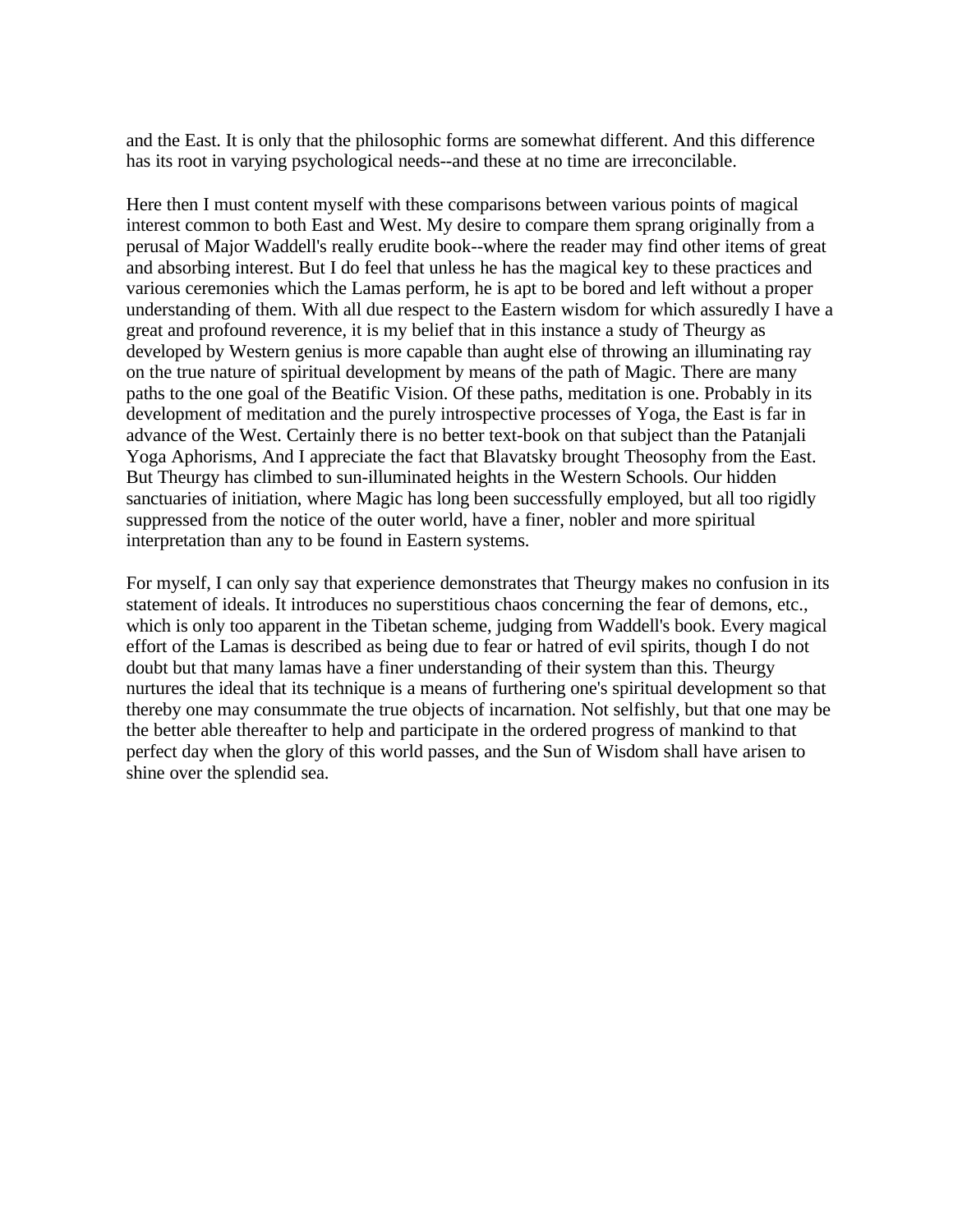and the East. It is only that the philosophic forms are somewhat different. And this difference has its root in varying psychological needs--and these at no time are irreconcilable.

Here then I must content myself with these comparisons between various points of magical interest common to both East and West. My desire to compare them sprang originally from a perusal of Major Waddell's really erudite book--where the reader may find other items of great and absorbing interest. But I do feel that unless he has the magical key to these practices and various ceremonies which the Lamas perform, he is apt to be bored and left without a proper understanding of them. With all due respect to the Eastern wisdom for which assuredly I have a great and profound reverence, it is my belief that in this instance a study of Theurgy as developed by Western genius is more capable than aught else of throwing an illuminating ray on the true nature of spiritual development by means of the path of Magic. There are many paths to the one goal of the Beatific Vision. Of these paths, meditation is one. Probably in its development of meditation and the purely introspective processes of Yoga, the East is far in advance of the West. Certainly there is no better text-book on that subject than the Patanjali Yoga Aphorisms, And I appreciate the fact that Blavatsky brought Theosophy from the East. But Theurgy has climbed to sun-illuminated heights in the Western Schools. Our hidden sanctuaries of initiation, where Magic has long been successfully employed, but all too rigidly suppressed from the notice of the outer world, have a finer, nobler and more spiritual interpretation than any to be found in Eastern systems.

For myself, I can only say that experience demonstrates that Theurgy makes no confusion in its statement of ideals. It introduces no superstitious chaos concerning the fear of demons, etc., which is only too apparent in the Tibetan scheme, judging from Waddell's book. Every magical effort of the Lamas is described as being due to fear or hatred of evil spirits, though I do not doubt but that many lamas have a finer understanding of their system than this. Theurgy nurtures the ideal that its technique is a means of furthering one's spiritual development so that thereby one may consummate the true objects of incarnation. Not selfishly, but that one may be the better able thereafter to help and participate in the ordered progress of mankind to that perfect day when the glory of this world passes, and the Sun of Wisdom shall have arisen to shine over the splendid sea.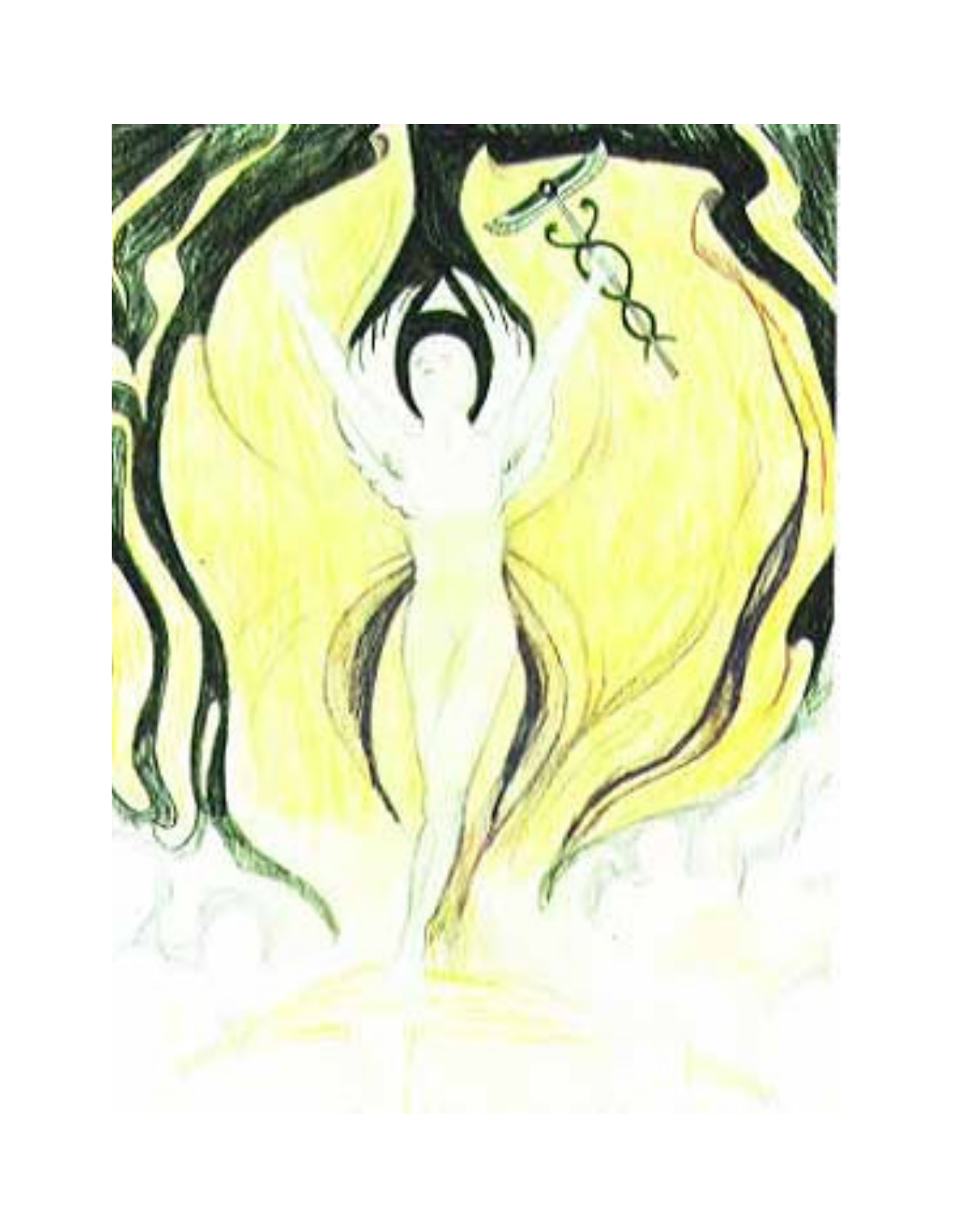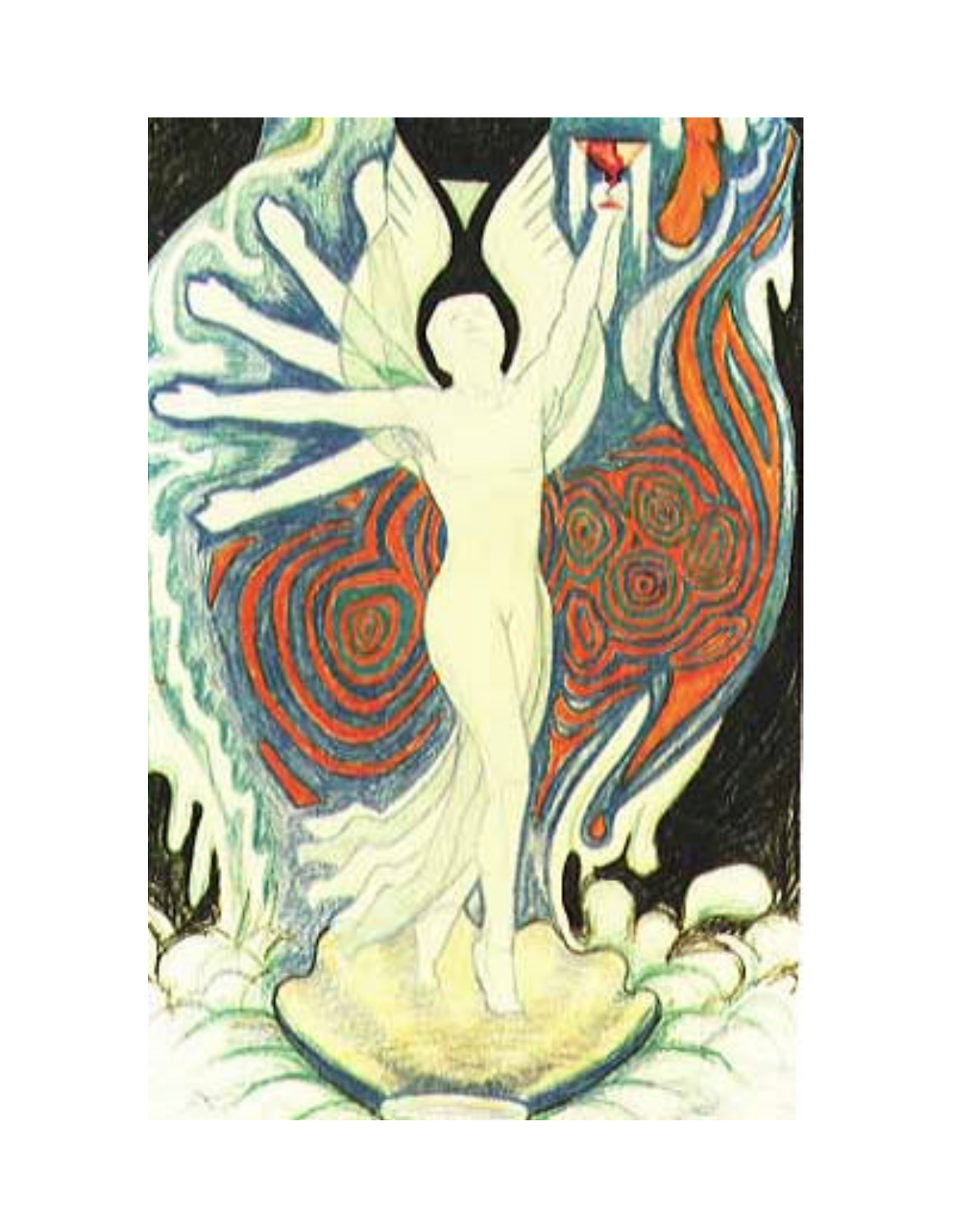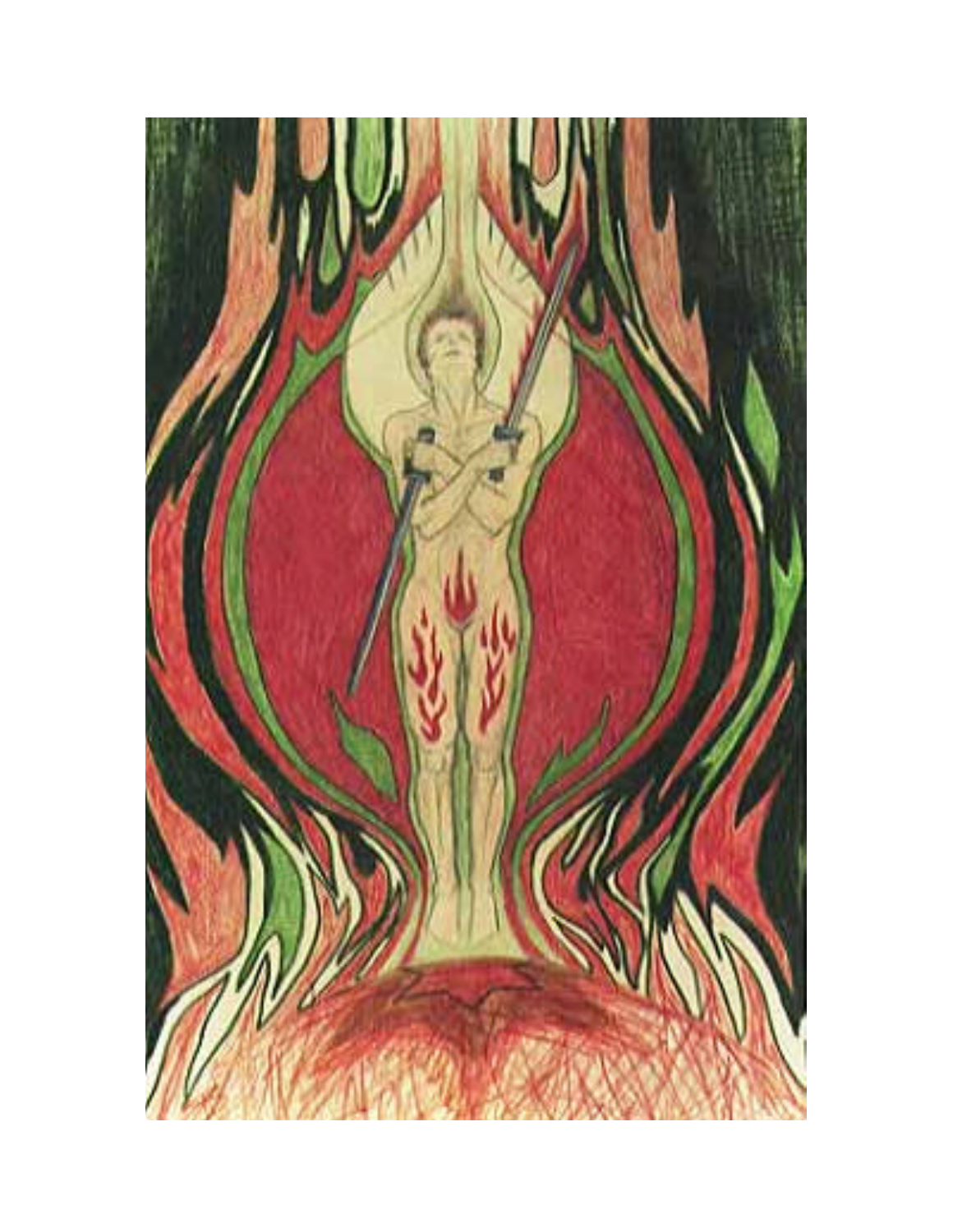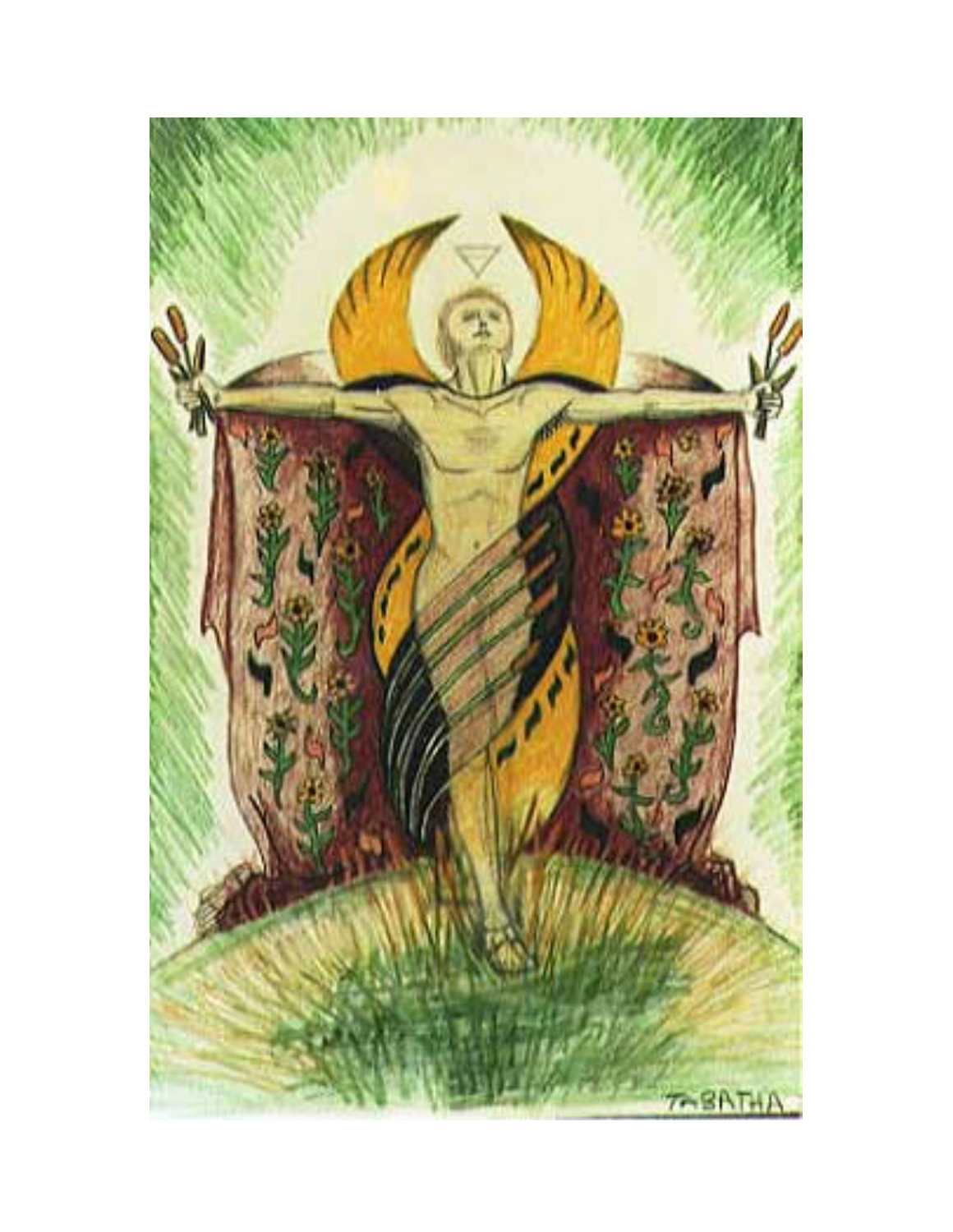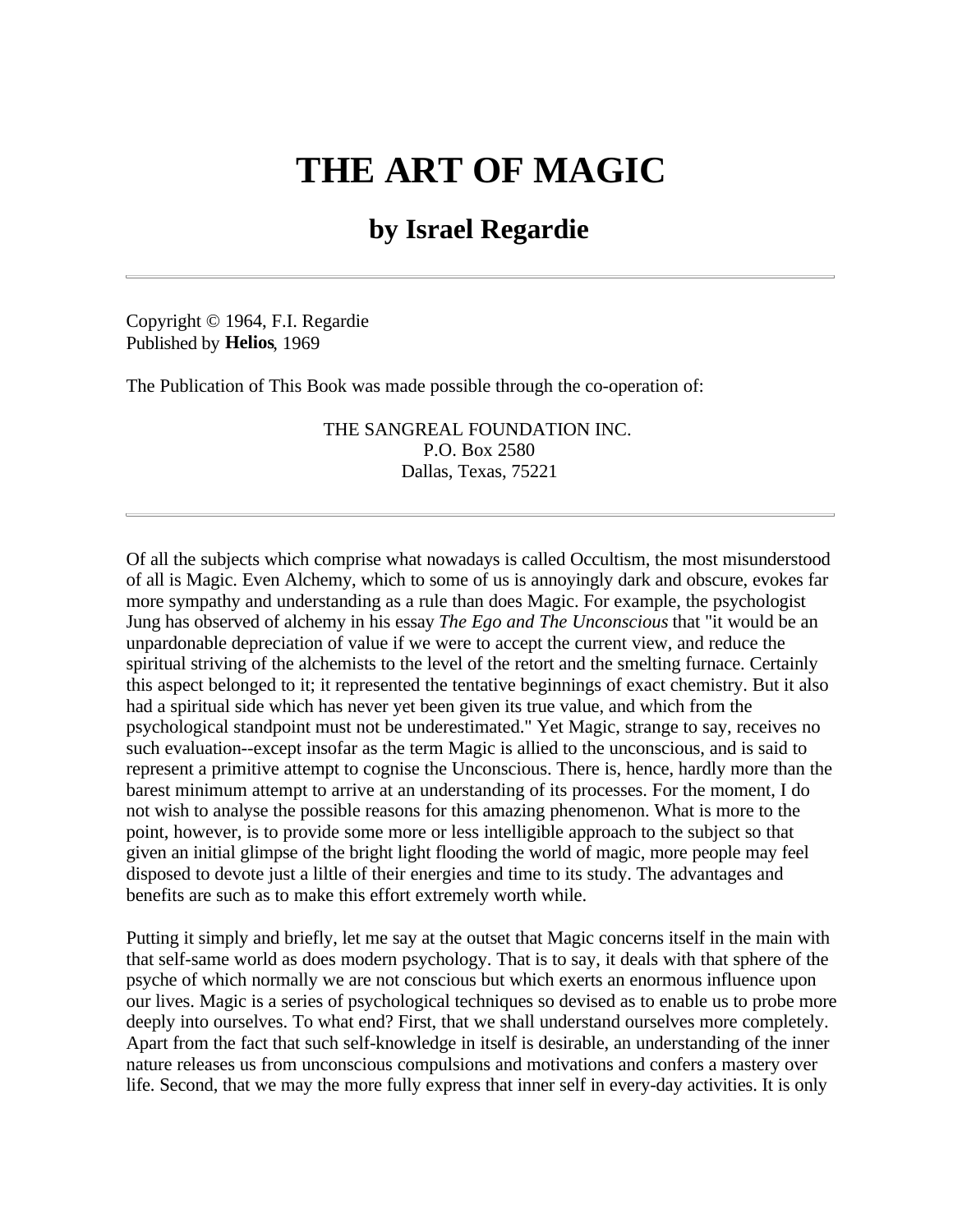### **THE ART OF MAGIC**

#### **by Israel Regardie**

Copyright © 1964, F.I. Regardie Published by **Helios**, 1969

The Publication of This Book was made possible through the co-operation of:

THE SANGREAL FOUNDATION INC. P.O. Box 2580 Dallas, Texas, 75221

Of all the subjects which comprise what nowadays is called Occultism, the most misunderstood of all is Magic. Even Alchemy, which to some of us is annoyingly dark and obscure, evokes far more sympathy and understanding as a rule than does Magic. For example, the psychologist Jung has observed of alchemy in his essay *The Ego and The Unconscious* that "it would be an unpardonable depreciation of value if we were to accept the current view, and reduce the spiritual striving of the alchemists to the level of the retort and the smelting furnace. Certainly this aspect belonged to it; it represented the tentative beginnings of exact chemistry. But it also had a spiritual side which has never yet been given its true value, and which from the psychological standpoint must not be underestimated." Yet Magic, strange to say, receives no such evaluation--except insofar as the term Magic is allied to the unconscious, and is said to represent a primitive attempt to cognise the Unconscious. There is, hence, hardly more than the barest minimum attempt to arrive at an understanding of its processes. For the moment, I do not wish to analyse the possible reasons for this amazing phenomenon. What is more to the point, however, is to provide some more or less intelligible approach to the subject so that given an initial glimpse of the bright light flooding the world of magic, more people may feel disposed to devote just a liltle of their energies and time to its study. The advantages and benefits are such as to make this effort extremely worth while.

Putting it simply and briefly, let me say at the outset that Magic concerns itself in the main with that self-same world as does modern psychology. That is to say, it deals with that sphere of the psyche of which normally we are not conscious but which exerts an enormous influence upon our lives. Magic is a series of psychological techniques so devised as to enable us to probe more deeply into ourselves. To what end? First, that we shall understand ourselves more completely. Apart from the fact that such self-knowledge in itself is desirable, an understanding of the inner nature releases us from unconscious compulsions and motivations and confers a mastery over life. Second, that we may the more fully express that inner self in every-day activities. It is only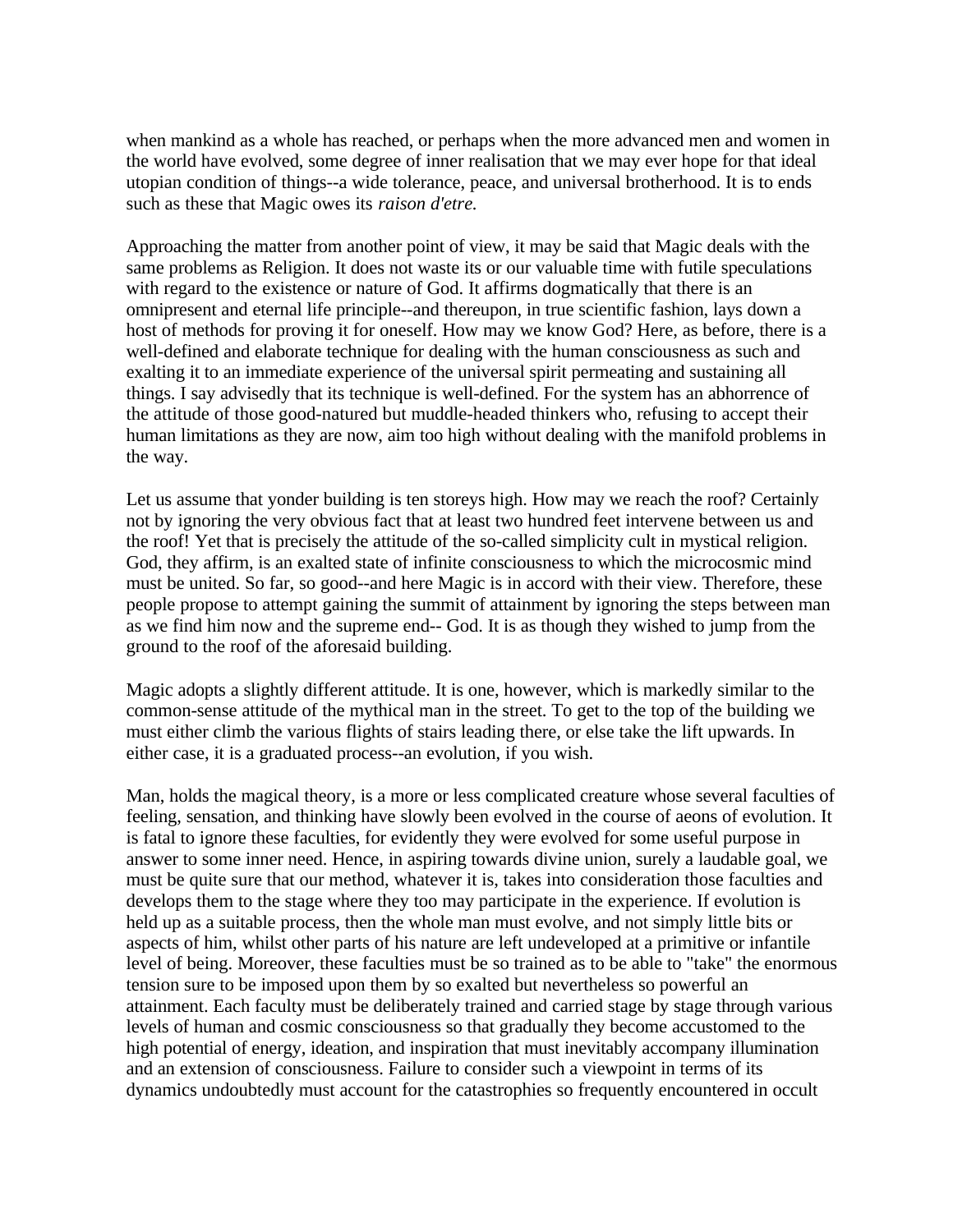when mankind as a whole has reached, or perhaps when the more advanced men and women in the world have evolved, some degree of inner realisation that we may ever hope for that ideal utopian condition of things--a wide tolerance, peace, and universal brotherhood. It is to ends such as these that Magic owes its *raison d'etre.*

Approaching the matter from another point of view, it may be said that Magic deals with the same problems as Religion. It does not waste its or our valuable time with futile speculations with regard to the existence or nature of God. It affirms dogmatically that there is an omnipresent and eternal life principle--and thereupon, in true scientific fashion, lays down a host of methods for proving it for oneself. How may we know God? Here, as before, there is a well-defined and elaborate technique for dealing with the human consciousness as such and exalting it to an immediate experience of the universal spirit permeating and sustaining all things. I say advisedly that its technique is well-defined. For the system has an abhorrence of the attitude of those good-natured but muddle-headed thinkers who, refusing to accept their human limitations as they are now, aim too high without dealing with the manifold problems in the way.

Let us assume that yonder building is ten storeys high. How may we reach the roof? Certainly not by ignoring the very obvious fact that at least two hundred feet intervene between us and the roof! Yet that is precisely the attitude of the so-called simplicity cult in mystical religion. God, they affirm, is an exalted state of infinite consciousness to which the microcosmic mind must be united. So far, so good--and here Magic is in accord with their view. Therefore, these people propose to attempt gaining the summit of attainment by ignoring the steps between man as we find him now and the supreme end-- God. It is as though they wished to jump from the ground to the roof of the aforesaid building.

Magic adopts a slightly different attitude. It is one, however, which is markedly similar to the common-sense attitude of the mythical man in the street. To get to the top of the building we must either climb the various flights of stairs leading there, or else take the lift upwards. In either case, it is a graduated process--an evolution, if you wish.

Man, holds the magical theory, is a more or less complicated creature whose several faculties of feeling, sensation, and thinking have slowly been evolved in the course of aeons of evolution. It is fatal to ignore these faculties, for evidently they were evolved for some useful purpose in answer to some inner need. Hence, in aspiring towards divine union, surely a laudable goal, we must be quite sure that our method, whatever it is, takes into consideration those faculties and develops them to the stage where they too may participate in the experience. If evolution is held up as a suitable process, then the whole man must evolve, and not simply little bits or aspects of him, whilst other parts of his nature are left undeveloped at a primitive or infantile level of being. Moreover, these faculties must be so trained as to be able to "take" the enormous tension sure to be imposed upon them by so exalted but nevertheless so powerful an attainment. Each faculty must be deliberately trained and carried stage by stage through various levels of human and cosmic consciousness so that gradually they become accustomed to the high potential of energy, ideation, and inspiration that must inevitably accompany illumination and an extension of consciousness. Failure to consider such a viewpoint in terms of its dynamics undoubtedly must account for the catastrophies so frequently encountered in occult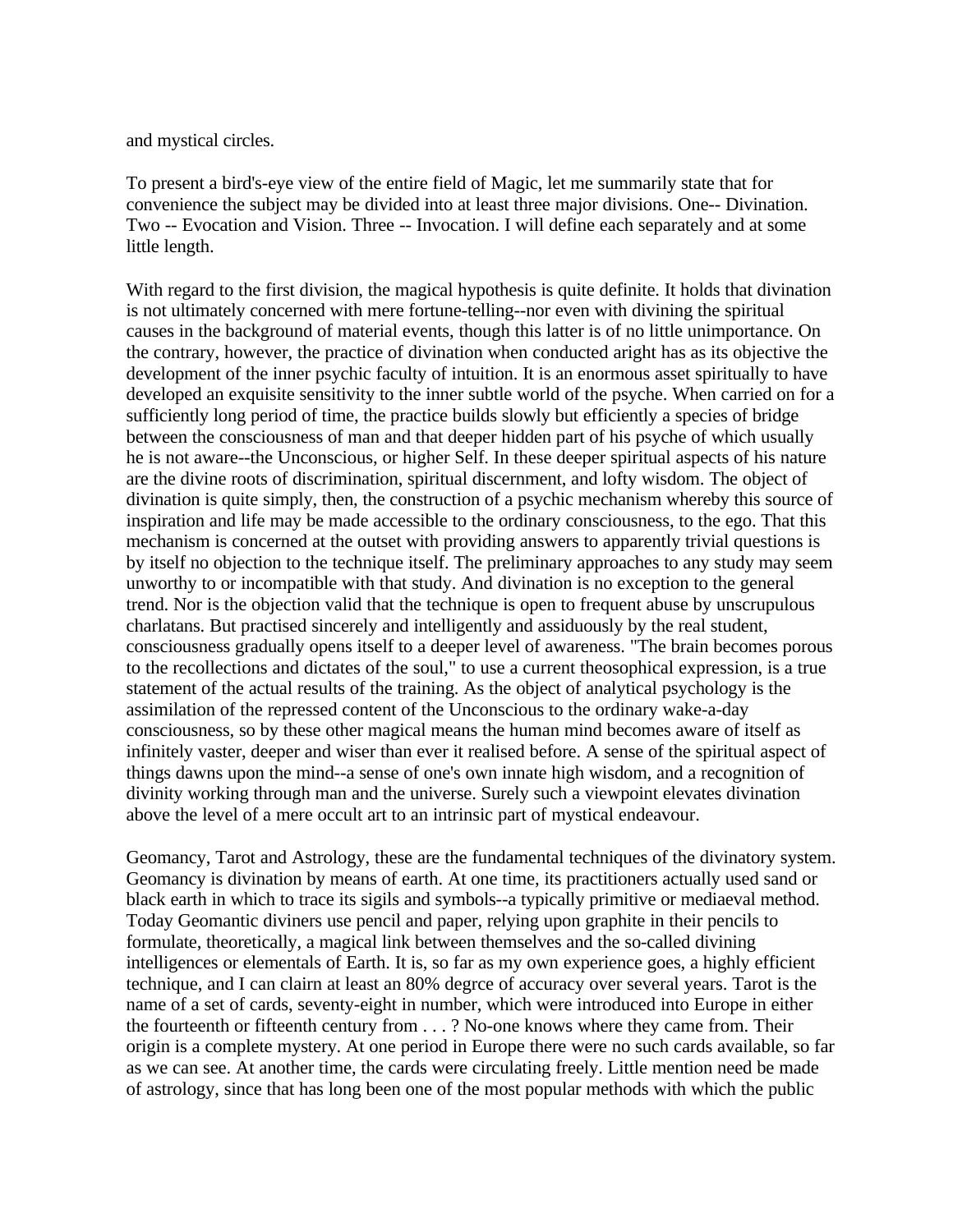and mystical circles.

To present a bird's-eye view of the entire field of Magic, let me summarily state that for convenience the subject may be divided into at least three major divisions. One-- Divination. Two -- Evocation and Vision. Three -- Invocation. I will define each separately and at some little length.

With regard to the first division, the magical hypothesis is quite definite. It holds that divination is not ultimately concerned with mere fortune-telling--nor even with divining the spiritual causes in the background of material events, though this latter is of no little unimportance. On the contrary, however, the practice of divination when conducted aright has as its objective the development of the inner psychic faculty of intuition. It is an enormous asset spiritually to have developed an exquisite sensitivity to the inner subtle world of the psyche. When carried on for a sufficiently long period of time, the practice builds slowly but efficiently a species of bridge between the consciousness of man and that deeper hidden part of his psyche of which usually he is not aware--the Unconscious, or higher Self. In these deeper spiritual aspects of his nature are the divine roots of discrimination, spiritual discernment, and lofty wisdom. The object of divination is quite simply, then, the construction of a psychic mechanism whereby this source of inspiration and life may be made accessible to the ordinary consciousness, to the ego. That this mechanism is concerned at the outset with providing answers to apparently trivial questions is by itself no objection to the technique itself. The preliminary approaches to any study may seem unworthy to or incompatible with that study. And divination is no exception to the general trend. Nor is the objection valid that the technique is open to frequent abuse by unscrupulous charlatans. But practised sincerely and intelligently and assiduously by the real student, consciousness gradually opens itself to a deeper level of awareness. "The brain becomes porous to the recollections and dictates of the soul," to use a current theosophical expression, is a true statement of the actual results of the training. As the object of analytical psychology is the assimilation of the repressed content of the Unconscious to the ordinary wake-a-day consciousness, so by these other magical means the human mind becomes aware of itself as infinitely vaster, deeper and wiser than ever it realised before. A sense of the spiritual aspect of things dawns upon the mind--a sense of one's own innate high wisdom, and a recognition of divinity working through man and the universe. Surely such a viewpoint elevates divination above the level of a mere occult art to an intrinsic part of mystical endeavour.

Geomancy, Tarot and Astrology, these are the fundamental techniques of the divinatory system. Geomancy is divination by means of earth. At one time, its practitioners actually used sand or black earth in which to trace its sigils and symbols--a typically primitive or mediaeval method. Today Geomantic diviners use pencil and paper, relying upon graphite in their pencils to formulate, theoretically, a magical link between themselves and the so-called divining intelligences or elementals of Earth. It is, so far as my own experience goes, a highly efficient technique, and I can clairn at least an 80% degrce of accuracy over several years. Tarot is the name of a set of cards, seventy-eight in number, which were introduced into Europe in either the fourteenth or fifteenth century from . . . ? No-one knows where they came from. Their origin is a complete mystery. At one period in Europe there were no such cards available, so far as we can see. At another time, the cards were circulating freely. Little mention need be made of astrology, since that has long been one of the most popular methods with which the public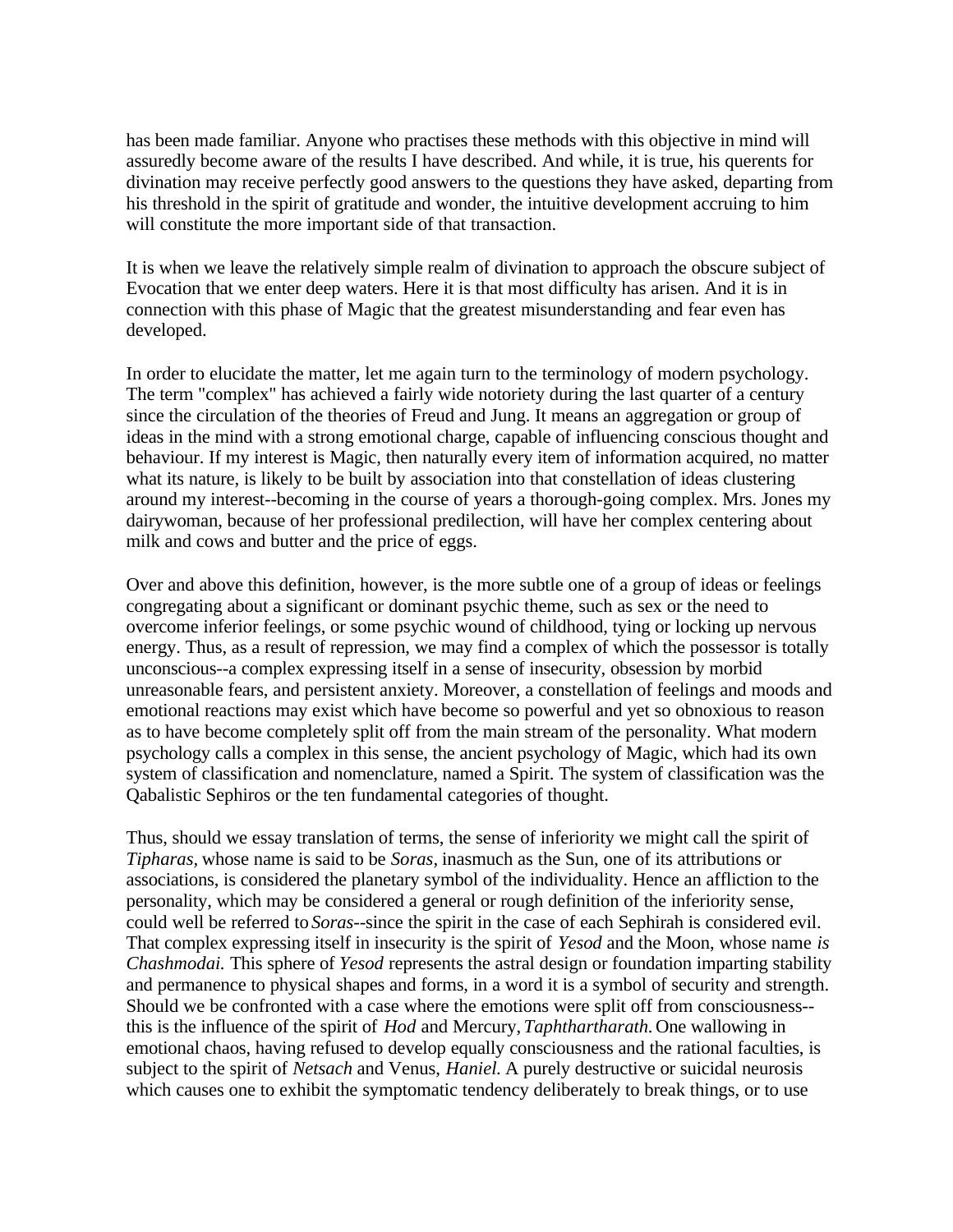has been made familiar. Anyone who practises these methods with this objective in mind will assuredly become aware of the results I have described. And while, it is true, his querents for divination may receive perfectly good answers to the questions they have asked, departing from his threshold in the spirit of gratitude and wonder, the intuitive development accruing to him will constitute the more important side of that transaction.

It is when we leave the relatively simple realm of divination to approach the obscure subject of Evocation that we enter deep waters. Here it is that most difficulty has arisen. And it is in connection with this phase of Magic that the greatest misunderstanding and fear even has developed.

In order to elucidate the matter, let me again turn to the terminology of modern psychology. The term "complex" has achieved a fairly wide notoriety during the last quarter of a century since the circulation of the theories of Freud and Jung. It means an aggregation or group of ideas in the mind with a strong emotional charge, capable of influencing conscious thought and behaviour. If my interest is Magic, then naturally every item of information acquired, no matter what its nature, is likely to be built by association into that constellation of ideas clustering around my interest--becoming in the course of years a thorough-going complex. Mrs. Jones my dairywoman, because of her professional predilection, will have her complex centering about milk and cows and butter and the price of eggs.

Over and above this definition, however, is the more subtle one of a group of ideas or feelings congregating about a significant or dominant psychic theme, such as sex or the need to overcome inferior feelings, or some psychic wound of childhood, tying or locking up nervous energy. Thus, as a result of repression, we may find a complex of which the possessor is totally unconscious--a complex expressing itself in a sense of insecurity, obsession by morbid unreasonable fears, and persistent anxiety. Moreover, a constellation of feelings and moods and emotional reactions may exist which have become so powerful and yet so obnoxious to reason as to have become completely split off from the main stream of the personality. What modern psychology calls a complex in this sense, the ancient psychology of Magic, which had its own system of classification and nomenclature, named a Spirit. The system of classification was the Qabalistic Sephiros or the ten fundamental categories of thought.

Thus, should we essay translation of terms, the sense of inferiority we might call the spirit of *Tipharas,* whose name is said to be *Soras,* inasmuch as the Sun, one of its attributions or associations, is considered the planetary symbol of the individuality. Hence an affliction to the personality, which may be considered a general or rough definition of the inferiority sense, could well be referred to *Soras*--since the spirit in the case of each Sephirah is considered evil. That complex expressing itself in insecurity is the spirit of *Yesod* and the Moon, whose name *is Chashmodai.* This sphere of *Yesod* represents the astral design or foundation imparting stability and permanence to physical shapes and forms, in a word it is a symbol of security and strength. Should we be confronted with a case where the emotions were split off from consciousness- this is the influence of the spirit of *Hod* and Mercury, *Taphthartharath.* One wallowing in emotional chaos, having refused to develop equally consciousness and the rational faculties, is subject to the spirit of *Netsach* and Venus, *Haniel.* A purely destructive or suicidal neurosis which causes one to exhibit the symptomatic tendency deliberately to break things, or to use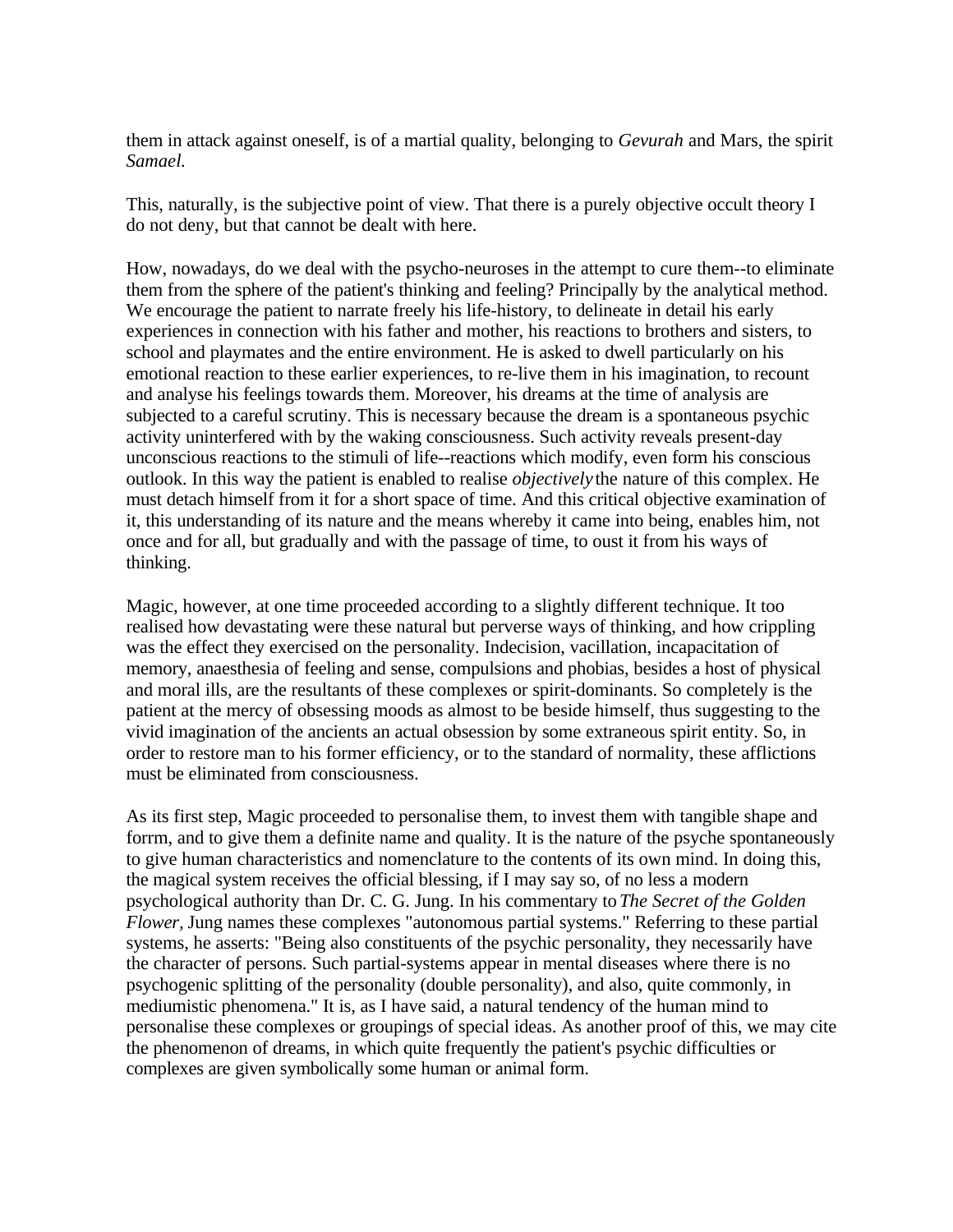them in attack against oneself, is of a martial quality, belonging to *Gevurah* and Mars, the spirit *Samael.*

This, naturally, is the subjective point of view. That there is a purely objective occult theory I do not deny, but that cannot be dealt with here.

How, nowadays, do we deal with the psycho-neuroses in the attempt to cure them--to eliminate them from the sphere of the patient's thinking and feeling? Principally by the analytical method. We encourage the patient to narrate freely his life-history, to delineate in detail his early experiences in connection with his father and mother, his reactions to brothers and sisters, to school and playmates and the entire environment. He is asked to dwell particularly on his emotional reaction to these earlier experiences, to re-live them in his imagination, to recount and analyse his feelings towards them. Moreover, his dreams at the time of analysis are subjected to a careful scrutiny. This is necessary because the dream is a spontaneous psychic activity uninterfered with by the waking consciousness. Such activity reveals present-day unconscious reactions to the stimuli of life--reactions which modify, even form his conscious outlook. In this way the patient is enabled to realise *objectively* the nature of this complex. He must detach himself from it for a short space of time. And this critical objective examination of it, this understanding of its nature and the means whereby it came into being, enables him, not once and for all, but gradually and with the passage of time, to oust it from his ways of thinking.

Magic, however, at one time proceeded according to a slightly different technique. It too realised how devastating were these natural but perverse ways of thinking, and how crippling was the effect they exercised on the personality. Indecision, vacillation, incapacitation of memory, anaesthesia of feeling and sense, compulsions and phobias, besides a host of physical and moral ills, are the resultants of these complexes or spirit-dominants. So completely is the patient at the mercy of obsessing moods as almost to be beside himself, thus suggesting to the vivid imagination of the ancients an actual obsession by some extraneous spirit entity. So, in order to restore man to his former efficiency, or to the standard of normality, these afflictions must be eliminated from consciousness.

As its first step, Magic proceeded to personalise them, to invest them with tangible shape and forrm, and to give them a definite name and quality. It is the nature of the psyche spontaneously to give human characteristics and nomenclature to the contents of its own mind. In doing this, the magical system receives the official blessing, if I may say so, of no less a modern psychological authority than Dr. C. G. Jung. In his commentary to *The Secret of the Golden Flower,* Jung names these complexes "autonomous partial systems." Referring to these partial systems, he asserts: "Being also constituents of the psychic personality, they necessarily have the character of persons. Such partial-systems appear in mental diseases where there is no psychogenic splitting of the personality (double personality), and also, quite commonly, in mediumistic phenomena." It is, as I have said, a natural tendency of the human mind to personalise these complexes or groupings of special ideas. As another proof of this, we may cite the phenomenon of dreams, in which quite frequently the patient's psychic difficulties or complexes are given symbolically some human or animal form.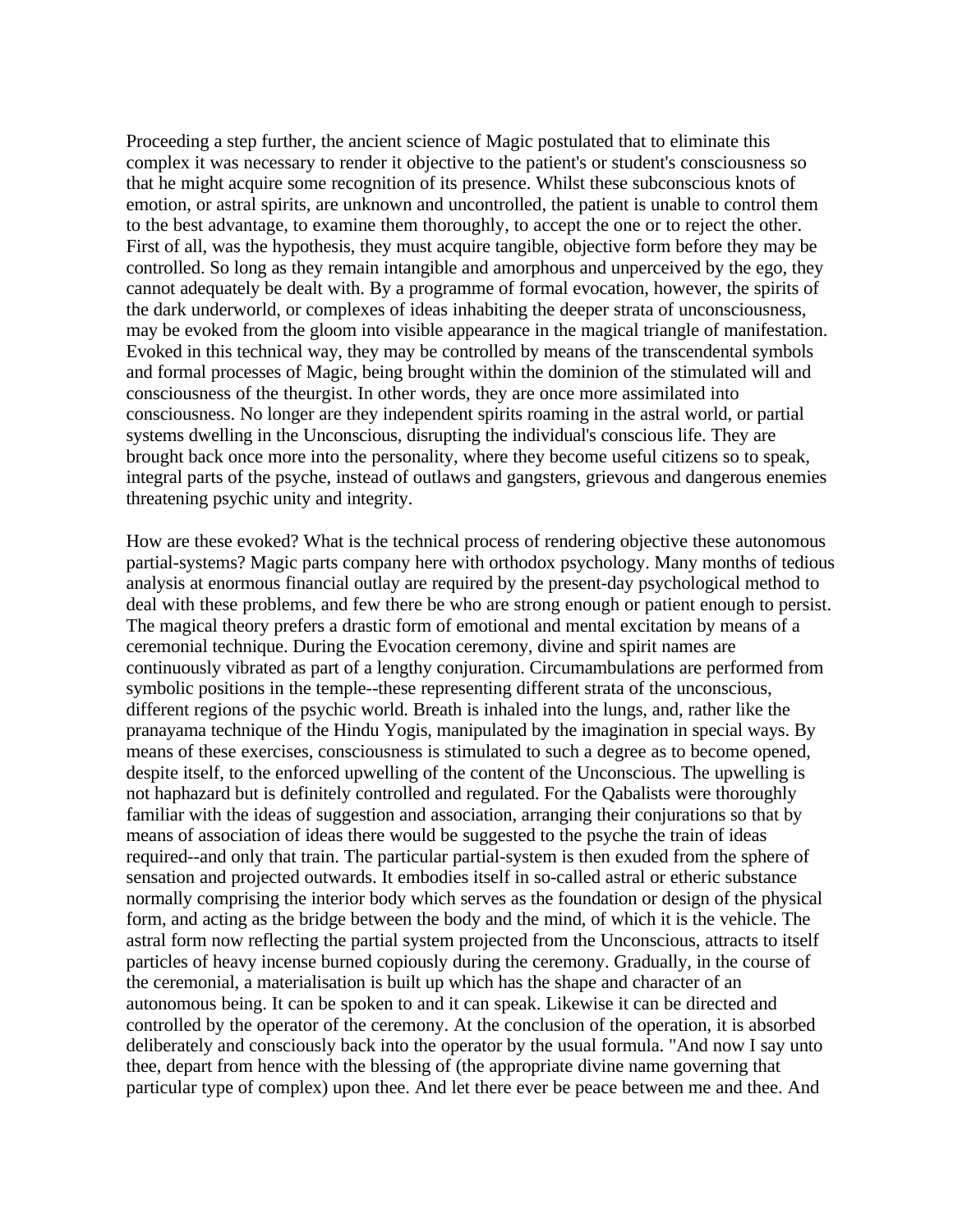Proceeding a step further, the ancient science of Magic postulated that to eliminate this complex it was necessary to render it objective to the patient's or student's consciousness so that he might acquire some recognition of its presence. Whilst these subconscious knots of emotion, or astral spirits, are unknown and uncontrolled, the patient is unable to control them to the best advantage, to examine them thoroughly, to accept the one or to reject the other. First of all, was the hypothesis, they must acquire tangible, objective form before they may be controlled. So long as they remain intangible and amorphous and unperceived by the ego, they cannot adequately be dealt with. By a programme of formal evocation, however, the spirits of the dark underworld, or complexes of ideas inhabiting the deeper strata of unconsciousness, may be evoked from the gloom into visible appearance in the magical triangle of manifestation. Evoked in this technical way, they may be controlled by means of the transcendental symbols and formal processes of Magic, being brought within the dominion of the stimulated will and consciousness of the theurgist. In other words, they are once more assimilated into consciousness. No longer are they independent spirits roaming in the astral world, or partial systems dwelling in the Unconscious, disrupting the individual's conscious life. They are brought back once more into the personality, where they become useful citizens so to speak, integral parts of the psyche, instead of outlaws and gangsters, grievous and dangerous enemies threatening psychic unity and integrity.

How are these evoked? What is the technical process of rendering objective these autonomous partial-systems? Magic parts company here with orthodox psychology. Many months of tedious analysis at enormous financial outlay are required by the present-day psychological method to deal with these problems, and few there be who are strong enough or patient enough to persist. The magical theory prefers a drastic form of emotional and mental excitation by means of a ceremonial technique. During the Evocation ceremony, divine and spirit names are continuously vibrated as part of a lengthy conjuration. Circumambulations are performed from symbolic positions in the temple--these representing different strata of the unconscious, different regions of the psychic world. Breath is inhaled into the lungs, and, rather like the pranayama technique of the Hindu Yogis, manipulated by the imagination in special ways. By means of these exercises, consciousness is stimulated to such a degree as to become opened, despite itself, to the enforced upwelling of the content of the Unconscious. The upwelling is not haphazard but is definitely controlled and regulated. For the Qabalists were thoroughly familiar with the ideas of suggestion and association, arranging their conjurations so that by means of association of ideas there would be suggested to the psyche the train of ideas required--and only that train. The particular partial-system is then exuded from the sphere of sensation and projected outwards. It embodies itself in so-called astral or etheric substance normally comprising the interior body which serves as the foundation or design of the physical form, and acting as the bridge between the body and the mind, of which it is the vehicle. The astral form now reflecting the partial system projected from the Unconscious, attracts to itself particles of heavy incense burned copiously during the ceremony. Gradually, in the course of the ceremonial, a materialisation is built up which has the shape and character of an autonomous being. It can be spoken to and it can speak. Likewise it can be directed and controlled by the operator of the ceremony. At the conclusion of the operation, it is absorbed deliberately and consciously back into the operator by the usual formula. "And now I say unto thee, depart from hence with the blessing of (the appropriate divine name governing that particular type of complex) upon thee. And let there ever be peace between me and thee. And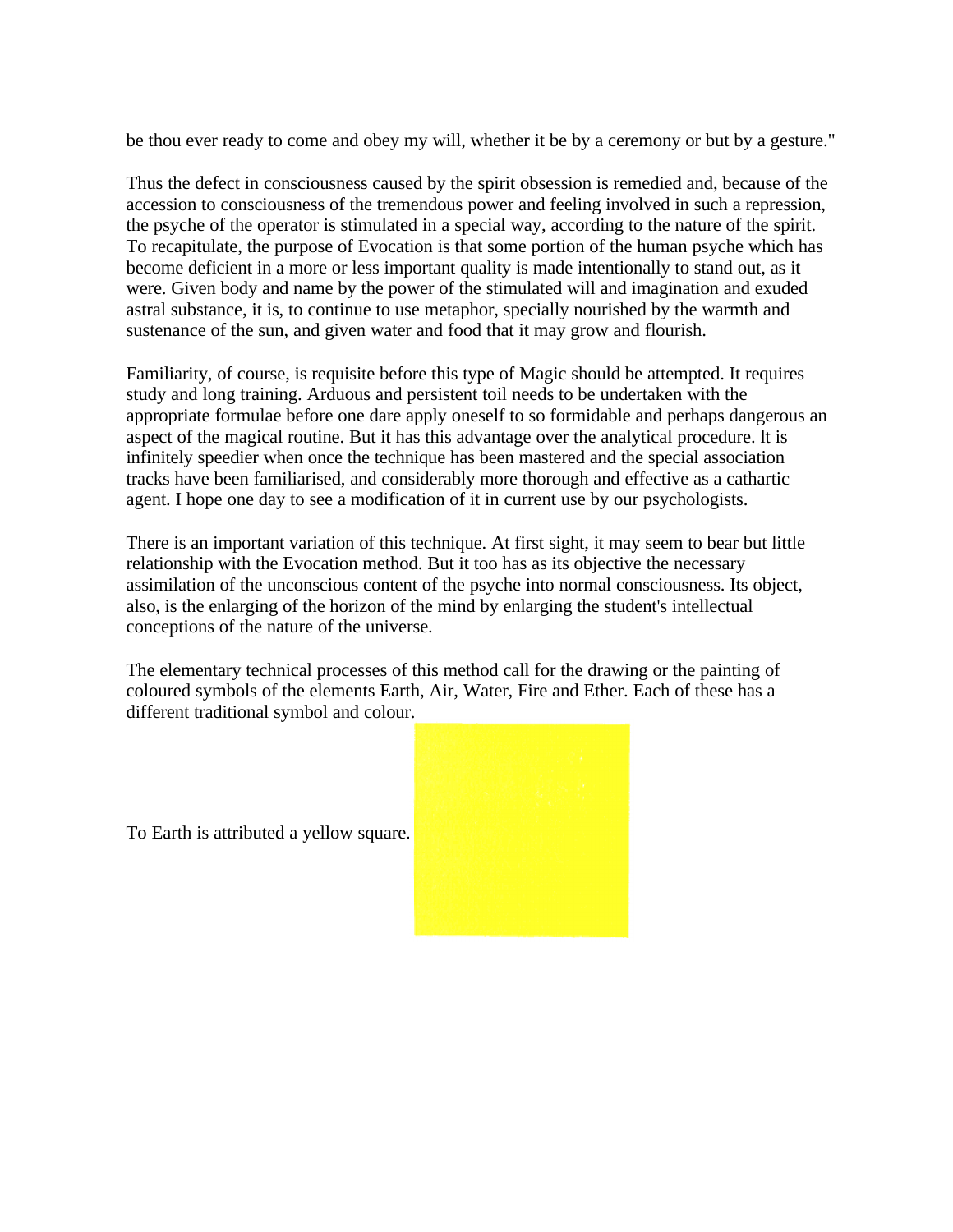be thou ever ready to come and obey my will, whether it be by a ceremony or but by a gesture."

Thus the defect in consciousness caused by the spirit obsession is remedied and, because of the accession to consciousness of the tremendous power and feeling involved in such a repression, the psyche of the operator is stimulated in a special way, according to the nature of the spirit. To recapitulate, the purpose of Evocation is that some portion of the human psyche which has become deficient in a more or less important quality is made intentionally to stand out, as it were. Given body and name by the power of the stimulated will and imagination and exuded astral substance, it is, to continue to use metaphor, specially nourished by the warmth and sustenance of the sun, and given water and food that it may grow and flourish.

Familiarity, of course, is requisite before this type of Magic should be attempted. It requires study and long training. Arduous and persistent toil needs to be undertaken with the appropriate formulae before one dare apply oneself to so formidable and perhaps dangerous an aspect of the magical routine. But it has this advantage over the analytical procedure. lt is infinitely speedier when once the technique has been mastered and the special association tracks have been familiarised, and considerably more thorough and effective as a cathartic agent. I hope one day to see a modification of it in current use by our psychologists.

There is an important variation of this technique. At first sight, it may seem to bear but little relationship with the Evocation method. But it too has as its objective the necessary assimilation of the unconscious content of the psyche into normal consciousness. Its object, also, is the enlarging of the horizon of the mind by enlarging the student's intellectual conceptions of the nature of the universe.

The elementary technical processes of this method call for the drawing or the painting of coloured symbols of the elements Earth, Air, Water, Fire and Ether. Each of these has a different traditional symbol and colour.



To Earth is attributed a yellow square.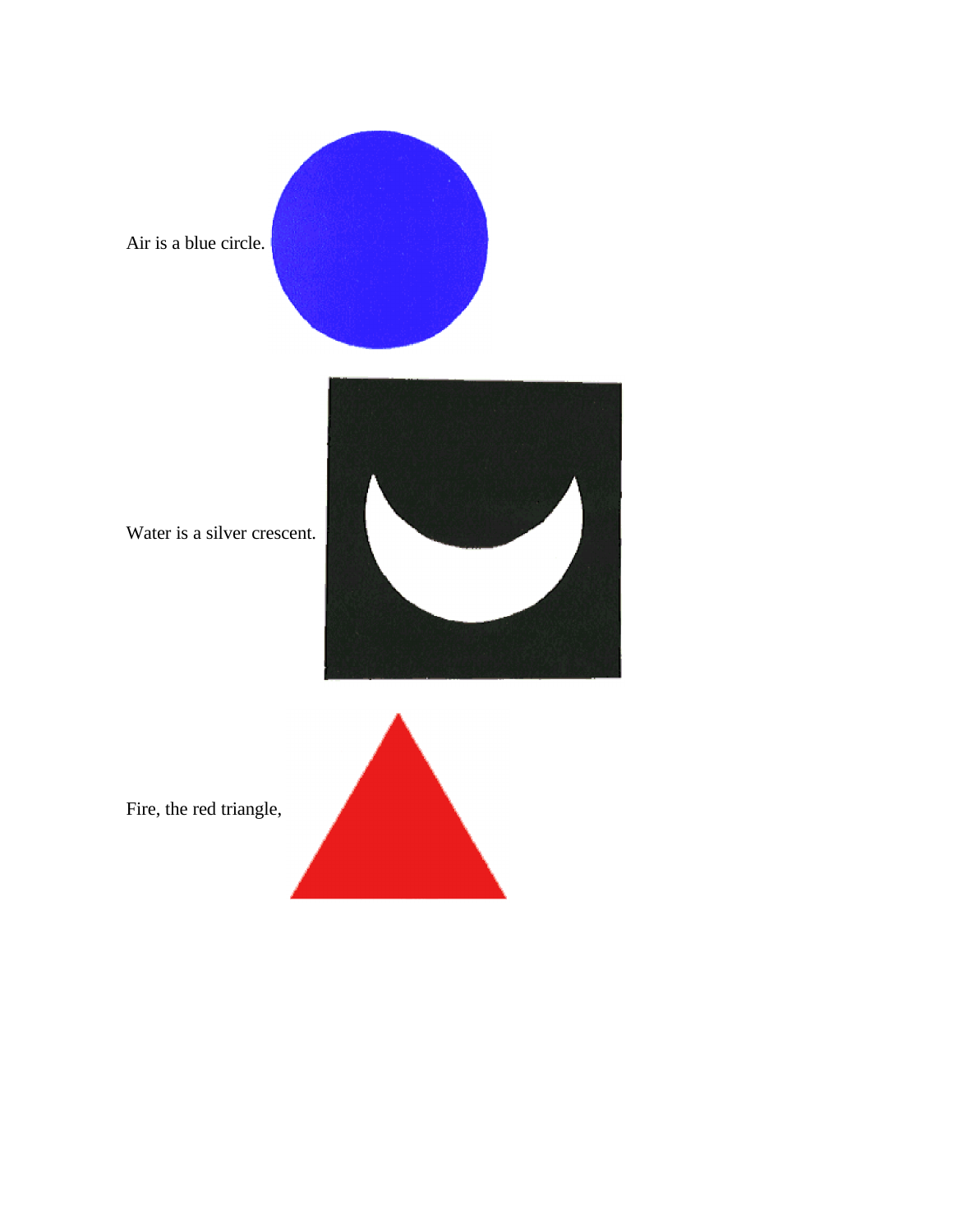

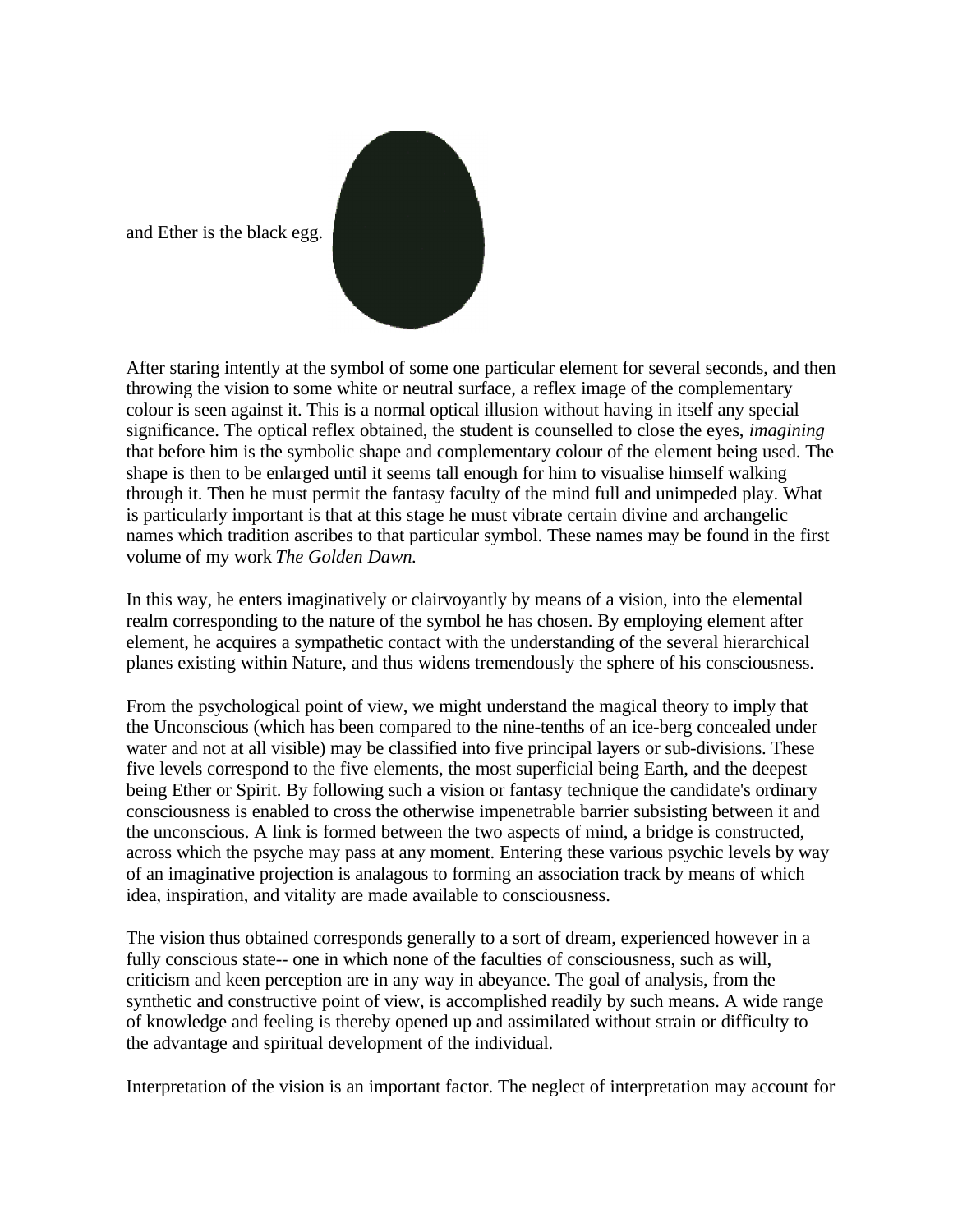

and Ether is the black egg.

After staring intently at the symbol of some one particular element for several seconds, and then throwing the vision to some white or neutral surface, a reflex image of the complementary colour is seen against it. This is a normal optical illusion without having in itself any special significance. The optical reflex obtained, the student is counselled to close the eyes, *imagining*  that before him is the symbolic shape and complementary colour of the element being used. The shape is then to be enlarged until it seems tall enough for him to visualise himself walking through it. Then he must permit the fantasy faculty of the mind full and unimpeded play. What is particularly important is that at this stage he must vibrate certain divine and archangelic names which tradition ascribes to that particular symbol. These names may be found in the first volume of my work *The Golden Dawn.*

In this way, he enters imaginatively or clairvoyantly by means of a vision, into the elemental realm corresponding to the nature of the symbol he has chosen. By employing element after element, he acquires a sympathetic contact with the understanding of the several hierarchical planes existing within Nature, and thus widens tremendously the sphere of his consciousness.

From the psychological point of view, we might understand the magical theory to imply that the Unconscious (which has been compared to the nine-tenths of an ice-berg concealed under water and not at all visible) may be classified into five principal layers or sub-divisions. These five levels correspond to the five elements, the most superficial being Earth, and the deepest being Ether or Spirit. By following such a vision or fantasy technique the candidate's ordinary consciousness is enabled to cross the otherwise impenetrable barrier subsisting between it and the unconscious. A link is formed between the two aspects of mind, a bridge is constructed, across which the psyche may pass at any moment. Entering these various psychic levels by way of an imaginative projection is analagous to forming an association track by means of which idea, inspiration, and vitality are made available to consciousness.

The vision thus obtained corresponds generally to a sort of dream, experienced however in a fully conscious state-- one in which none of the faculties of consciousness, such as will, criticism and keen perception are in any way in abeyance. The goal of analysis, from the synthetic and constructive point of view, is accomplished readily by such means. A wide range of knowledge and feeling is thereby opened up and assimilated without strain or difficulty to the advantage and spiritual development of the individual.

Interpretation of the vision is an important factor. The neglect of interpretation may account for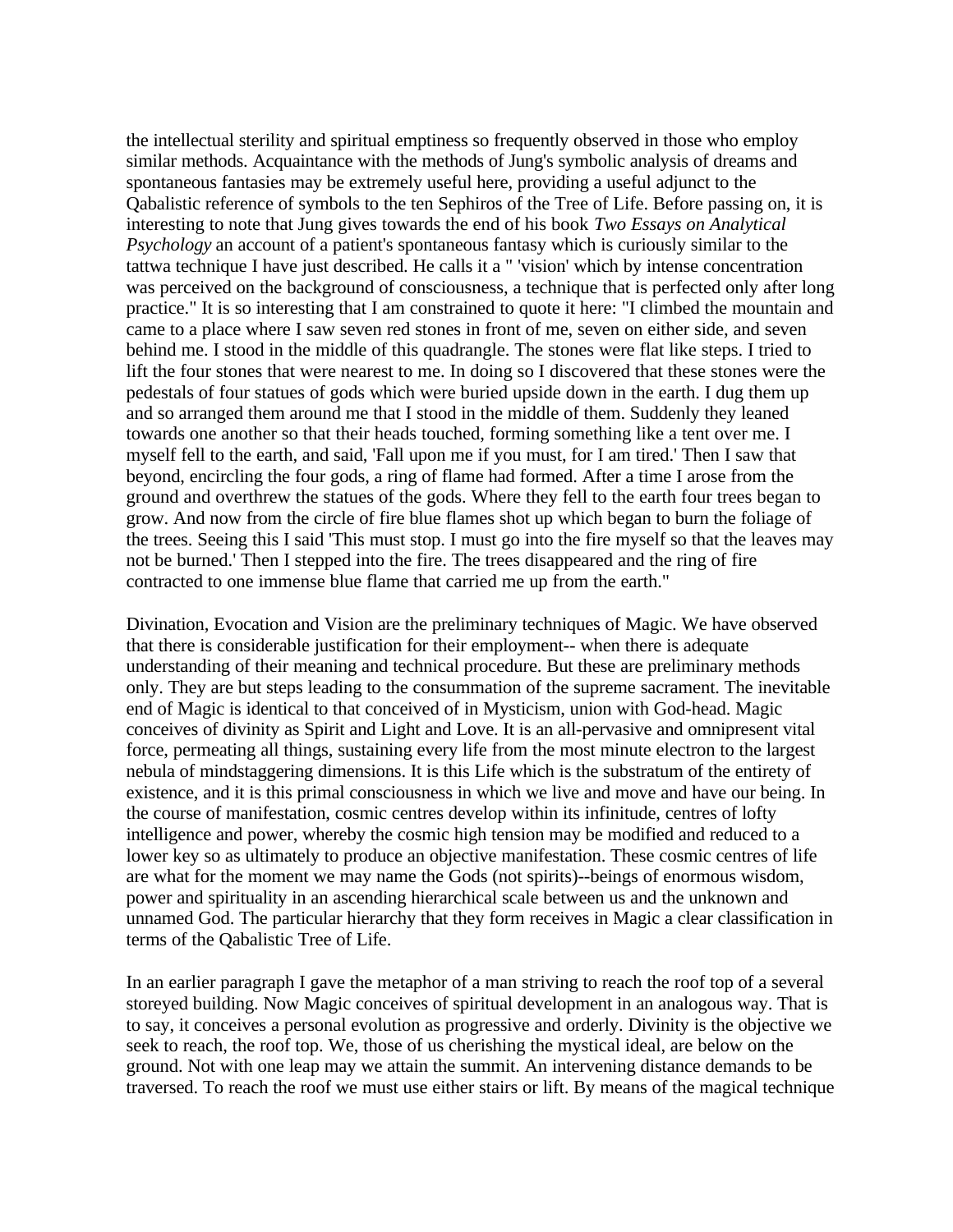the intellectual sterility and spiritual emptiness so frequently observed in those who employ similar methods. Acquaintance with the methods of Jung's symbolic analysis of dreams and spontaneous fantasies may be extremely useful here, providing a useful adjunct to the Qabalistic reference of symbols to the ten Sephiros of the Tree of Life. Before passing on, it is interesting to note that Jung gives towards the end of his book *Two Essays on Analytical Psychology* an account of a patient's spontaneous fantasy which is curiously similar to the tattwa technique I have just described. He calls it a " 'vision' which by intense concentration was perceived on the background of consciousness, a technique that is perfected only after long practice." It is so interesting that I am constrained to quote it here: "I climbed the mountain and came to a place where I saw seven red stones in front of me, seven on either side, and seven behind me. I stood in the middle of this quadrangle. The stones were flat like steps. I tried to lift the four stones that were nearest to me. In doing so I discovered that these stones were the pedestals of four statues of gods which were buried upside down in the earth. I dug them up and so arranged them around me that I stood in the middle of them. Suddenly they leaned towards one another so that their heads touched, forming something like a tent over me. I myself fell to the earth, and said, 'Fall upon me if you must, for I am tired.' Then I saw that beyond, encircling the four gods, a ring of flame had formed. After a time I arose from the ground and overthrew the statues of the gods. Where they fell to the earth four trees began to grow. And now from the circle of fire blue flames shot up which began to burn the foliage of the trees. Seeing this I said 'This must stop. I must go into the fire myself so that the leaves may not be burned.' Then I stepped into the fire. The trees disappeared and the ring of fire contracted to one immense blue flame that carried me up from the earth."

Divination, Evocation and Vision are the preliminary techniques of Magic. We have observed that there is considerable justification for their employment-- when there is adequate understanding of their meaning and technical procedure. But these are preliminary methods only. They are but steps leading to the consummation of the supreme sacrament. The inevitable end of Magic is identical to that conceived of in Mysticism, union with God-head. Magic conceives of divinity as Spirit and Light and Love. It is an all-pervasive and omnipresent vital force, permeating all things, sustaining every life from the most minute electron to the largest nebula of mindstaggering dimensions. It is this Life which is the substratum of the entirety of existence, and it is this primal consciousness in which we live and move and have our being. In the course of manifestation, cosmic centres develop within its infinitude, centres of lofty intelligence and power, whereby the cosmic high tension may be modified and reduced to a lower key so as ultimately to produce an objective manifestation. These cosmic centres of life are what for the moment we may name the Gods (not spirits)--beings of enormous wisdom, power and spirituality in an ascending hierarchical scale between us and the unknown and unnamed God. The particular hierarchy that they form receives in Magic a clear classification in terms of the Qabalistic Tree of Life.

In an earlier paragraph I gave the metaphor of a man striving to reach the roof top of a several storeyed building. Now Magic conceives of spiritual development in an analogous way. That is to say, it conceives a personal evolution as progressive and orderly. Divinity is the objective we seek to reach, the roof top. We, those of us cherishing the mystical ideal, are below on the ground. Not with one leap may we attain the summit. An intervening distance demands to be traversed. To reach the roof we must use either stairs or lift. By means of the magical technique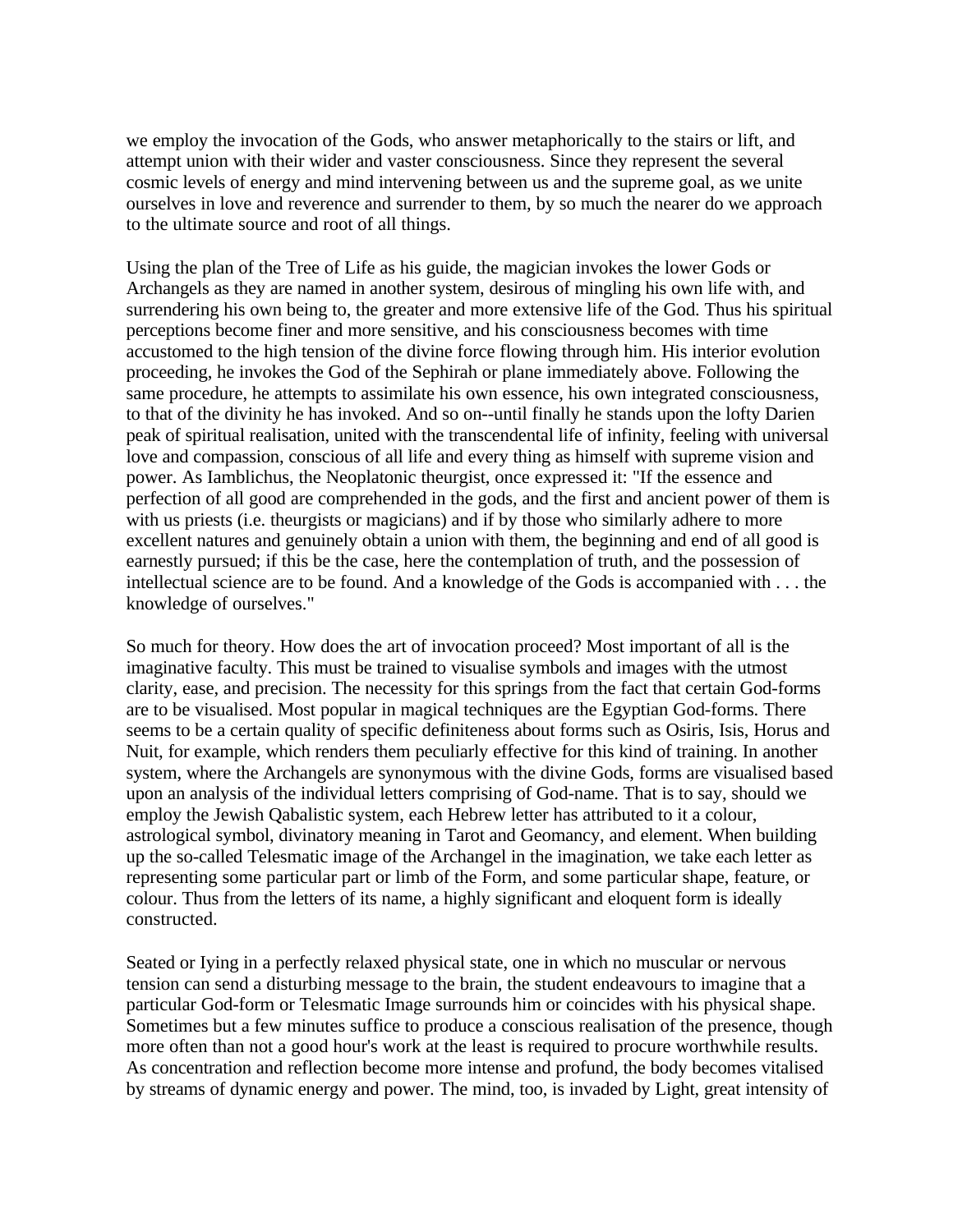we employ the invocation of the Gods, who answer metaphorically to the stairs or lift, and attempt union with their wider and vaster consciousness. Since they represent the several cosmic levels of energy and mind intervening between us and the supreme goal, as we unite ourselves in love and reverence and surrender to them, by so much the nearer do we approach to the ultimate source and root of all things.

Using the plan of the Tree of Life as his guide, the magician invokes the lower Gods or Archangels as they are named in another system, desirous of mingling his own life with, and surrendering his own being to, the greater and more extensive life of the God. Thus his spiritual perceptions become finer and more sensitive, and his consciousness becomes with time accustomed to the high tension of the divine force flowing through him. His interior evolution proceeding, he invokes the God of the Sephirah or plane immediately above. Following the same procedure, he attempts to assimilate his own essence, his own integrated consciousness, to that of the divinity he has invoked. And so on--until finally he stands upon the lofty Darien peak of spiritual realisation, united with the transcendental life of infinity, feeling with universal love and compassion, conscious of all life and every thing as himself with supreme vision and power. As Iamblichus, the Neoplatonic theurgist, once expressed it: "If the essence and perfection of all good are comprehended in the gods, and the first and ancient power of them is with us priests (i.e. theurgists or magicians) and if by those who similarly adhere to more excellent natures and genuinely obtain a union with them, the beginning and end of all good is earnestly pursued; if this be the case, here the contemplation of truth, and the possession of intellectual science are to be found. And a knowledge of the Gods is accompanied with . . . the knowledge of ourselves."

So much for theory. How does the art of invocation proceed? Most important of all is the imaginative faculty. This must be trained to visualise symbols and images with the utmost clarity, ease, and precision. The necessity for this springs from the fact that certain God-forms are to be visualised. Most popular in magical techniques are the Egyptian God-forms. There seems to be a certain quality of specific definiteness about forms such as Osiris, Isis, Horus and Nuit, for example, which renders them peculiarly effective for this kind of training. In another system, where the Archangels are synonymous with the divine Gods, forms are visualised based upon an analysis of the individual letters comprising of God-name. That is to say, should we employ the Jewish Qabalistic system, each Hebrew letter has attributed to it a colour, astrological symbol, divinatory meaning in Tarot and Geomancy, and element. When building up the so-called Telesmatic image of the Archangel in the imagination, we take each letter as representing some particular part or limb of the Form, and some particular shape, feature, or colour. Thus from the letters of its name, a highly significant and eloquent form is ideally constructed.

Seated or Iying in a perfectly relaxed physical state, one in which no muscular or nervous tension can send a disturbing message to the brain, the student endeavours to imagine that a particular God-form or Telesmatic Image surrounds him or coincides with his physical shape. Sometimes but a few minutes suffice to produce a conscious realisation of the presence, though more often than not a good hour's work at the least is required to procure worthwhile results. As concentration and reflection become more intense and profund, the body becomes vitalised by streams of dynamic energy and power. The mind, too, is invaded by Light, great intensity of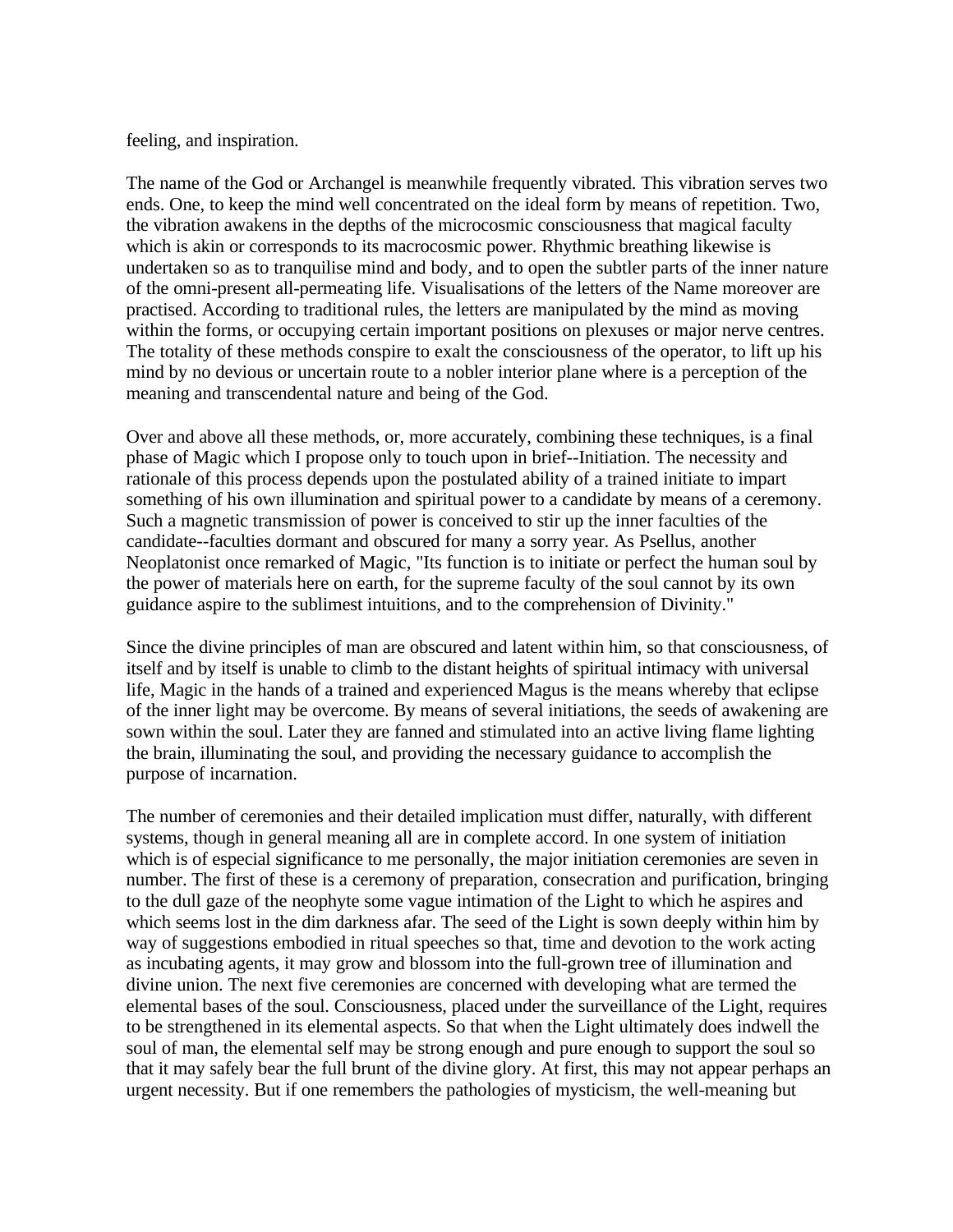feeling, and inspiration.

The name of the God or Archangel is meanwhile frequently vibrated. This vibration serves two ends. One, to keep the mind well concentrated on the ideal form by means of repetition. Two, the vibration awakens in the depths of the microcosmic consciousness that magical faculty which is akin or corresponds to its macrocosmic power. Rhythmic breathing likewise is undertaken so as to tranquilise mind and body, and to open the subtler parts of the inner nature of the omni-present all-permeating life. Visualisations of the letters of the Name moreover are practised. According to traditional rules, the letters are manipulated by the mind as moving within the forms, or occupying certain important positions on plexuses or major nerve centres. The totality of these methods conspire to exalt the consciousness of the operator, to lift up his mind by no devious or uncertain route to a nobler interior plane where is a perception of the meaning and transcendental nature and being of the God.

Over and above all these methods, or, more accurately, combining these techniques, is a final phase of Magic which I propose only to touch upon in brief--Initiation. The necessity and rationale of this process depends upon the postulated ability of a trained initiate to impart something of his own illumination and spiritual power to a candidate by means of a ceremony. Such a magnetic transmission of power is conceived to stir up the inner faculties of the candidate--faculties dormant and obscured for many a sorry year. As Psellus, another Neoplatonist once remarked of Magic, "Its function is to initiate or perfect the human soul by the power of materials here on earth, for the supreme faculty of the soul cannot by its own guidance aspire to the sublimest intuitions, and to the comprehension of Divinity."

Since the divine principles of man are obscured and latent within him, so that consciousness, of itself and by itself is unable to climb to the distant heights of spiritual intimacy with universal life, Magic in the hands of a trained and experienced Magus is the means whereby that eclipse of the inner light may be overcome. By means of several initiations, the seeds of awakening are sown within the soul. Later they are fanned and stimulated into an active living flame lighting the brain, illuminating the soul, and providing the necessary guidance to accomplish the purpose of incarnation.

The number of ceremonies and their detailed implication must differ, naturally, with different systems, though in general meaning all are in complete accord. In one system of initiation which is of especial significance to me personally, the major initiation ceremonies are seven in number. The first of these is a ceremony of preparation, consecration and purification, bringing to the dull gaze of the neophyte some vague intimation of the Light to which he aspires and which seems lost in the dim darkness afar. The seed of the Light is sown deeply within him by way of suggestions embodied in ritual speeches so that, time and devotion to the work acting as incubating agents, it may grow and blossom into the full-grown tree of illumination and divine union. The next five ceremonies are concerned with developing what are termed the elemental bases of the soul. Consciousness, placed under the surveillance of the Light, requires to be strengthened in its elemental aspects. So that when the Light ultimately does indwell the soul of man, the elemental self may be strong enough and pure enough to support the soul so that it may safely bear the full brunt of the divine glory. At first, this may not appear perhaps an urgent necessity. But if one remembers the pathologies of mysticism, the well-meaning but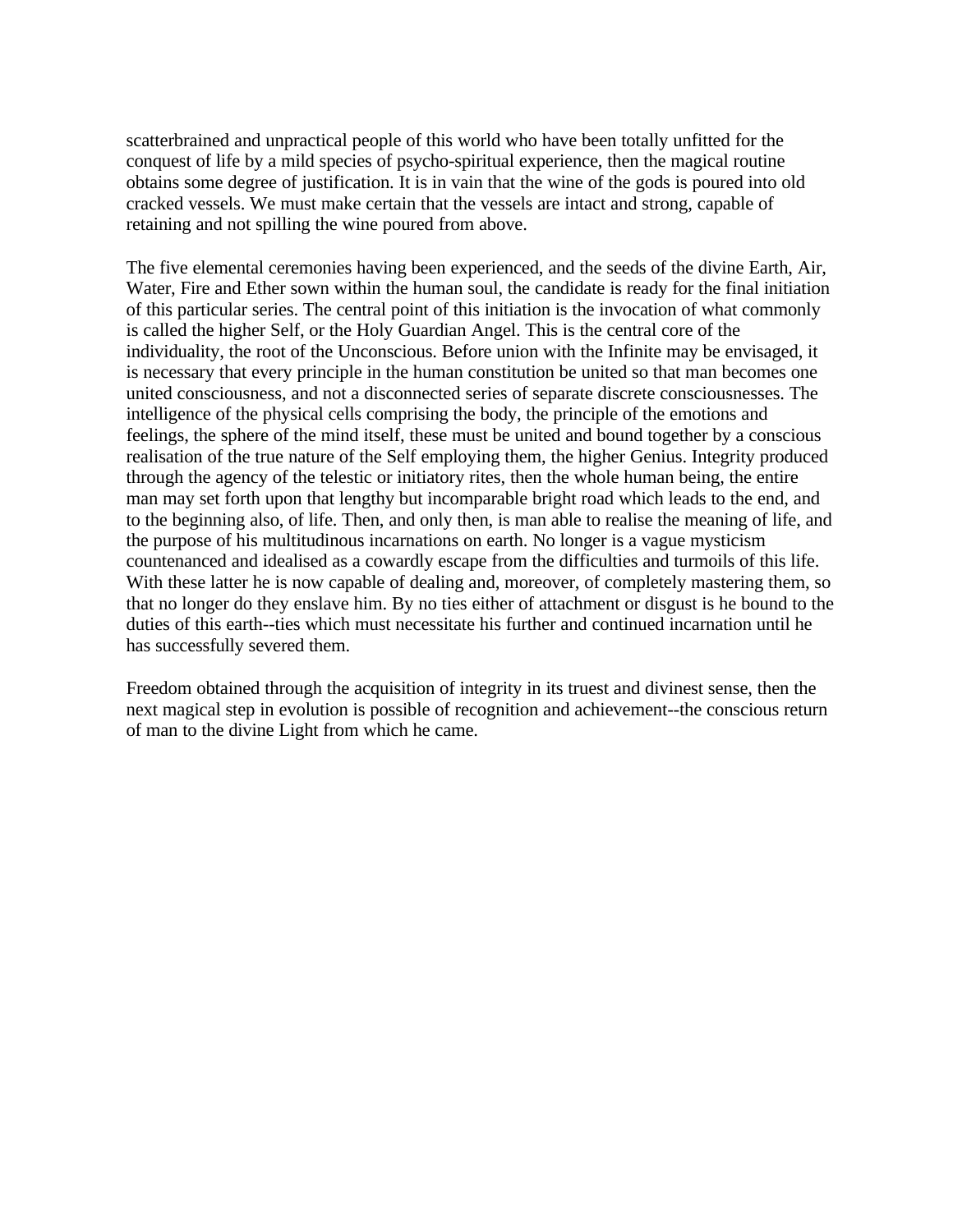scatterbrained and unpractical people of this world who have been totally unfitted for the conquest of life by a mild species of psycho-spiritual experience, then the magical routine obtains some degree of justification. It is in vain that the wine of the gods is poured into old cracked vessels. We must make certain that the vessels are intact and strong, capable of retaining and not spilling the wine poured from above.

The five elemental ceremonies having been experienced, and the seeds of the divine Earth, Air, Water, Fire and Ether sown within the human soul, the candidate is ready for the final initiation of this particular series. The central point of this initiation is the invocation of what commonly is called the higher Self, or the Holy Guardian Angel. This is the central core of the individuality, the root of the Unconscious. Before union with the Infinite may be envisaged, it is necessary that every principle in the human constitution be united so that man becomes one united consciousness, and not a disconnected series of separate discrete consciousnesses. The intelligence of the physical cells comprising the body, the principle of the emotions and feelings, the sphere of the mind itself, these must be united and bound together by a conscious realisation of the true nature of the Self employing them, the higher Genius. Integrity produced through the agency of the telestic or initiatory rites, then the whole human being, the entire man may set forth upon that lengthy but incomparable bright road which leads to the end, and to the beginning also, of life. Then, and only then, is man able to realise the meaning of life, and the purpose of his multitudinous incarnations on earth. No longer is a vague mysticism countenanced and idealised as a cowardly escape from the difficulties and turmoils of this life. With these latter he is now capable of dealing and, moreover, of completely mastering them, so that no longer do they enslave him. By no ties either of attachment or disgust is he bound to the duties of this earth--ties which must necessitate his further and continued incarnation until he has successfully severed them.

Freedom obtained through the acquisition of integrity in its truest and divinest sense, then the next magical step in evolution is possible of recognition and achievement--the conscious return of man to the divine Light from which he came.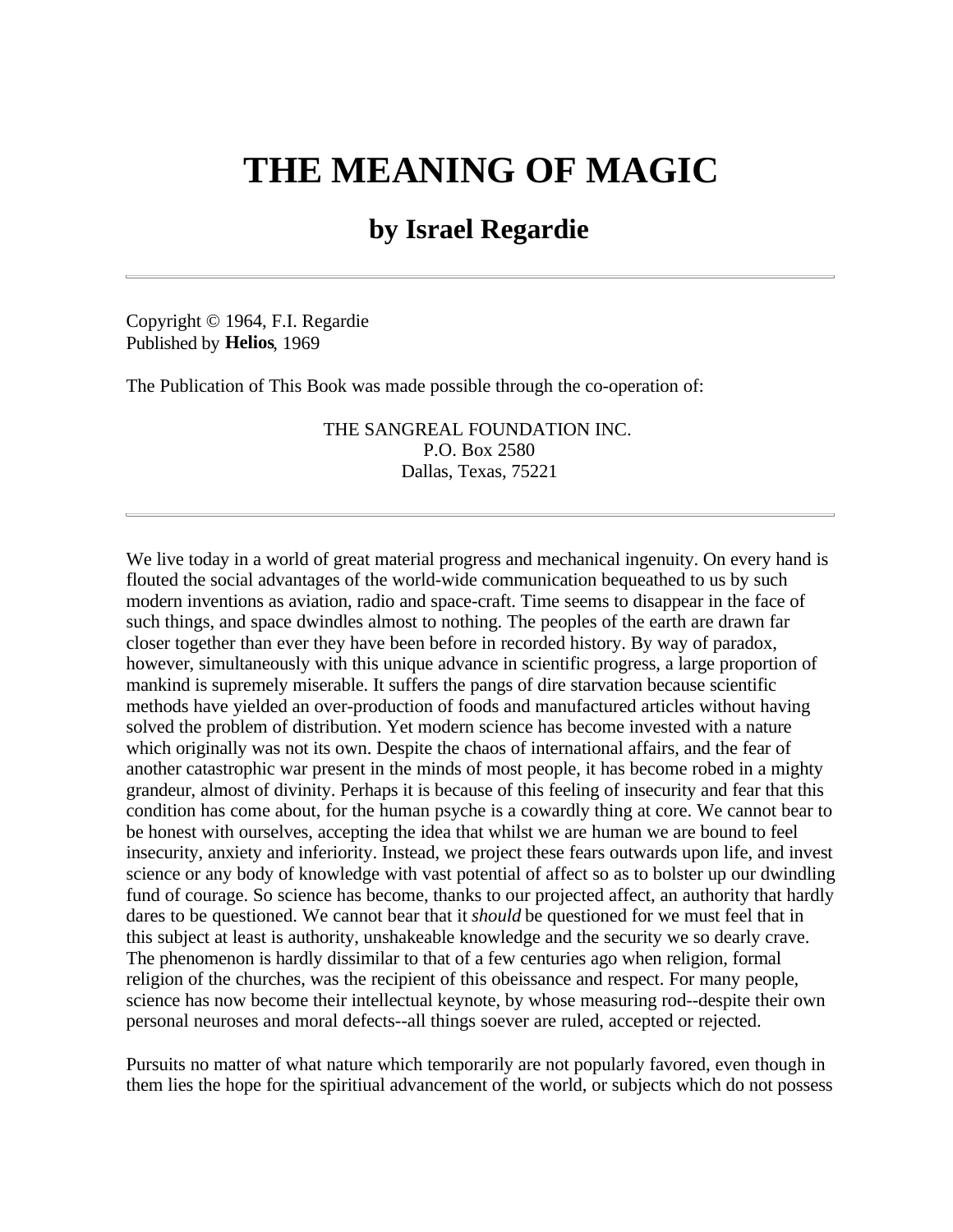### **THE MEANING OF MAGIC**

#### **by Israel Regardie**

Copyright © 1964, F.I. Regardie Published by **Helios**, 1969

The Publication of This Book was made possible through the co-operation of:

THE SANGREAL FOUNDATION INC. P.O. Box 2580 Dallas, Texas, 75221

We live today in a world of great material progress and mechanical ingenuity. On every hand is flouted the social advantages of the world-wide communication bequeathed to us by such modern inventions as aviation, radio and space-craft. Time seems to disappear in the face of such things, and space dwindles almost to nothing. The peoples of the earth are drawn far closer together than ever they have been before in recorded history. By way of paradox, however, simultaneously with this unique advance in scientific progress, a large proportion of mankind is supremely miserable. It suffers the pangs of dire starvation because scientific methods have yielded an over-production of foods and manufactured articles without having solved the problem of distribution. Yet modern science has become invested with a nature which originally was not its own. Despite the chaos of international affairs, and the fear of another catastrophic war present in the minds of most people, it has become robed in a mighty grandeur, almost of divinity. Perhaps it is because of this feeling of insecurity and fear that this condition has come about, for the human psyche is a cowardly thing at core. We cannot bear to be honest with ourselves, accepting the idea that whilst we are human we are bound to feel insecurity, anxiety and inferiority. Instead, we project these fears outwards upon life, and invest science or any body of knowledge with vast potential of affect so as to bolster up our dwindling fund of courage. So science has become, thanks to our projected affect, an authority that hardly dares to be questioned. We cannot bear that it *should* be questioned for we must feel that in this subject at least is authority, unshakeable knowledge and the security we so dearly crave. The phenomenon is hardly dissimilar to that of a few centuries ago when religion, formal religion of the churches, was the recipient of this obeissance and respect. For many people, science has now become their intellectual keynote, by whose measuring rod--despite their own personal neuroses and moral defects--all things soever are ruled, accepted or rejected.

Pursuits no matter of what nature which temporarily are not popularly favored, even though in them lies the hope for the spiritiual advancement of the world, or subjects which do not possess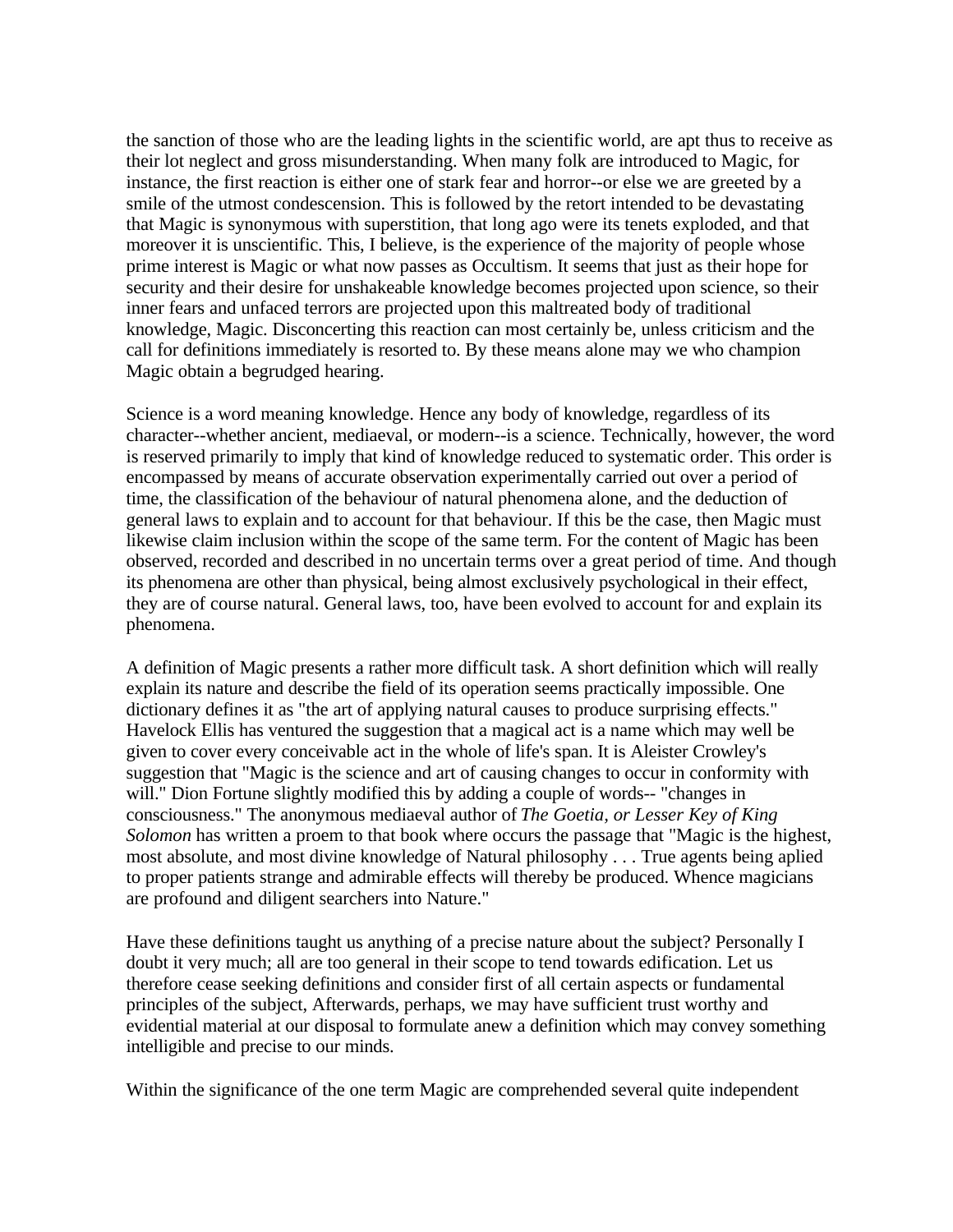the sanction of those who are the leading lights in the scientific world, are apt thus to receive as their lot neglect and gross misunderstanding. When many folk are introduced to Magic, for instance, the first reaction is either one of stark fear and horror--or else we are greeted by a smile of the utmost condescension. This is followed by the retort intended to be devastating that Magic is synonymous with superstition, that long ago were its tenets exploded, and that moreover it is unscientific. This, I believe, is the experience of the majority of people whose prime interest is Magic or what now passes as Occultism. It seems that just as their hope for security and their desire for unshakeable knowledge becomes projected upon science, so their inner fears and unfaced terrors are projected upon this maltreated body of traditional knowledge, Magic. Disconcerting this reaction can most certainly be, unless criticism and the call for definitions immediately is resorted to. By these means alone may we who champion Magic obtain a begrudged hearing.

Science is a word meaning knowledge. Hence any body of knowledge, regardless of its character--whether ancient, mediaeval, or modern--is a science. Technically, however, the word is reserved primarily to imply that kind of knowledge reduced to systematic order. This order is encompassed by means of accurate observation experimentally carried out over a period of time, the classification of the behaviour of natural phenomena alone, and the deduction of general laws to explain and to account for that behaviour. If this be the case, then Magic must likewise claim inclusion within the scope of the same term. For the content of Magic has been observed, recorded and described in no uncertain terms over a great period of time. And though its phenomena are other than physical, being almost exclusively psychological in their effect, they are of course natural. General laws, too, have been evolved to account for and explain its phenomena.

A definition of Magic presents a rather more difficult task. A short definition which will really explain its nature and describe the field of its operation seems practically impossible. One dictionary defines it as "the art of applying natural causes to produce surprising effects." Havelock Ellis has ventured the suggestion that a magical act is a name which may well be given to cover every conceivable act in the whole of life's span. It is Aleister Crowley's suggestion that "Magic is the science and art of causing changes to occur in conformity with will." Dion Fortune slightly modified this by adding a couple of words-- "changes in consciousness." The anonymous mediaeval author of *The Goetia, or Lesser Key of King Solomon* has written a proem to that book where occurs the passage that "Magic is the highest, most absolute, and most divine knowledge of Natural philosophy . . . True agents being aplied to proper patients strange and admirable effects will thereby be produced. Whence magicians are profound and diligent searchers into Nature."

Have these definitions taught us anything of a precise nature about the subject? Personally I doubt it very much; all are too general in their scope to tend towards edification. Let us therefore cease seeking definitions and consider first of all certain aspects or fundamental principles of the subject, Afterwards, perhaps, we may have sufficient trust worthy and evidential material at our disposal to formulate anew a definition which may convey something intelligible and precise to our minds.

Within the significance of the one term Magic are comprehended several quite independent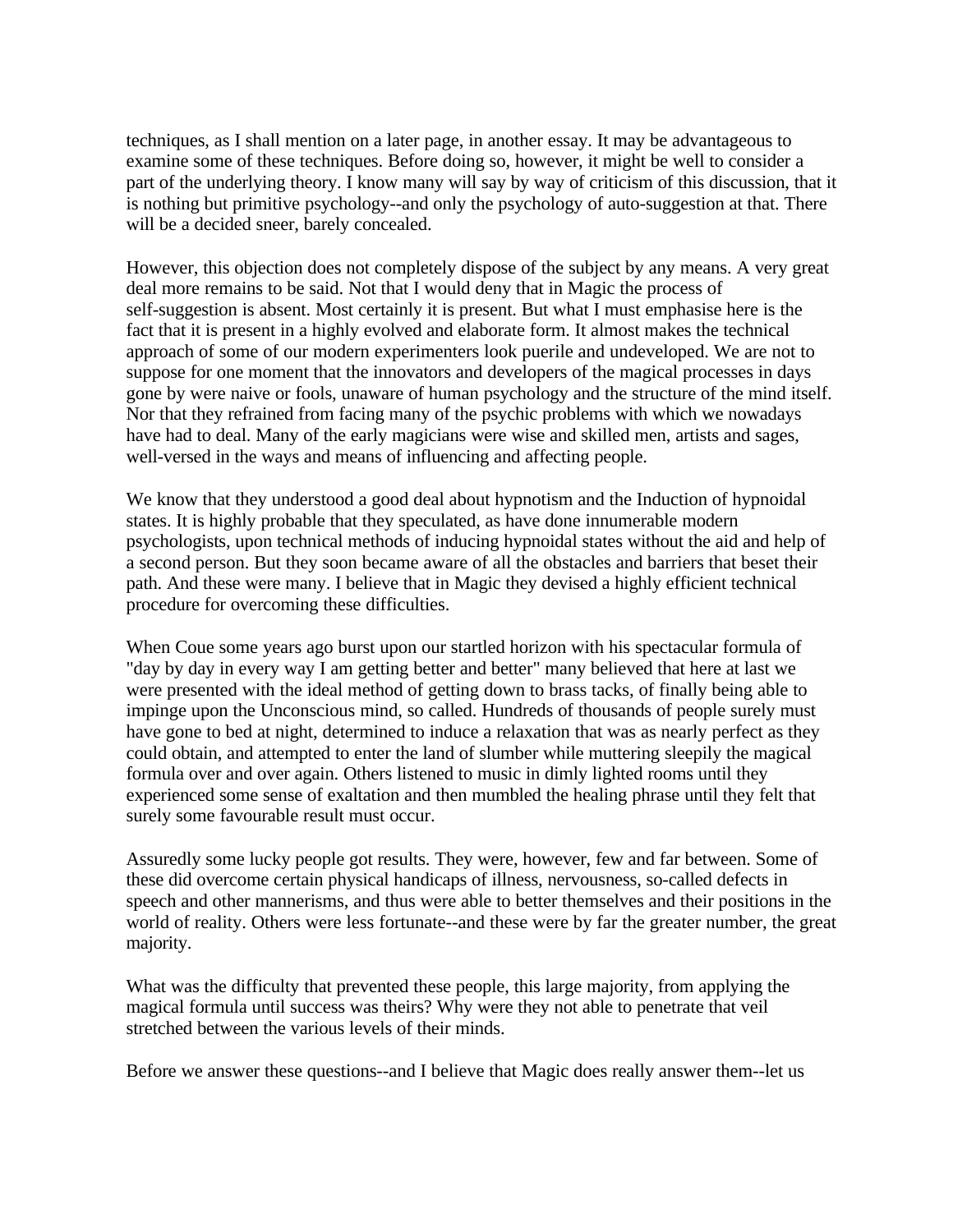techniques, as I shall mention on a later page, in another essay. It may be advantageous to examine some of these techniques. Before doing so, however, it might be well to consider a part of the underlying theory. I know many will say by way of criticism of this discussion, that it is nothing but primitive psychology--and only the psychology of auto-suggestion at that. There will be a decided sneer, barely concealed.

However, this objection does not completely dispose of the subject by any means. A very great deal more remains to be said. Not that I would deny that in Magic the process of self-suggestion is absent. Most certainly it is present. But what I must emphasise here is the fact that it is present in a highly evolved and elaborate form. It almost makes the technical approach of some of our modern experimenters look puerile and undeveloped. We are not to suppose for one moment that the innovators and developers of the magical processes in days gone by were naive or fools, unaware of human psychology and the structure of the mind itself. Nor that they refrained from facing many of the psychic problems with which we nowadays have had to deal. Many of the early magicians were wise and skilled men, artists and sages, well-versed in the ways and means of influencing and affecting people.

We know that they understood a good deal about hypnotism and the Induction of hypnoidal states. It is highly probable that they speculated, as have done innumerable modern psychologists, upon technical methods of inducing hypnoidal states without the aid and help of a second person. But they soon became aware of all the obstacles and barriers that beset their path. And these were many. I believe that in Magic they devised a highly efficient technical procedure for overcoming these difficulties.

When Coue some years ago burst upon our startled horizon with his spectacular formula of "day by day in every way I am getting better and better" many believed that here at last we were presented with the ideal method of getting down to brass tacks, of finally being able to impinge upon the Unconscious mind, so called. Hundreds of thousands of people surely must have gone to bed at night, determined to induce a relaxation that was as nearly perfect as they could obtain, and attempted to enter the land of slumber while muttering sleepily the magical formula over and over again. Others listened to music in dimly lighted rooms until they experienced some sense of exaltation and then mumbled the healing phrase until they felt that surely some favourable result must occur.

Assuredly some lucky people got results. They were, however, few and far between. Some of these did overcome certain physical handicaps of illness, nervousness, so-called defects in speech and other mannerisms, and thus were able to better themselves and their positions in the world of reality. Others were less fortunate--and these were by far the greater number, the great majority.

What was the difficulty that prevented these people, this large majority, from applying the magical formula until success was theirs? Why were they not able to penetrate that veil stretched between the various levels of their minds.

Before we answer these questions--and I believe that Magic does really answer them--let us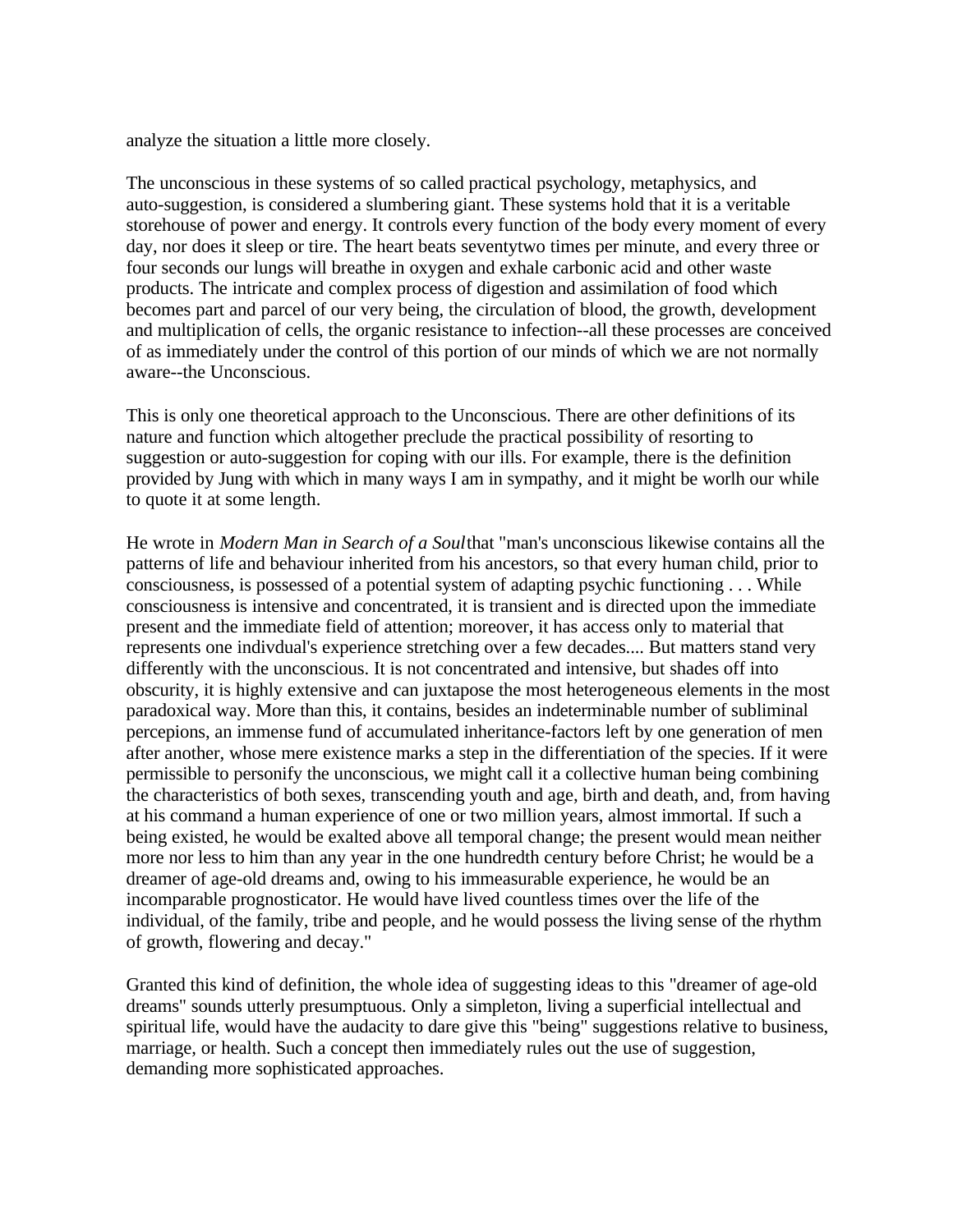analyze the situation a little more closely.

The unconscious in these systems of so called practical psychology, metaphysics, and auto-suggestion, is considered a slumbering giant. These systems hold that it is a veritable storehouse of power and energy. It controls every function of the body every moment of every day, nor does it sleep or tire. The heart beats seventytwo times per minute, and every three or four seconds our lungs will breathe in oxygen and exhale carbonic acid and other waste products. The intricate and complex process of digestion and assimilation of food which becomes part and parcel of our very being, the circulation of blood, the growth, development and multiplication of cells, the organic resistance to infection--all these processes are conceived of as immediately under the control of this portion of our minds of which we are not normally aware--the Unconscious.

This is only one theoretical approach to the Unconscious. There are other definitions of its nature and function which altogether preclude the practical possibility of resorting to suggestion or auto-suggestion for coping with our ills. For example, there is the definition provided by Jung with which in many ways I am in sympathy, and it might be worlh our while to quote it at some length.

He wrote in *Modern Man in Search of a Soul* that "man's unconscious likewise contains all the patterns of life and behaviour inherited from his ancestors, so that every human child, prior to consciousness, is possessed of a potential system of adapting psychic functioning . . . While consciousness is intensive and concentrated, it is transient and is directed upon the immediate present and the immediate field of attention; moreover, it has access only to material that represents one indivdual's experience stretching over a few decades.... But matters stand very differently with the unconscious. It is not concentrated and intensive, but shades off into obscurity, it is highly extensive and can juxtapose the most heterogeneous elements in the most paradoxical way. More than this, it contains, besides an indeterminable number of subliminal percepions, an immense fund of accumulated inheritance-factors left by one generation of men after another, whose mere existence marks a step in the differentiation of the species. If it were permissible to personify the unconscious, we might call it a collective human being combining the characteristics of both sexes, transcending youth and age, birth and death, and, from having at his command a human experience of one or two million years, almost immortal. If such a being existed, he would be exalted above all temporal change; the present would mean neither more nor less to him than any year in the one hundredth century before Christ; he would be a dreamer of age-old dreams and, owing to his immeasurable experience, he would be an incomparable prognosticator. He would have lived countless times over the life of the individual, of the family, tribe and people, and he would possess the living sense of the rhythm of growth, flowering and decay."

Granted this kind of definition, the whole idea of suggesting ideas to this "dreamer of age-old dreams" sounds utterly presumptuous. Only a simpleton, living a superficial intellectual and spiritual life, would have the audacity to dare give this "being" suggestions relative to business, marriage, or health. Such a concept then immediately rules out the use of suggestion, demanding more sophisticated approaches.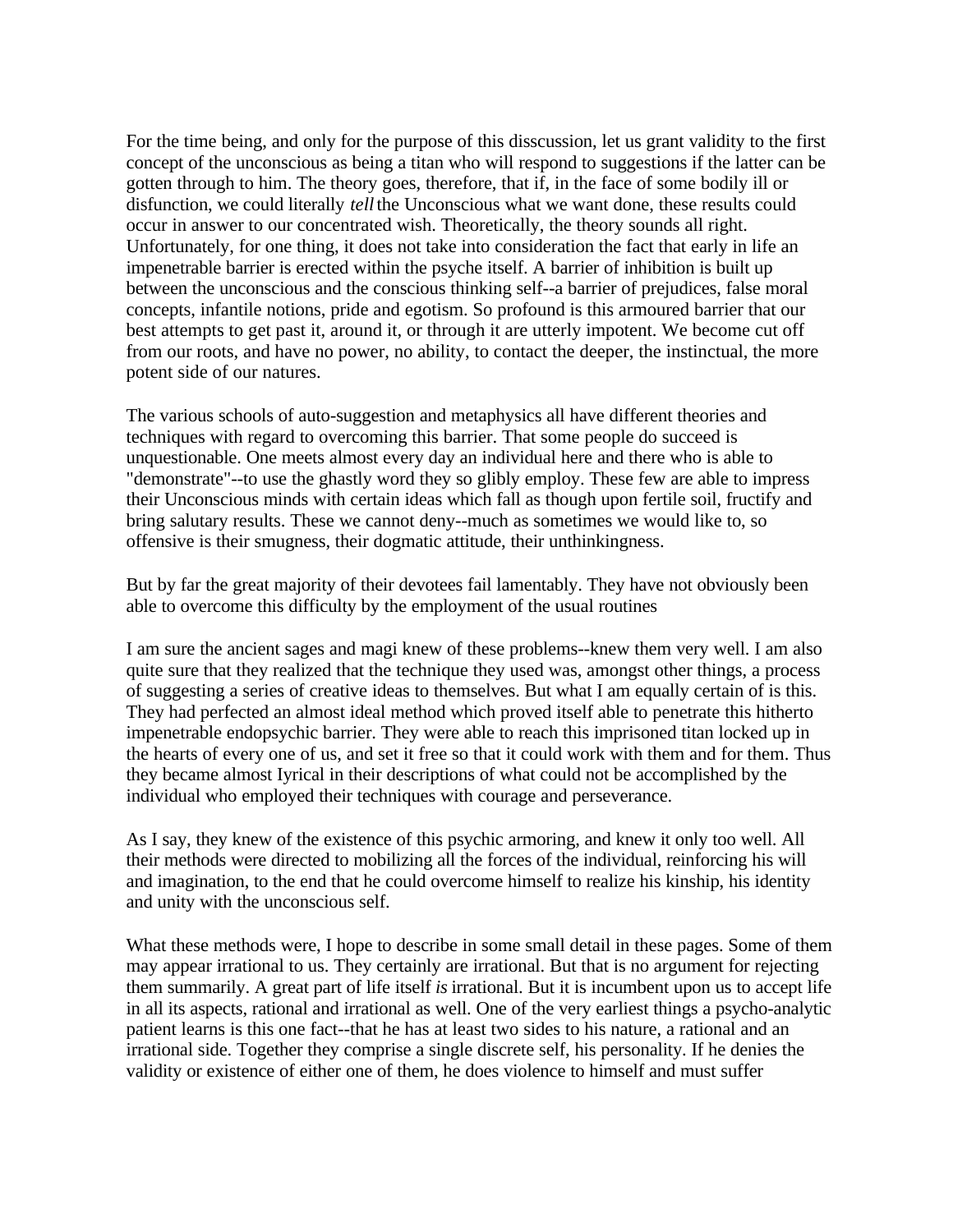For the time being, and only for the purpose of this disscussion, let us grant validity to the first concept of the unconscious as being a titan who will respond to suggestions if the latter can be gotten through to him. The theory goes, therefore, that if, in the face of some bodily ill or disfunction, we could literally *tell* the Unconscious what we want done, these results could occur in answer to our concentrated wish. Theoretically, the theory sounds all right. Unfortunately, for one thing, it does not take into consideration the fact that early in life an impenetrable barrier is erected within the psyche itself. A barrier of inhibition is built up between the unconscious and the conscious thinking self--a barrier of prejudices, false moral concepts, infantile notions, pride and egotism. So profound is this armoured barrier that our best attempts to get past it, around it, or through it are utterly impotent. We become cut off from our roots, and have no power, no ability, to contact the deeper, the instinctual, the more potent side of our natures.

The various schools of auto-suggestion and metaphysics all have different theories and techniques with regard to overcoming this barrier. That some people do succeed is unquestionable. One meets almost every day an individual here and there who is able to "demonstrate"--to use the ghastly word they so glibly employ. These few are able to impress their Unconscious minds with certain ideas which fall as though upon fertile soil, fructify and bring salutary results. These we cannot deny--much as sometimes we would like to, so offensive is their smugness, their dogmatic attitude, their unthinkingness.

But by far the great majority of their devotees fail lamentably. They have not obviously been able to overcome this difficulty by the employment of the usual routines

I am sure the ancient sages and magi knew of these problems--knew them very well. I am also quite sure that they realized that the technique they used was, amongst other things, a process of suggesting a series of creative ideas to themselves. But what I am equally certain of is this. They had perfected an almost ideal method which proved itself able to penetrate this hitherto impenetrable endopsychic barrier. They were able to reach this imprisoned titan locked up in the hearts of every one of us, and set it free so that it could work with them and for them. Thus they became almost Iyrical in their descriptions of what could not be accomplished by the individual who employed their techniques with courage and perseverance.

As I say, they knew of the existence of this psychic armoring, and knew it only too well. All their methods were directed to mobilizing all the forces of the individual, reinforcing his will and imagination, to the end that he could overcome himself to realize his kinship, his identity and unity with the unconscious self.

What these methods were, I hope to describe in some small detail in these pages. Some of them may appear irrational to us. They certainly are irrational. But that is no argument for rejecting them summarily. A great part of life itself *is* irrational. But it is incumbent upon us to accept life in all its aspects, rational and irrational as well. One of the very earliest things a psycho-analytic patient learns is this one fact--that he has at least two sides to his nature, a rational and an irrational side. Together they comprise a single discrete self, his personality. If he denies the validity or existence of either one of them, he does violence to himself and must suffer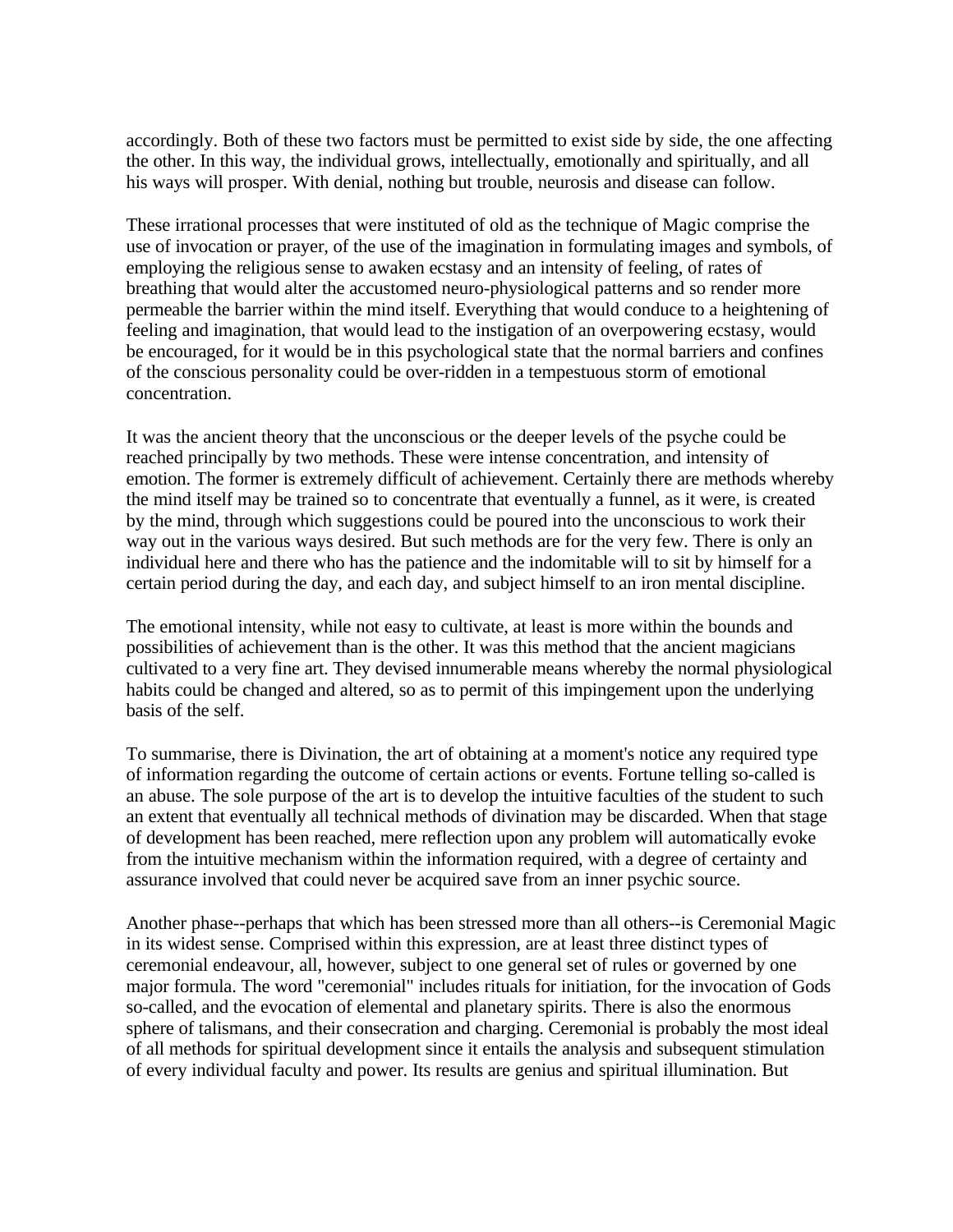accordingly. Both of these two factors must be permitted to exist side by side, the one affecting the other. In this way, the individual grows, intellectually, emotionally and spiritually, and all his ways will prosper. With denial, nothing but trouble, neurosis and disease can follow.

These irrational processes that were instituted of old as the technique of Magic comprise the use of invocation or prayer, of the use of the imagination in formulating images and symbols, of employing the religious sense to awaken ecstasy and an intensity of feeling, of rates of breathing that would alter the accustomed neuro-physiological patterns and so render more permeable the barrier within the mind itself. Everything that would conduce to a heightening of feeling and imagination, that would lead to the instigation of an overpowering ecstasy, would be encouraged, for it would be in this psychological state that the normal barriers and confines of the conscious personality could be over-ridden in a tempestuous storm of emotional concentration.

It was the ancient theory that the unconscious or the deeper levels of the psyche could be reached principally by two methods. These were intense concentration, and intensity of emotion. The former is extremely difficult of achievement. Certainly there are methods whereby the mind itself may be trained so to concentrate that eventually a funnel, as it were, is created by the mind, through which suggestions could be poured into the unconscious to work their way out in the various ways desired. But such methods are for the very few. There is only an individual here and there who has the patience and the indomitable will to sit by himself for a certain period during the day, and each day, and subject himself to an iron mental discipline.

The emotional intensity, while not easy to cultivate, at least is more within the bounds and possibilities of achievement than is the other. It was this method that the ancient magicians cultivated to a very fine art. They devised innumerable means whereby the normal physiological habits could be changed and altered, so as to permit of this impingement upon the underlying basis of the self.

To summarise, there is Divination, the art of obtaining at a moment's notice any required type of information regarding the outcome of certain actions or events. Fortune telling so-called is an abuse. The sole purpose of the art is to develop the intuitive faculties of the student to such an extent that eventually all technical methods of divination may be discarded. When that stage of development has been reached, mere reflection upon any problem will automatically evoke from the intuitive mechanism within the information required, with a degree of certainty and assurance involved that could never be acquired save from an inner psychic source.

Another phase--perhaps that which has been stressed more than all others--is Ceremonial Magic in its widest sense. Comprised within this expression, are at least three distinct types of ceremonial endeavour, all, however, subject to one general set of rules or governed by one major formula. The word "ceremonial" includes rituals for initiation, for the invocation of Gods so-called, and the evocation of elemental and planetary spirits. There is also the enormous sphere of talismans, and their consecration and charging. Ceremonial is probably the most ideal of all methods for spiritual development since it entails the analysis and subsequent stimulation of every individual faculty and power. Its results are genius and spiritual illumination. But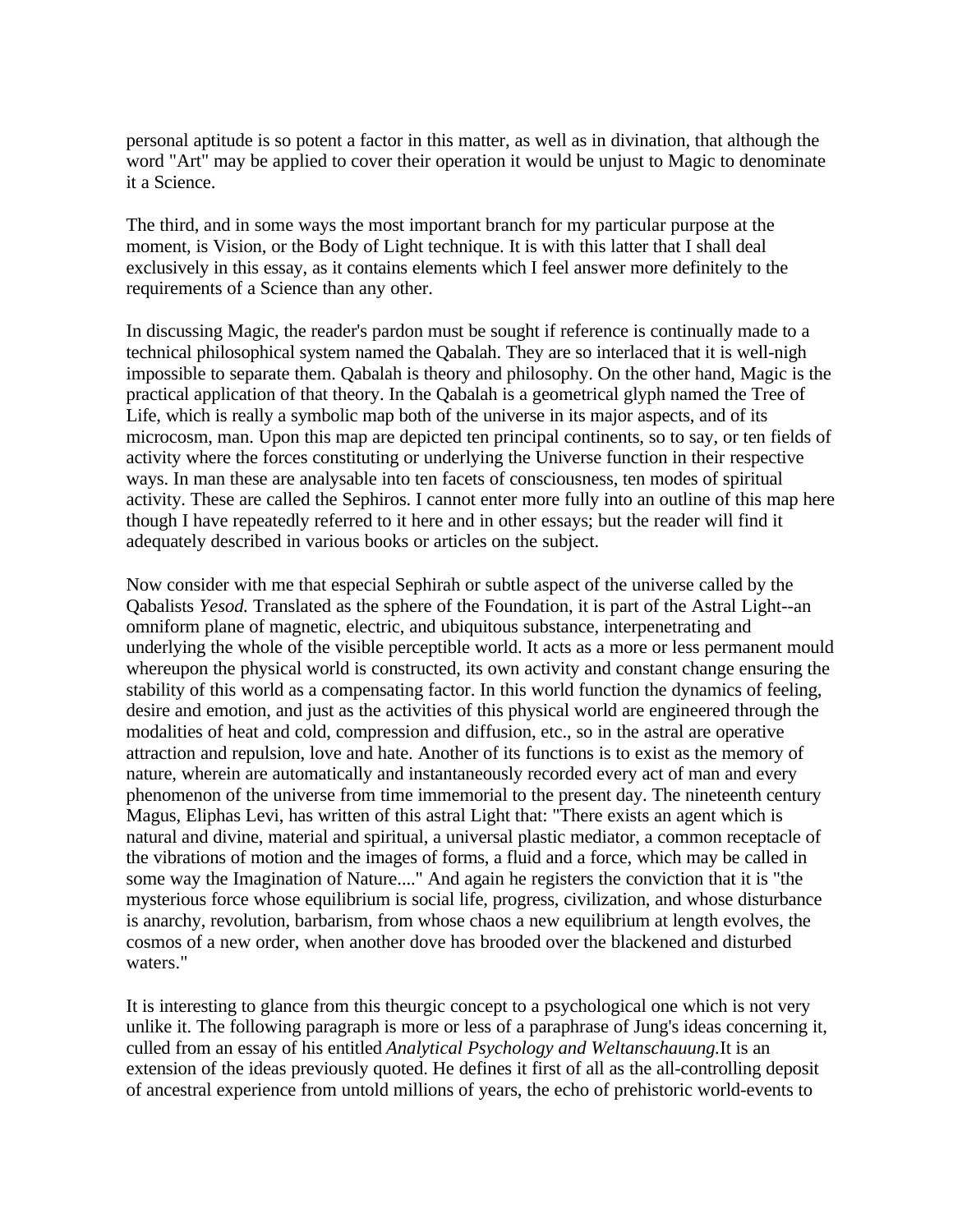personal aptitude is so potent a factor in this matter, as well as in divination, that although the word "Art" may be applied to cover their operation it would be unjust to Magic to denominate it a Science.

The third, and in some ways the most important branch for my particular purpose at the moment, is Vision, or the Body of Light technique. It is with this latter that I shall deal exclusively in this essay, as it contains elements which I feel answer more definitely to the requirements of a Science than any other.

In discussing Magic, the reader's pardon must be sought if reference is continually made to a technical philosophical system named the Qabalah. They are so interlaced that it is well-nigh impossible to separate them. Qabalah is theory and philosophy. On the other hand, Magic is the practical application of that theory. In the Qabalah is a geometrical glyph named the Tree of Life, which is really a symbolic map both of the universe in its major aspects, and of its microcosm, man. Upon this map are depicted ten principal continents, so to say, or ten fields of activity where the forces constituting or underlying the Universe function in their respective ways. In man these are analysable into ten facets of consciousness, ten modes of spiritual activity. These are called the Sephiros. I cannot enter more fully into an outline of this map here though I have repeatedly referred to it here and in other essays; but the reader will find it adequately described in various books or articles on the subject.

Now consider with me that especial Sephirah or subtle aspect of the universe called by the Qabalists *Yesod.* Translated as the sphere of the Foundation, it is part of the Astral Light--an omniform plane of magnetic, electric, and ubiquitous substance, interpenetrating and underlying the whole of the visible perceptible world. It acts as a more or less permanent mould whereupon the physical world is constructed, its own activity and constant change ensuring the stability of this world as a compensating factor. In this world function the dynamics of feeling, desire and emotion, and just as the activities of this physical world are engineered through the modalities of heat and cold, compression and diffusion, etc., so in the astral are operative attraction and repulsion, love and hate. Another of its functions is to exist as the memory of nature, wherein are automatically and instantaneously recorded every act of man and every phenomenon of the universe from time immemorial to the present day. The nineteenth century Magus, Eliphas Levi, has written of this astral Light that: "There exists an agent which is natural and divine, material and spiritual, a universal plastic mediator, a common receptacle of the vibrations of motion and the images of forms, a fluid and a force, which may be called in some way the Imagination of Nature...." And again he registers the conviction that it is "the mysterious force whose equilibrium is social life, progress, civilization, and whose disturbance is anarchy, revolution, barbarism, from whose chaos a new equilibrium at length evolves, the cosmos of a new order, when another dove has brooded over the blackened and disturbed waters."

It is interesting to glance from this theurgic concept to a psychological one which is not very unlike it. The following paragraph is more or less of a paraphrase of Jung's ideas concerning it, culled from an essay of his entitled *Analytical Psychology and Weltanschauung.* It is an extension of the ideas previously quoted. He defines it first of all as the all-controlling deposit of ancestral experience from untold millions of years, the echo of prehistoric world-events to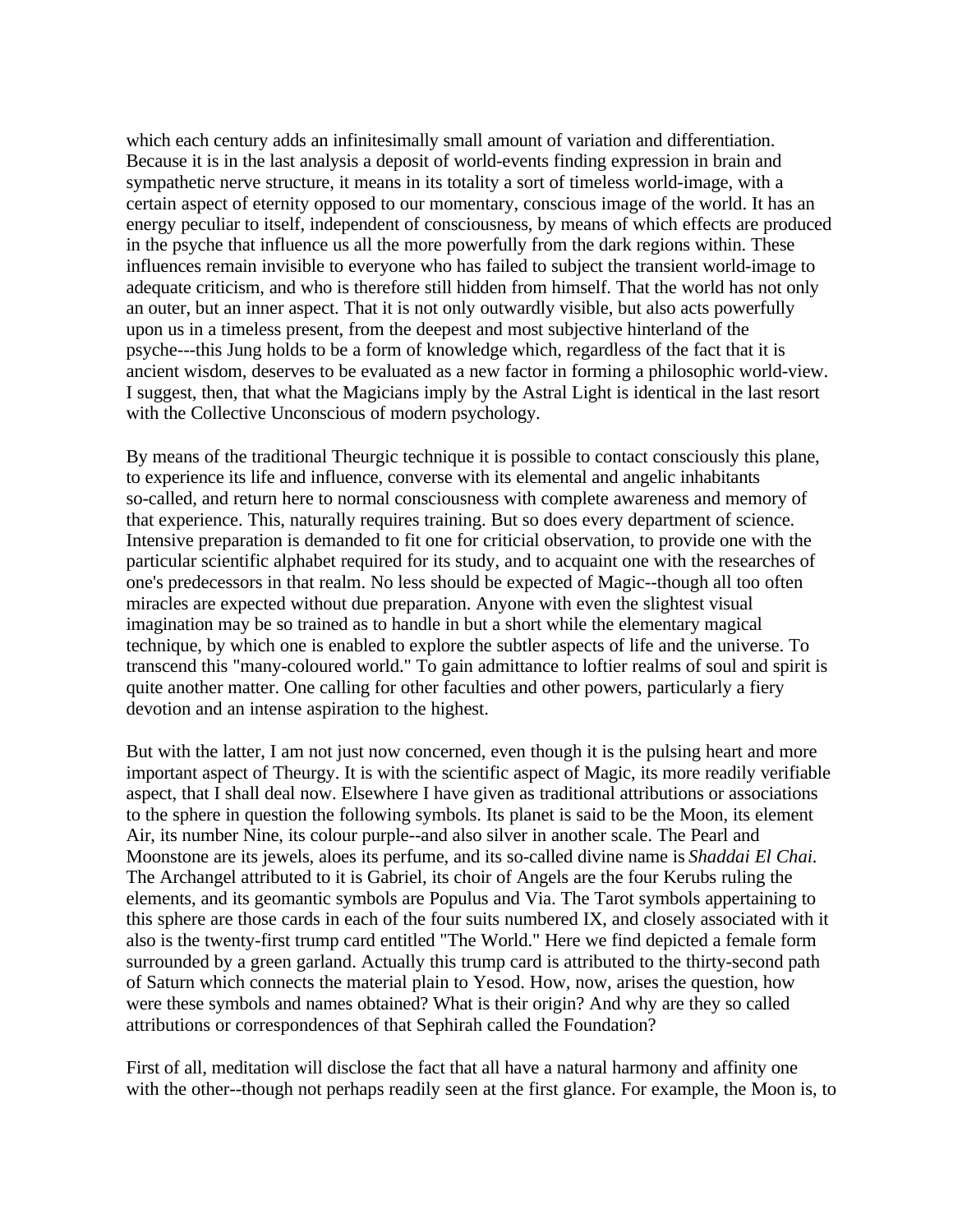which each century adds an infinitesimally small amount of variation and differentiation. Because it is in the last analysis a deposit of world-events finding expression in brain and sympathetic nerve structure, it means in its totality a sort of timeless world-image, with a certain aspect of eternity opposed to our momentary, conscious image of the world. It has an energy peculiar to itself, independent of consciousness, by means of which effects are produced in the psyche that influence us all the more powerfully from the dark regions within. These influences remain invisible to everyone who has failed to subject the transient world-image to adequate criticism, and who is therefore still hidden from himself. That the world has not only an outer, but an inner aspect. That it is not only outwardly visible, but also acts powerfully upon us in a timeless present, from the deepest and most subjective hinterland of the psyche---this Jung holds to be a form of knowledge which, regardless of the fact that it is ancient wisdom, deserves to be evaluated as a new factor in forming a philosophic world-view. I suggest, then, that what the Magicians imply by the Astral Light is identical in the last resort with the Collective Unconscious of modern psychology.

By means of the traditional Theurgic technique it is possible to contact consciously this plane, to experience its life and influence, converse with its elemental and angelic inhabitants so-called, and return here to normal consciousness with complete awareness and memory of that experience. This, naturally requires training. But so does every department of science. Intensive preparation is demanded to fit one for criticial observation, to provide one with the particular scientific alphabet required for its study, and to acquaint one with the researches of one's predecessors in that realm. No less should be expected of Magic--though all too often miracles are expected without due preparation. Anyone with even the slightest visual imagination may be so trained as to handle in but a short while the elementary magical technique, by which one is enabled to explore the subtler aspects of life and the universe. To transcend this "many-coloured world." To gain admittance to loftier realms of soul and spirit is quite another matter. One calling for other faculties and other powers, particularly a fiery devotion and an intense aspiration to the highest.

But with the latter, I am not just now concerned, even though it is the pulsing heart and more important aspect of Theurgy. It is with the scientific aspect of Magic, its more readily verifiable aspect, that I shall deal now. Elsewhere I have given as traditional attributions or associations to the sphere in question the following symbols. Its planet is said to be the Moon, its element Air, its number Nine, its colour purple--and also silver in another scale. The Pearl and Moonstone are its jewels, aloes its perfume, and its so-called divine name is *Shaddai El Chai.*  The Archangel attributed to it is Gabriel, its choir of Angels are the four Kerubs ruling the elements, and its geomantic symbols are Populus and Via. The Tarot symbols appertaining to this sphere are those cards in each of the four suits numbered IX, and closely associated with it also is the twenty-first trump card entitled "The World." Here we find depicted a female form surrounded by a green garland. Actually this trump card is attributed to the thirty-second path of Saturn which connects the material plain to Yesod. How, now, arises the question, how were these symbols and names obtained? What is their origin? And why are they so called attributions or correspondences of that Sephirah called the Foundation?

First of all, meditation will disclose the fact that all have a natural harmony and affinity one with the other--though not perhaps readily seen at the first glance. For example, the Moon is, to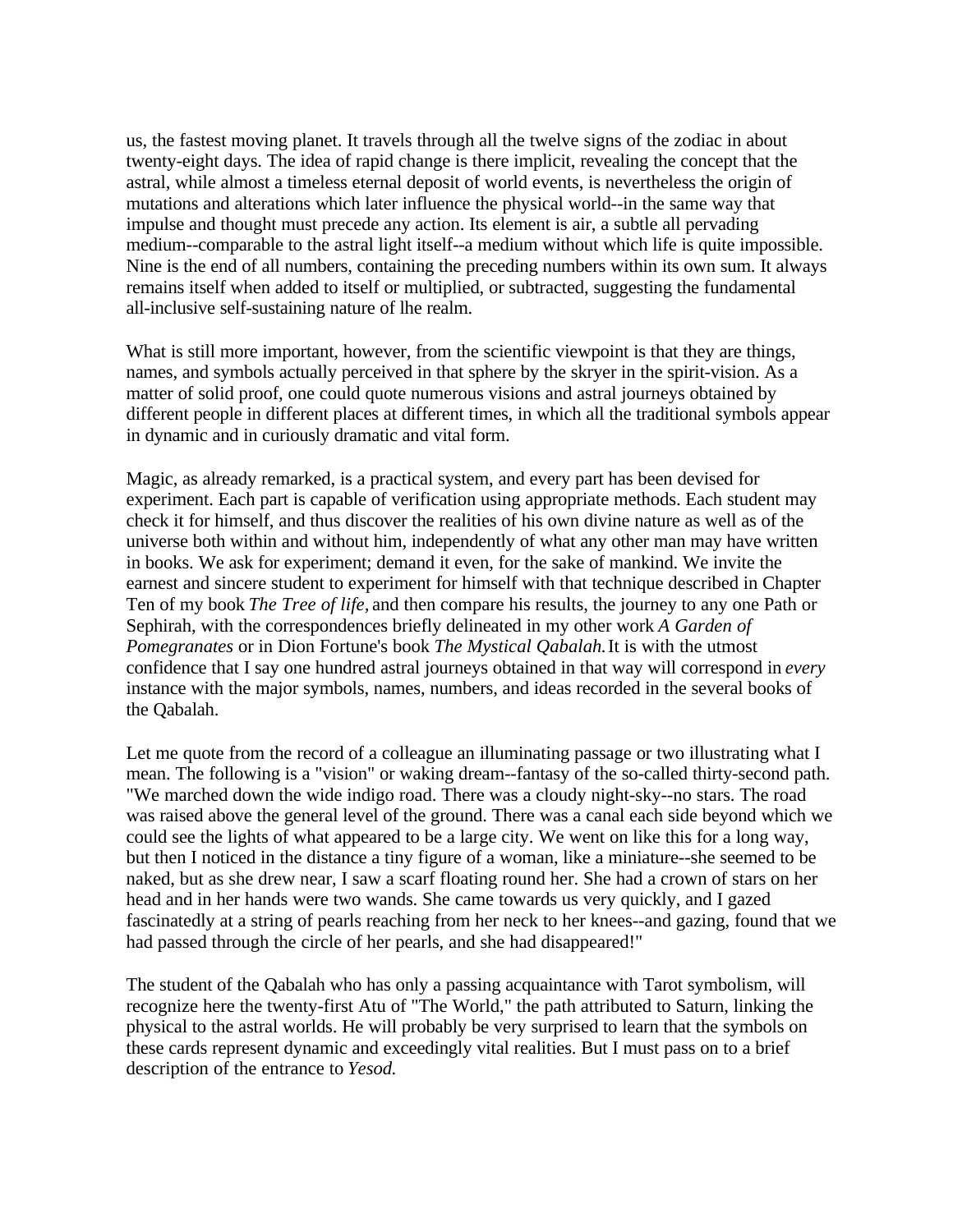us, the fastest moving planet. It travels through all the twelve signs of the zodiac in about twenty-eight days. The idea of rapid change is there implicit, revealing the concept that the astral, while almost a timeless eternal deposit of world events, is nevertheless the origin of mutations and alterations which later influence the physical world--in the same way that impulse and thought must precede any action. Its element is air, a subtle all pervading medium--comparable to the astral light itself--a medium without which life is quite impossible. Nine is the end of all numbers, containing the preceding numbers within its own sum. It always remains itself when added to itself or multiplied, or subtracted, suggesting the fundamental all-inclusive self-sustaining nature of lhe realm.

What is still more important, however, from the scientific viewpoint is that they are things, names, and symbols actually perceived in that sphere by the skryer in the spirit-vision. As a matter of solid proof, one could quote numerous visions and astral journeys obtained by different people in different places at different times, in which all the traditional symbols appear in dynamic and in curiously dramatic and vital form.

Magic, as already remarked, is a practical system, and every part has been devised for experiment. Each part is capable of verification using appropriate methods. Each student may check it for himself, and thus discover the realities of his own divine nature as well as of the universe both within and without him, independently of what any other man may have written in books. We ask for experiment; demand it even, for the sake of mankind. We invite the earnest and sincere student to experiment for himself with that technique described in Chapter Ten of my book *The Tree of life,* and then compare his results, the journey to any one Path or Sephirah, with the correspondences briefly delineated in my other work *A Garden of Pomegranates* or in Dion Fortune's book *The Mystical Qabalah.* It is with the utmost confidence that I say one hundred astral journeys obtained in that way will correspond in *every*  instance with the major symbols, names, numbers, and ideas recorded in the several books of the Qabalah.

Let me quote from the record of a colleague an illuminating passage or two illustrating what I mean. The following is a "vision" or waking dream--fantasy of the so-called thirty-second path. "We marched down the wide indigo road. There was a cloudy night-sky--no stars. The road was raised above the general level of the ground. There was a canal each side beyond which we could see the lights of what appeared to be a large city. We went on like this for a long way, but then I noticed in the distance a tiny figure of a woman, like a miniature--she seemed to be naked, but as she drew near, I saw a scarf floating round her. She had a crown of stars on her head and in her hands were two wands. She came towards us very quickly, and I gazed fascinatedly at a string of pearls reaching from her neck to her knees--and gazing, found that we had passed through the circle of her pearls, and she had disappeared!"

The student of the Qabalah who has only a passing acquaintance with Tarot symbolism, will recognize here the twenty-first Atu of "The World," the path attributed to Saturn, linking the physical to the astral worlds. He will probably be very surprised to learn that the symbols on these cards represent dynamic and exceedingly vital realities. But I must pass on to a brief description of the entrance to *Yesod.*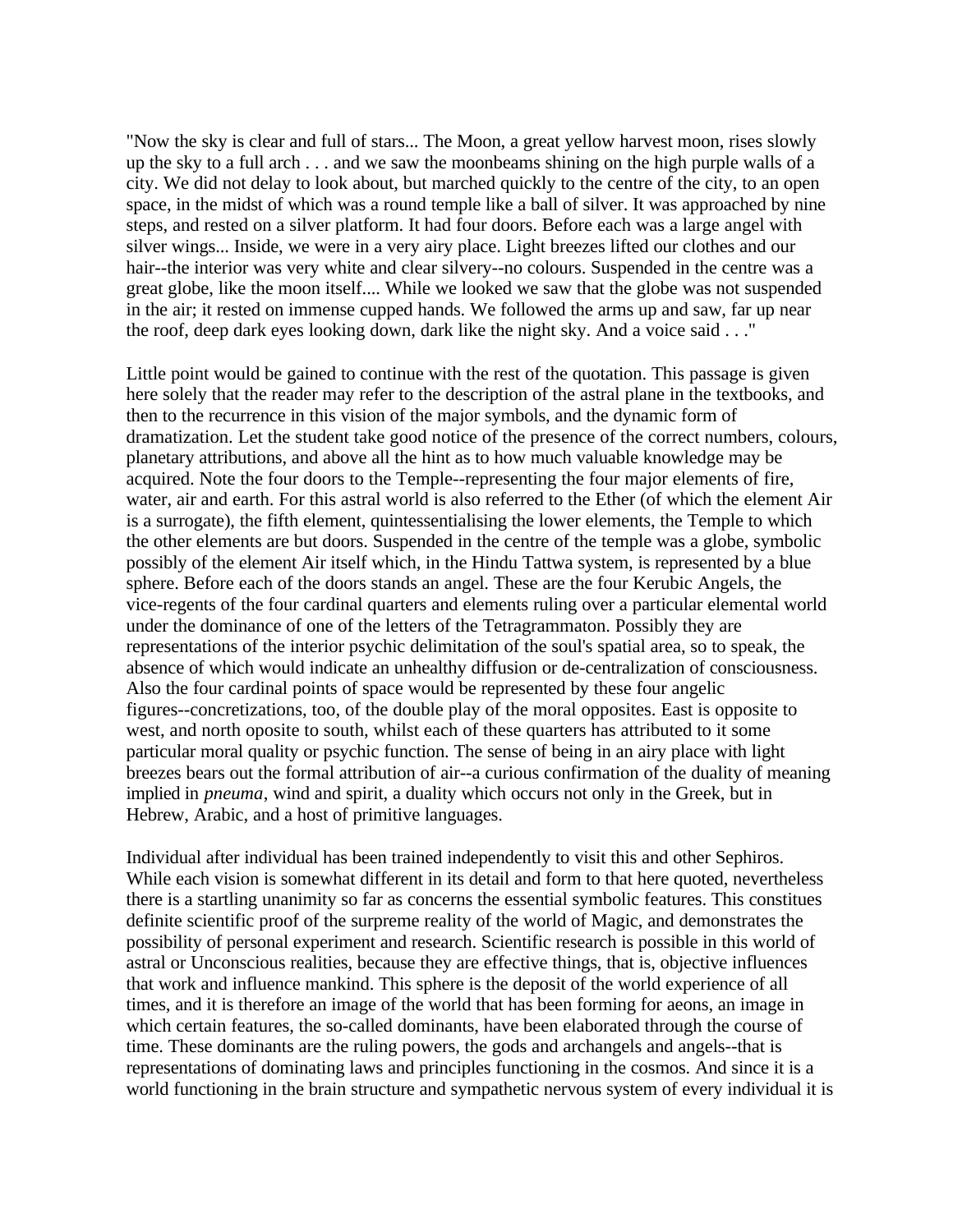"Now the sky is clear and full of stars... The Moon, a great yellow harvest moon, rises slowly up the sky to a full arch . . . and we saw the moonbeams shining on the high purple walls of a city. We did not delay to look about, but marched quickly to the centre of the city, to an open space, in the midst of which was a round temple like a ball of silver. It was approached by nine steps, and rested on a silver platform. It had four doors. Before each was a large angel with silver wings... Inside, we were in a very airy place. Light breezes lifted our clothes and our hair--the interior was very white and clear silvery--no colours. Suspended in the centre was a great globe, like the moon itself.... While we looked we saw that the globe was not suspended in the air; it rested on immense cupped hands. We followed the arms up and saw, far up near the roof, deep dark eyes looking down, dark like the night sky. And a voice said . . ."

Little point would be gained to continue with the rest of the quotation. This passage is given here solely that the reader may refer to the description of the astral plane in the textbooks, and then to the recurrence in this vision of the major symbols, and the dynamic form of dramatization. Let the student take good notice of the presence of the correct numbers, colours, planetary attributions, and above all the hint as to how much valuable knowledge may be acquired. Note the four doors to the Temple--representing the four major elements of fire, water, air and earth. For this astral world is also referred to the Ether (of which the element Air is a surrogate), the fifth element, quintessentialising the lower elements, the Temple to which the other elements are but doors. Suspended in the centre of the temple was a globe, symbolic possibly of the element Air itself which, in the Hindu Tattwa system, is represented by a blue sphere. Before each of the doors stands an angel. These are the four Kerubic Angels, the vice-regents of the four cardinal quarters and elements ruling over a particular elemental world under the dominance of one of the letters of the Tetragrammaton. Possibly they are representations of the interior psychic delimitation of the soul's spatial area, so to speak, the absence of which would indicate an unhealthy diffusion or de-centralization of consciousness. Also the four cardinal points of space would be represented by these four angelic figures--concretizations, too, of the double play of the moral opposites. East is opposite to west, and north oposite to south, whilst each of these quarters has attributed to it some particular moral quality or psychic function. The sense of being in an airy place with light breezes bears out the formal attribution of air--a curious confirmation of the duality of meaning implied in *pneuma*, wind and spirit, a duality which occurs not only in the Greek, but in Hebrew, Arabic, and a host of primitive languages.

Individual after individual has been trained independently to visit this and other Sephiros. While each vision is somewhat different in its detail and form to that here quoted, nevertheless there is a startling unanimity so far as concerns the essential symbolic features. This constitues definite scientific proof of the surpreme reality of the world of Magic, and demonstrates the possibility of personal experiment and research. Scientific research is possible in this world of astral or Unconscious realities, because they are effective things, that is, objective influences that work and influence mankind. This sphere is the deposit of the world experience of all times, and it is therefore an image of the world that has been forming for aeons, an image in which certain features, the so-called dominants, have been elaborated through the course of time. These dominants are the ruling powers, the gods and archangels and angels--that is representations of dominating laws and principles functioning in the cosmos. And since it is a world functioning in the brain structure and sympathetic nervous system of every individual it is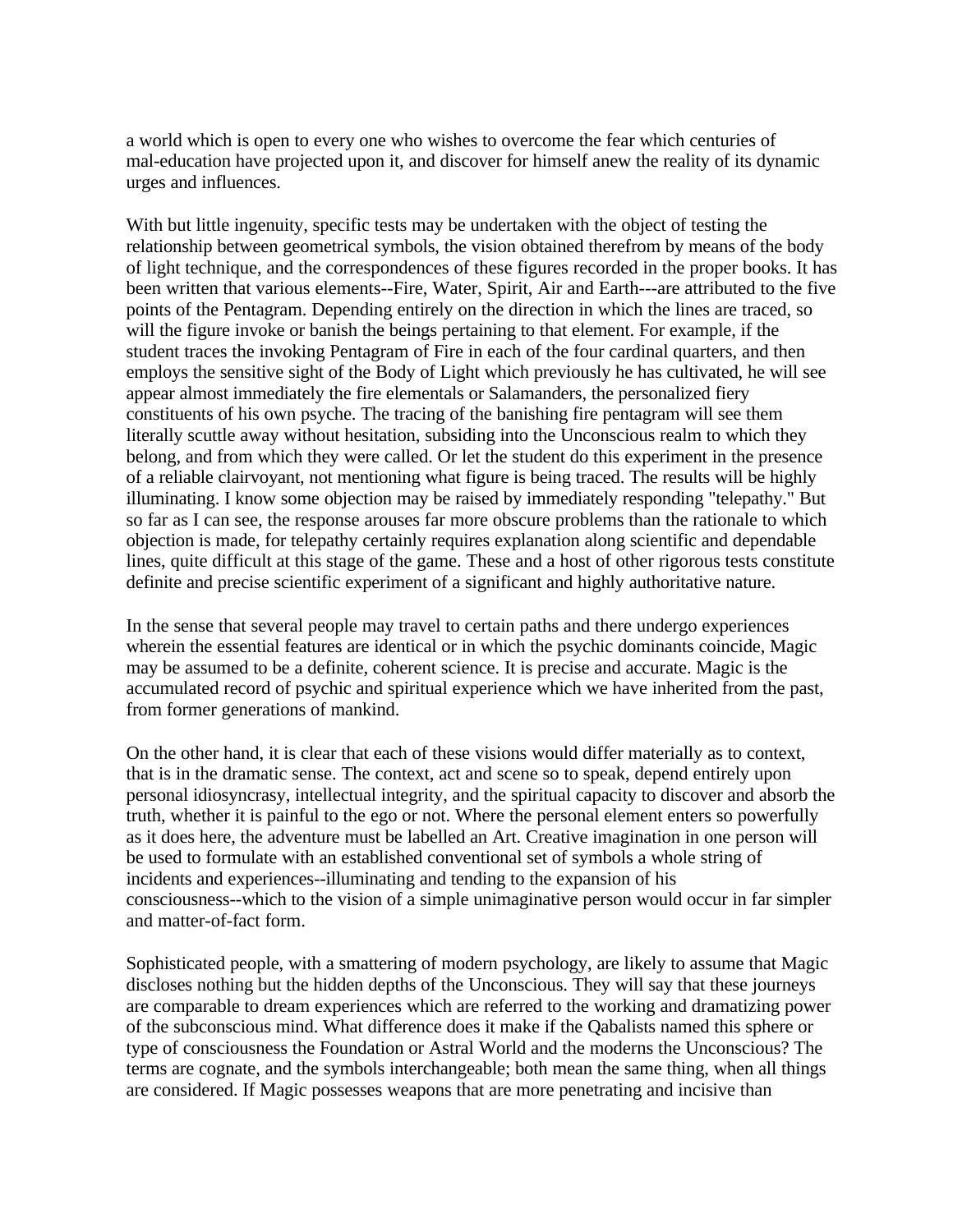a world which is open to every one who wishes to overcome the fear which centuries of mal-education have projected upon it, and discover for himself anew the reality of its dynamic urges and influences.

With but little ingenuity, specific tests may be undertaken with the object of testing the relationship between geometrical symbols, the vision obtained therefrom by means of the body of light technique, and the correspondences of these figures recorded in the proper books. It has been written that various elements--Fire, Water, Spirit, Air and Earth---are attributed to the five points of the Pentagram. Depending entirely on the direction in which the lines are traced, so will the figure invoke or banish the beings pertaining to that element. For example, if the student traces the invoking Pentagram of Fire in each of the four cardinal quarters, and then employs the sensitive sight of the Body of Light which previously he has cultivated, he will see appear almost immediately the fire elementals or Salamanders, the personalized fiery constituents of his own psyche. The tracing of the banishing fire pentagram will see them literally scuttle away without hesitation, subsiding into the Unconscious realm to which they belong, and from which they were called. Or let the student do this experiment in the presence of a reliable clairvoyant, not mentioning what figure is being traced. The results will be highly illuminating. I know some objection may be raised by immediately responding "telepathy." But so far as I can see, the response arouses far more obscure problems than the rationale to which objection is made, for telepathy certainly requires explanation along scientific and dependable lines, quite difficult at this stage of the game. These and a host of other rigorous tests constitute definite and precise scientific experiment of a significant and highly authoritative nature.

In the sense that several people may travel to certain paths and there undergo experiences wherein the essential features are identical or in which the psychic dominants coincide, Magic may be assumed to be a definite, coherent science. It is precise and accurate. Magic is the accumulated record of psychic and spiritual experience which we have inherited from the past, from former generations of mankind.

On the other hand, it is clear that each of these visions would differ materially as to context, that is in the dramatic sense. The context, act and scene so to speak, depend entirely upon personal idiosyncrasy, intellectual integrity, and the spiritual capacity to discover and absorb the truth, whether it is painful to the ego or not. Where the personal element enters so powerfully as it does here, the adventure must be labelled an Art. Creative imagination in one person will be used to formulate with an established conventional set of symbols a whole string of incidents and experiences--illuminating and tending to the expansion of his consciousness--which to the vision of a simple unimaginative person would occur in far simpler and matter-of-fact form.

Sophisticated people, with a smattering of modern psychology, are likely to assume that Magic discloses nothing but the hidden depths of the Unconscious. They will say that these journeys are comparable to dream experiences which are referred to the working and dramatizing power of the subconscious mind. What difference does it make if the Qabalists named this sphere or type of consciousness the Foundation or Astral World and the moderns the Unconscious? The terms are cognate, and the symbols interchangeable; both mean the same thing, when all things are considered. If Magic possesses weapons that are more penetrating and incisive than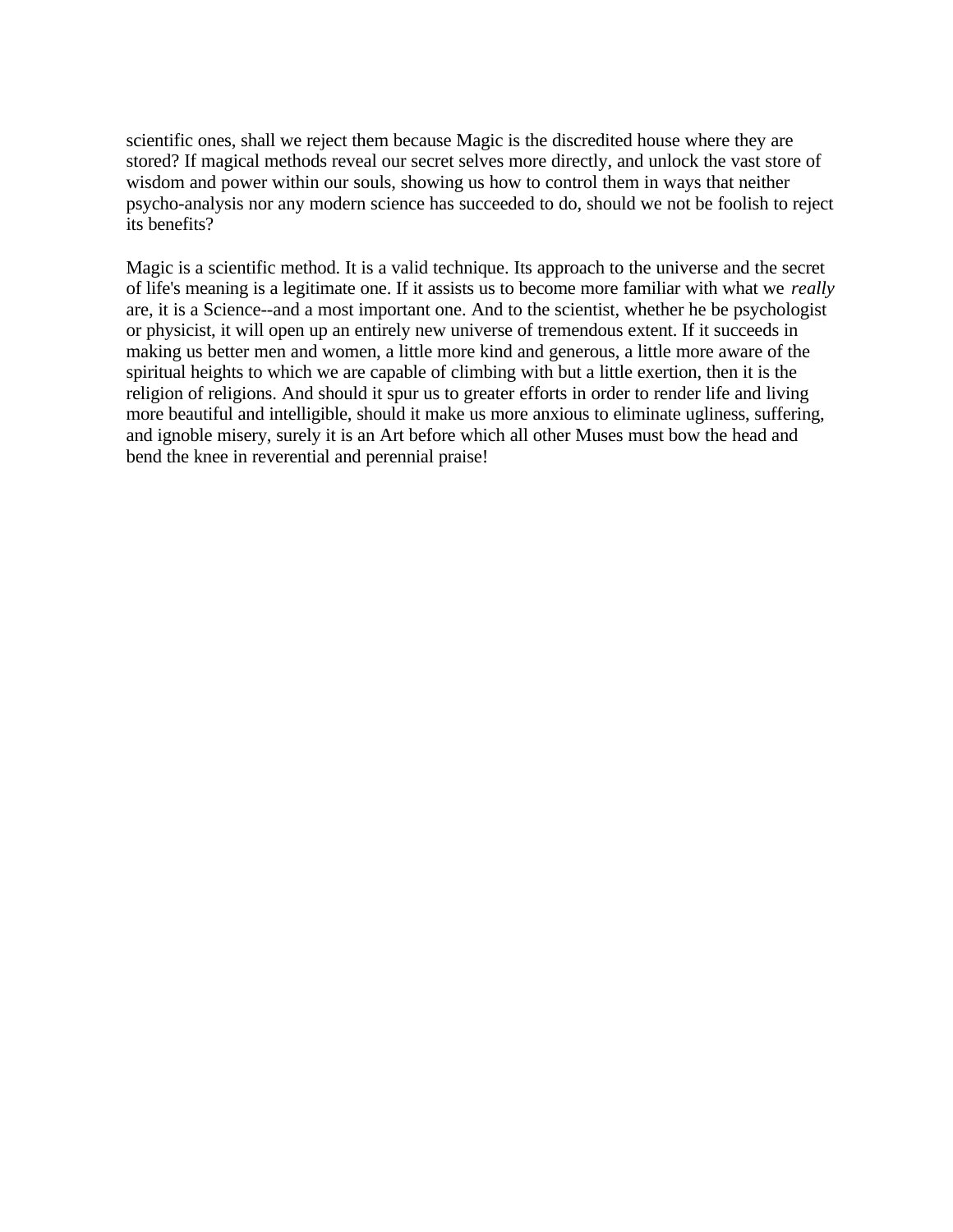scientific ones, shall we reject them because Magic is the discredited house where they are stored? If magical methods reveal our secret selves more directly, and unlock the vast store of wisdom and power within our souls, showing us how to control them in ways that neither psycho-analysis nor any modern science has succeeded to do, should we not be foolish to reject its benefits?

Magic is a scientific method. It is a valid technique. Its approach to the universe and the secret of life's meaning is a legitimate one. If it assists us to become more familiar with what we *really*  are, it is a Science--and a most important one. And to the scientist, whether he be psychologist or physicist, it will open up an entirely new universe of tremendous extent. If it succeeds in making us better men and women, a little more kind and generous, a little more aware of the spiritual heights to which we are capable of climbing with but a little exertion, then it is the religion of religions. And should it spur us to greater efforts in order to render life and living more beautiful and intelligible, should it make us more anxious to eliminate ugliness, suffering, and ignoble misery, surely it is an Art before which all other Muses must bow the head and bend the knee in reverential and perennial praise!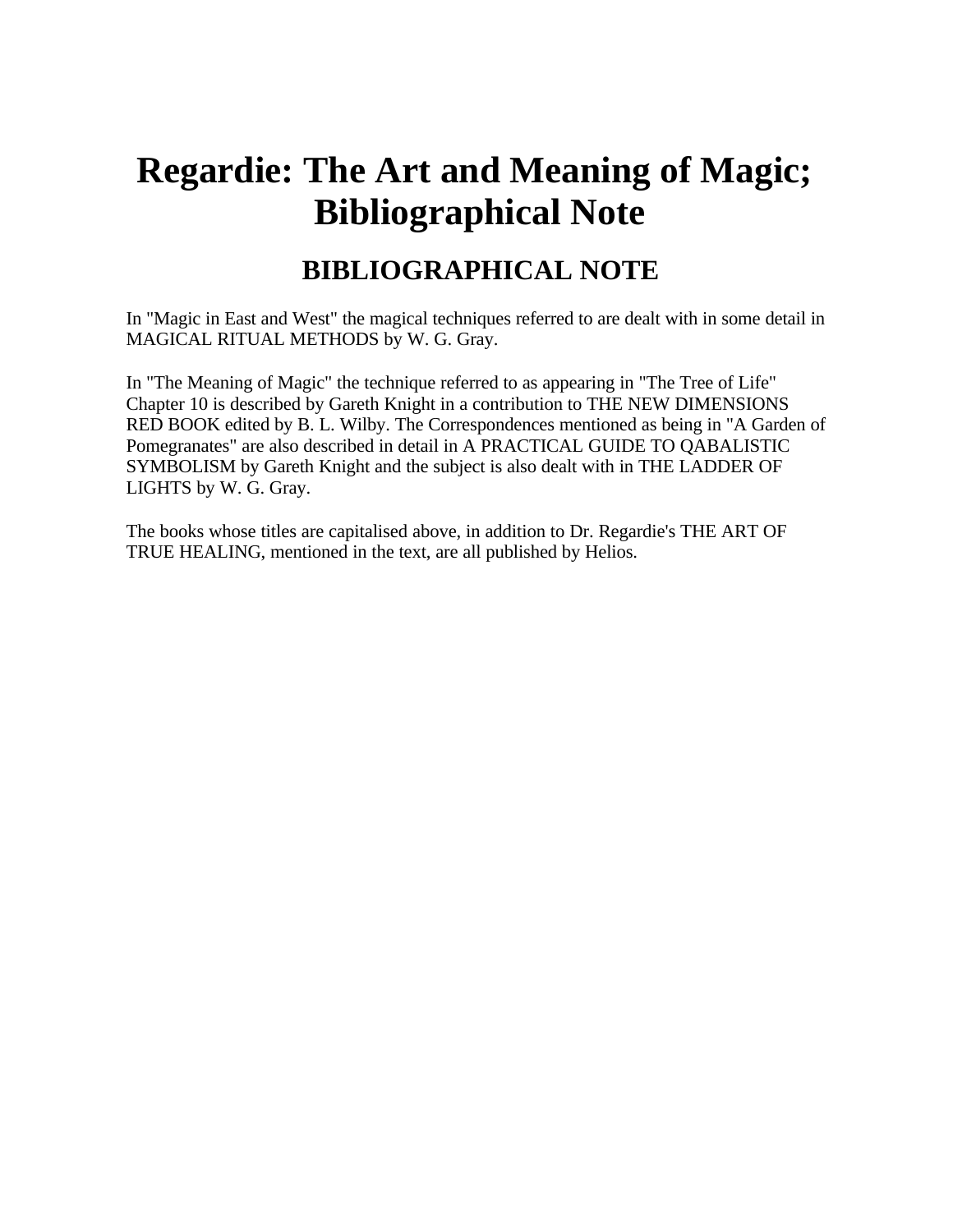## **Regardie: The Art and Meaning of Magic; Bibliographical Note**

### **BIBLIOGRAPHICAL NOTE**

In "Magic in East and West" the magical techniques referred to are dealt with in some detail in MAGICAL RITUAL METHODS by W. G. Gray.

In "The Meaning of Magic" the technique referred to as appearing in "The Tree of Life" Chapter 10 is described by Gareth Knight in a contribution to THE NEW DIMENSIONS RED BOOK edited by B. L. Wilby. The Correspondences mentioned as being in "A Garden of Pomegranates" are also described in detail in A PRACTICAL GUIDE TO QABALISTIC SYMBOLISM by Gareth Knight and the subject is also dealt with in THE LADDER OF LIGHTS by W. G. Gray.

The books whose titles are capitalised above, in addition to Dr. Regardie's THE ART OF TRUE HEALING, mentioned in the text, are all published by Helios.